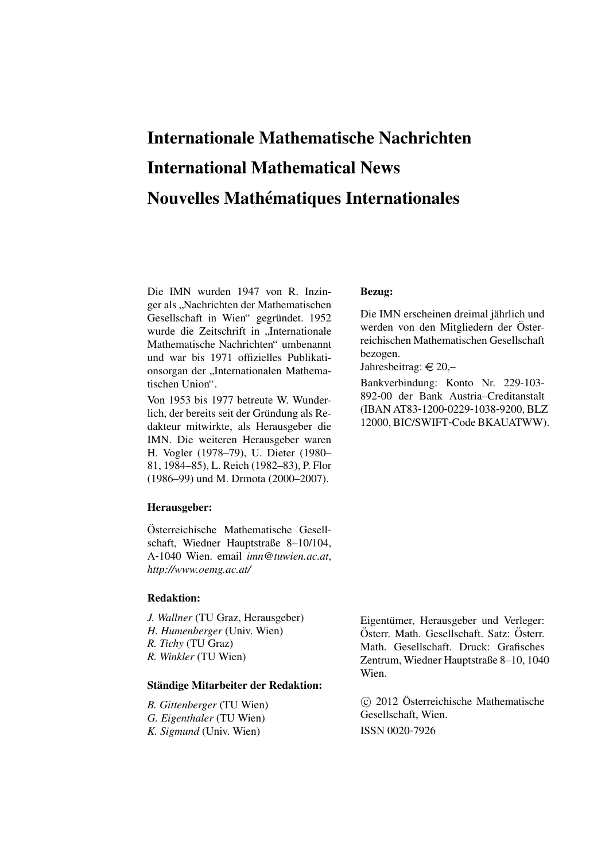## Internationale Mathematische Nachrichten International Mathematical News Nouvelles Mathématiques Internationales

Die IMN wurden 1947 von R. Inzinger als "Nachrichten der Mathematischen<br>Gesellschaft in Wien" gegnündet 1052 Gesellschaft in Wien" gegründet. 1952 wurde die Zeitschrift in "Internationale<br>Mathematische Nachrichten" umbenennt Mathematische Nachrichten" umbenannt und war bis 1971 offizielles Publikationsorgan der "Internationalen Mathematischen Union".

Von 1953 bis 1977 betreute W. Wunderlich, der bereits seit der Gründung als Redakteur mitwirkte, als Herausgeber die IMN. Die weiteren Herausgeber waren H. Vogler (1978–79), U. Dieter (1980– 81, 1984–85), L. Reich (1982–83), P. Flor (1986–99) und M. Drmota (2000–2007).

#### Herausgeber:

Österreichische Mathematische Gesellschaft, Wiedner Hauptstraße 8–10/104, A-1040 Wien. email *imn@tuwien.ac.at*, *http://www.oemg.ac.at/*

### Redaktion:

*J. Wallner* (TU Graz, Herausgeber) *H. Humenberger* (Univ. Wien) *R. Tichy* (TU Graz) *R. Winkler* (TU Wien)

## Ständige Mitarbeiter der Redaktion:

*B. Gittenberger* (TU Wien) *G. Eigenthaler* (TU Wien) *K. Sigmund* (Univ. Wien)

## Bezug:

Die IMN erscheinen dreimal jährlich und werden von den Mitgliedern der Österreichischen Mathematischen Gesellschaft bezogen.

Jahresbeitrag:  $\in 20$ ,-

Bankverbindung: Konto Nr. 229-103- 892-00 der Bank Austria–Creditanstalt (IBAN AT83-1200-0229-1038-9200, BLZ 12000, BIC/SWIFT-Code BKAUATWW).

Eigentümer, Herausgeber und Verleger: Österr. Math. Gesellschaft. Satz: Österr. Math. Gesellschaft. Druck: Grafisches Zentrum, Wiedner Hauptstraße 8–10, 1040 Wien.

 c 2012 Osterreichische Mathematische ¨ Gesellschaft, Wien. ISSN 0020-7926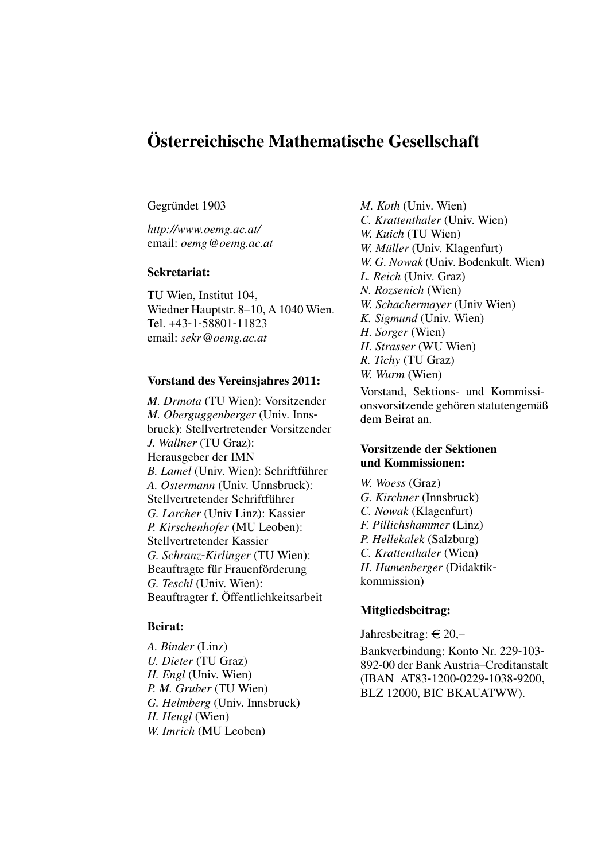## Osterreichische Mathematische Gesellschaft ¨

## Gegründet 1903

*http://www.oemg.ac.at/* email: *oemg@oemg.ac.at*

#### Sekretariat:

TU Wien, Institut 104, Wiedner Hauptstr. 8–10, A 1040 Wien. Tel. +43-1-58801-11823 email: *sekr@oemg.ac.at*

## Vorstand des Vereinsjahres 2011:

*M. Drmota* (TU Wien): Vorsitzender *M. Oberguggenberger* (Univ. Innsbruck): Stellvertretender Vorsitzender *J. Wallner* (TU Graz): Herausgeber der IMN *B. Lamel* (Univ. Wien): Schriftführer *A. Ostermann* (Univ. Unnsbruck): Stellvertretender Schriftführer *G. Larcher* (Univ Linz): Kassier *P. Kirschenhofer* (MU Leoben): Stellvertretender Kassier *G. Schranz*-*Kirlinger* (TU Wien): Beauftragte für Frauenförderung *G. Teschl* (Univ. Wien): Beauftragter f. Öffentlichkeitsarbeit

## Beirat:

*A. Binder* (Linz) *U. Dieter* (TU Graz) *H. Engl* (Univ. Wien) *P. M. Gruber* (TU Wien) *G. Helmberg* (Univ. Innsbruck) *H. Heugl* (Wien) *W. Imrich* (MU Leoben)

*M. Koth* (Univ. Wien) *C. Krattenthaler* (Univ. Wien) *W. Kuich* (TU Wien) *W. Müller* (Univ. Klagenfurt) *W. G. Nowak* (Univ. Bodenkult. Wien) *L. Reich* (Univ. Graz) *N. Rozsenich* (Wien) *W. Schachermayer* (Univ Wien) *K. Sigmund* (Univ. Wien) *H. Sorger* (Wien) *H. Strasser* (WU Wien) *R. Tichy* (TU Graz) *W. Wurm* (Wien) Vorstand, Sektions- und Kommissionsvorsitzende gehören statutengemäß

## Vorsitzende der Sektionen und Kommissionen:

dem Beirat an.

*W. Woess* (Graz) *G. Kirchner* (Innsbruck) *C. Nowak* (Klagenfurt) *F. Pillichshammer* (Linz) *P. Hellekalek* (Salzburg) *C. Krattenthaler* (Wien) *H. Humenberger* (Didaktikkommission)

## Mitgliedsbeitrag:

Jahresbeitrag:  $\in 20$ ,-Bankverbindung: Konto Nr. 229-103- 892-00 der Bank Austria–Creditanstalt (IBAN AT83-1200-0229-1038-9200, BLZ 12000, BIC BKAUATWW).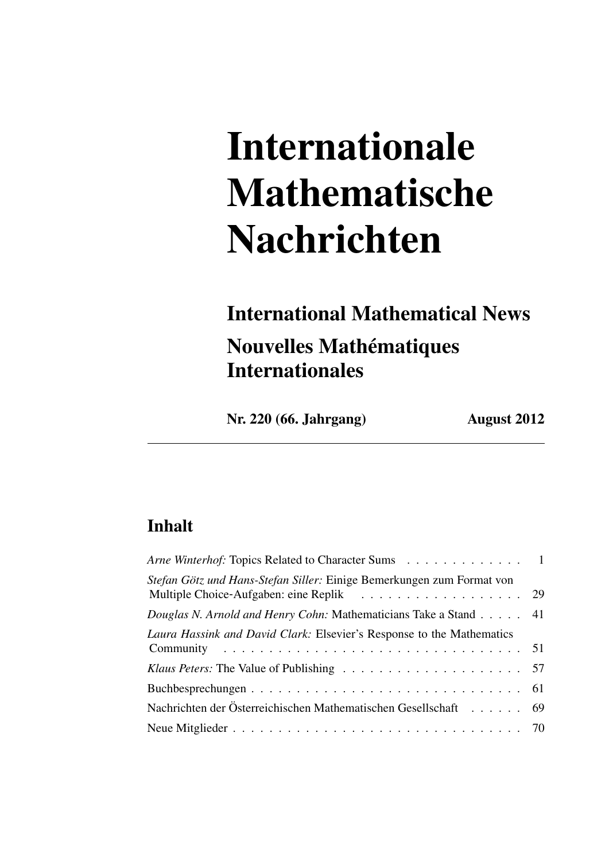# Internationale Mathematische Nachrichten

## International Mathematical News Nouvelles Mathématiques Internationales

Nr. 220 (66. Jahrgang) August 2012

## Inhalt

| Arne Winterhof: Topics Related to Character Sums 1                    |  |
|-----------------------------------------------------------------------|--|
| Stefan Götz und Hans-Stefan Siller: Einige Bemerkungen zum Format von |  |
| Douglas N. Arnold and Henry Cohn: Mathematicians Take a Stand 41      |  |
| Laura Hassink and David Clark: Elsevier's Response to the Mathematics |  |
|                                                                       |  |
|                                                                       |  |
| Nachrichten der Österreichischen Mathematischen Gesellschaft 69       |  |
|                                                                       |  |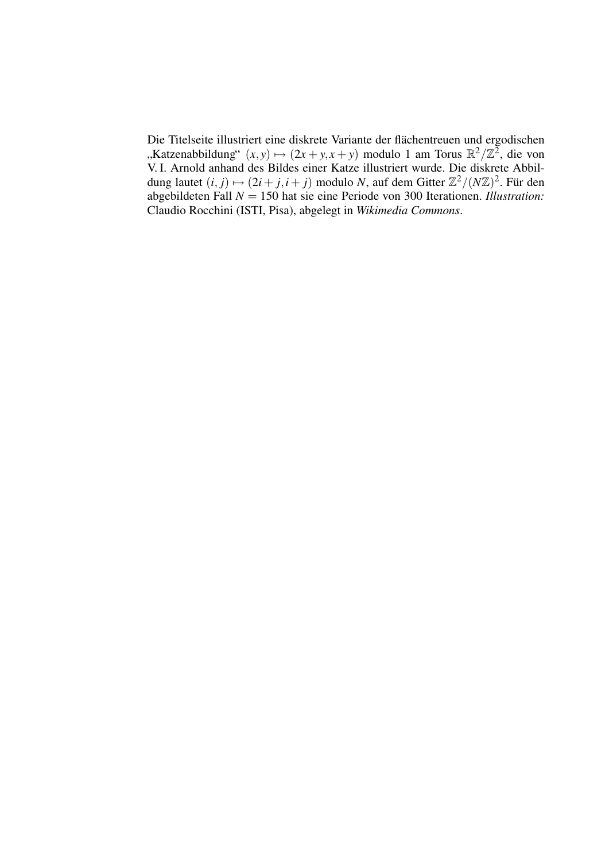Die Titelseite illustriert eine diskrete Variante der flächentreuen und ergodischen "Katzenabbildung"  $(x, y) \mapsto (2x + y, x + y)$  modulo 1 am Torus ℝ<sup>2</sup>/ℤ<sup>2</sup>, die von<br>V L Arnold enhand des Bildes einer Katze illustriert vurde. Die dielrete Abbil V. I. Arnold anhand des Bildes einer Katze illustriert wurde. Die diskrete Abbildung lautet  $(i, j) \mapsto (2i + j, i + j)$  modulo *N*, auf dem Gitter  $\mathbb{Z}^2 / (N\mathbb{Z})^2$ . Für den abgebildeten Fall *N* = 150 hat sie eine Periode von 300 Iterationen. *Illustration:* Claudio Rocchini (ISTI, Pisa), abgelegt in *Wikimedia Commons*.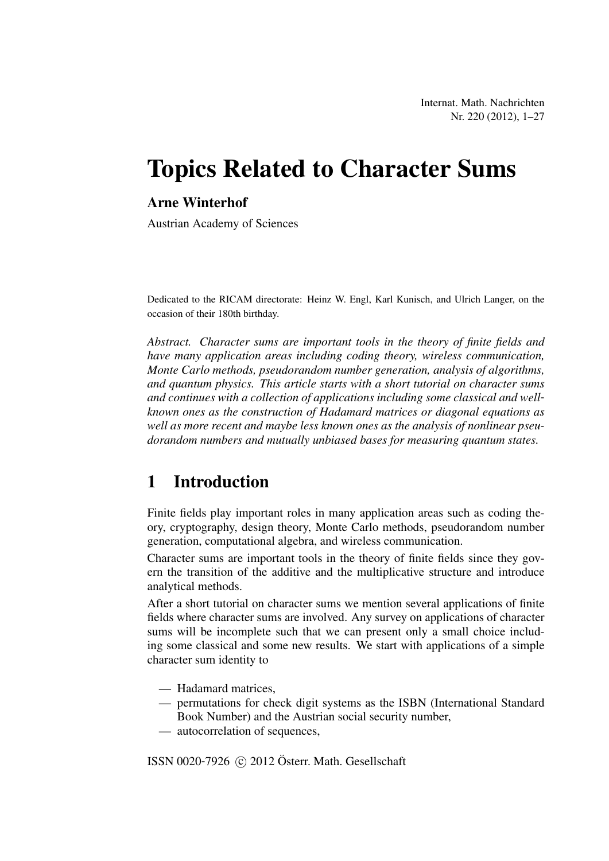Internat. Math. Nachrichten Nr. 220 (2012), 1–27

## Topics Related to Character Sums

## Arne Winterhof

Austrian Academy of Sciences

Dedicated to the RICAM directorate: Heinz W. Engl, Karl Kunisch, and Ulrich Langer, on the occasion of their 180th birthday.

*Abstract. Character sums are important tools in the theory of finite fields and have many application areas including coding theory, wireless communication, Monte Carlo methods, pseudorandom number generation, analysis of algorithms, and quantum physics. This article starts with a short tutorial on character sums and continues with a collection of applications including some classical and wellknown ones as the construction of Hadamard matrices or diagonal equations as well as more recent and maybe less known ones as the analysis of nonlinear pseudorandom numbers and mutually unbiased bases for measuring quantum states.*

## 1 Introduction

Finite fields play important roles in many application areas such as coding theory, cryptography, design theory, Monte Carlo methods, pseudorandom number generation, computational algebra, and wireless communication.

Character sums are important tools in the theory of finite fields since they govern the transition of the additive and the multiplicative structure and introduce analytical methods.

After a short tutorial on character sums we mention several applications of finite fields where character sums are involved. Any survey on applications of character sums will be incomplete such that we can present only a small choice including some classical and some new results. We start with applications of a simple character sum identity to

- Hadamard matrices,
- permutations for check digit systems as the ISBN (International Standard Book Number) and the Austrian social security number,
- autocorrelation of sequences,

ISSN 0020-7926  $\odot$  2012 Österr. Math. Gesellschaft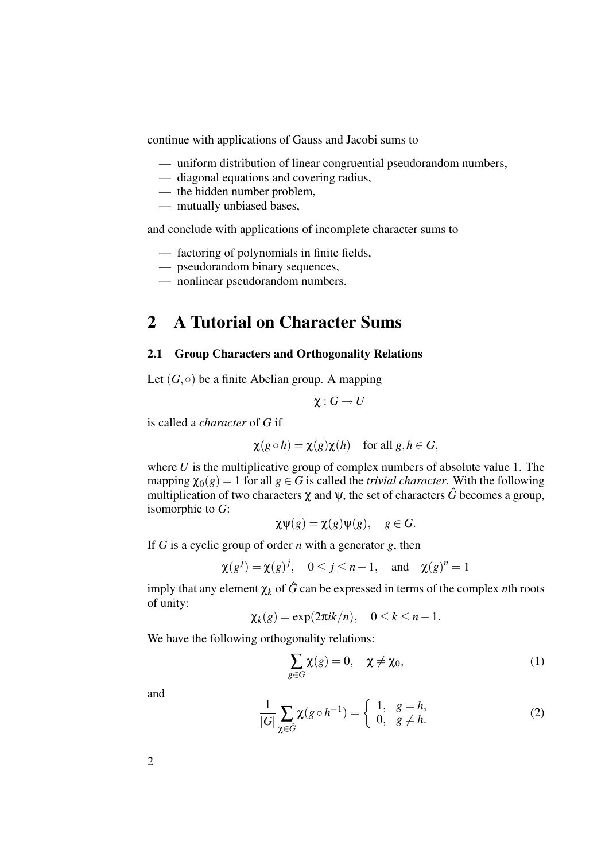continue with applications of Gauss and Jacobi sums to

- uniform distribution of linear congruential pseudorandom numbers,
- diagonal equations and covering radius,
- the hidden number problem,
- mutually unbiased bases,

and conclude with applications of incomplete character sums to

- factoring of polynomials in finite fields,
- pseudorandom binary sequences,
- nonlinear pseudorandom numbers.

## 2 A Tutorial on Character Sums

## 2.1 Group Characters and Orthogonality Relations

Let  $(G, \circ)$  be a finite Abelian group. A mapping

$$
\chi:G\to U
$$

is called a *character* of *G* if

$$
\chi(g \circ h) = \chi(g)\chi(h)
$$
 for all  $g, h \in G$ ,

where *U* is the multiplicative group of complex numbers of absolute value 1. The mapping  $\chi_0(g) = 1$  for all  $g \in G$  is called the *trivial character*. With the following multiplication of two characters  $\chi$  and  $\psi$ , the set of characters  $\hat{G}$  becomes a group, isomorphic to *G*:

$$
\chi \psi(g) = \chi(g)\psi(g), \quad g \in G.
$$

If *G* is a cyclic group of order *n* with a generator *g*, then

$$
\chi(g^j) = \chi(g)^j
$$
,  $0 \le j \le n-1$ , and  $\chi(g)^n = 1$ 

imply that any element  $\chi_k$  of  $\hat{G}$  can be expressed in terms of the complex *n*th roots of unity:

$$
\chi_k(g) = \exp(2\pi i k/n), \quad 0 \le k \le n-1.
$$

We have the following orthogonality relations:

$$
\sum_{g \in G} \chi(g) = 0, \quad \chi \neq \chi_0,\tag{1}
$$

and

$$
\frac{1}{|G|} \sum_{\chi \in \hat{G}} \chi(g \circ h^{-1}) = \begin{cases} 1, & g = h, \\ 0, & g \neq h. \end{cases}
$$
 (2)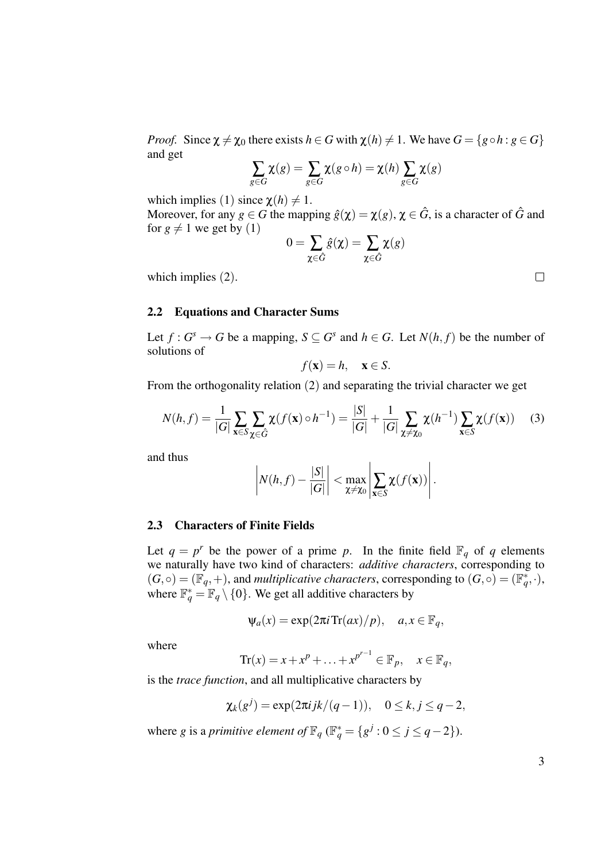*Proof.* Since  $\chi \neq \chi_0$  there exists  $h \in G$  with  $\chi(h) \neq 1$ . We have  $G = \{g \circ h : g \in G\}$ and get

$$
\sum_{g \in G} \chi(g) = \sum_{g \in G} \chi(g \circ h) = \chi(h) \sum_{g \in G} \chi(g)
$$

which implies (1) since  $\chi(h) \neq 1$ .

Moreover, for any  $g \in G$  the mapping  $\hat{g}(\chi) = \chi(g)$ ,  $\chi \in \hat{G}$ , is a character of  $\hat{G}$  and for  $g \neq 1$  we get by (1)

$$
0 = \sum_{\chi \in \hat{G}} \hat{g}(\chi) = \sum_{\chi \in \hat{G}} \chi(g)
$$

which implies (2).

#### 2.2 Equations and Character Sums

Let  $f: G^s \to G$  be a mapping,  $S \subseteq G^s$  and  $h \in G$ . Let  $N(h, f)$  be the number of solutions of

$$
f(\mathbf{x}) = h, \quad \mathbf{x} \in S.
$$

From the orthogonality relation (2) and separating the trivial character we get

$$
N(h,f) = \frac{1}{|G|} \sum_{\mathbf{x} \in S} \sum_{\mathbf{x} \in \hat{G}} \chi(f(\mathbf{x}) \circ h^{-1}) = \frac{|S|}{|G|} + \frac{1}{|G|} \sum_{\mathbf{x} \neq \mathbf{x}_0} \chi(h^{-1}) \sum_{\mathbf{x} \in S} \chi(f(\mathbf{x})) \tag{3}
$$

and thus

$$
\left|N(h,f)-\frac{|S|}{|G|}\right|<\max_{\mathbf{\chi}\neq\mathbf{\chi}_0}\left|\sum_{\mathbf{x}\in S}\chi(f(\mathbf{x}))\right|.
$$

## 2.3 Characters of Finite Fields

Let  $q = p^r$  be the power of a prime p. In the finite field  $\mathbb{F}_q$  of q elements we naturally have two kind of characters: *additive characters*, corresponding to  $(G, \circ) = (\mathbb{F}_q, +)$ , and *multiplicative characters*, corresponding to  $(G, \circ) = (\mathbb{F}_q^*, \cdot)$ , where  $\mathbb{F}_q^* = \mathbb{F}_q \setminus \{0\}$ . We get all additive characters by

$$
\Psi_a(x) = \exp(2\pi i \operatorname{Tr}(ax)/p), \quad a, x \in \mathbb{F}_q,
$$

where

$$
\operatorname{Tr}(x) = x + x^p + \ldots + x^{p^{r-1}} \in \mathbb{F}_p, \quad x \in \mathbb{F}_q,
$$

is the *trace function*, and all multiplicative characters by

$$
\chi_k(g^j) = \exp(2\pi i jk/(q-1)), \quad 0 \le k, j \le q-2,
$$

where *g* is a *primitive element of*  $\mathbb{F}_q$  ( $\mathbb{F}_q^* = \{g^j : 0 \le j \le q-2\}$ ).

3

 $\Box$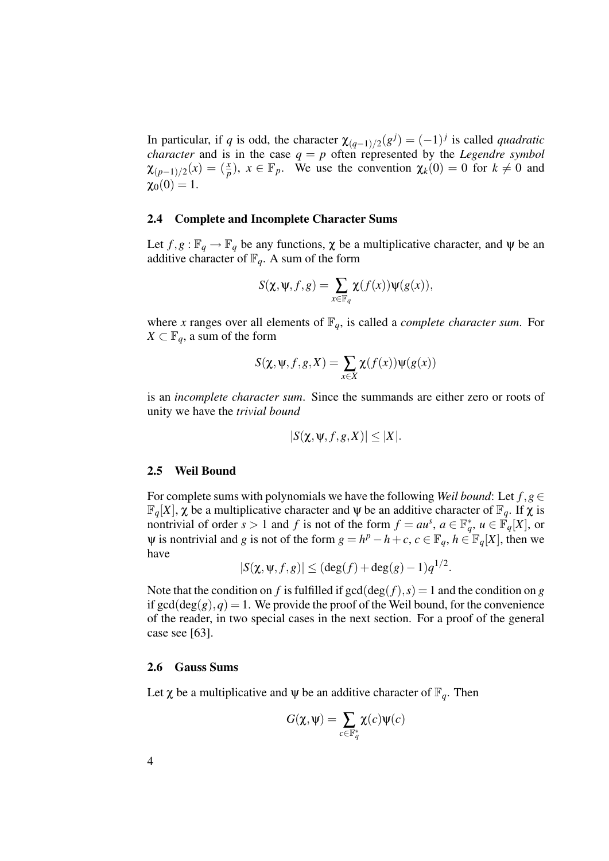In particular, if *q* is odd, the character  $\chi_{(q-1)/2}(g^j) = (-1)^j$  is called *quadratic character* and is in the case  $q = p$  often represented by the *Legendre symbol*  $\chi_{(p-1)/2}(x) = \left(\frac{x}{p}\right)$ ,  $x \in \mathbb{F}_p$ . We use the convention  $\chi_k(0) = 0$  for  $k \neq 0$  and  $\chi_0(0) = 1.$ 

## 2.4 Complete and Incomplete Character Sums

Let  $f, g: \mathbb{F}_q \to \mathbb{F}_q$  be any functions,  $\chi$  be a multiplicative character, and  $\psi$  be an additive character of  $\mathbb{F}_q$ . A sum of the form

$$
S(\chi, \psi, f, g) = \sum_{x \in \mathbb{F}_q} \chi(f(x)) \psi(g(x)),
$$

where *x* ranges over all elements of  $\mathbb{F}_q$ , is called a *complete character sum*. For  $X \subset \mathbb{F}_q$ , a sum of the form

$$
S(\chi, \psi, f, g, X) = \sum_{x \in X} \chi(f(x)) \psi(g(x))
$$

is an *incomplete character sum*. Since the summands are either zero or roots of unity we have the *trivial bound*

$$
|S(\chi, \psi, f, g, X)| \leq |X|.
$$

#### 2.5 Weil Bound

For complete sums with polynomials we have the following *Weil bound*: Let  $f, g \in$  $\mathbb{F}_q[X], \chi$  be a multiplicative character and  $\psi$  be an additive character of  $\mathbb{F}_q$ . If  $\chi$  is nontrivial of order  $s > 1$  and  $f$  is not of the form  $f = au^s$ ,  $a \in \mathbb{F}_q^*$ ,  $u \in \mathbb{F}_q[X]$ , or  $\Psi$  is nontrivial and *g* is not of the form  $g = h^p - h + c$ ,  $c \in \mathbb{F}_q$ ,  $h \in \mathbb{F}_q[X]$ , then we have

$$
|S(\chi, \psi, f, g)| \leq (\deg(f) + \deg(g) - 1)q^{1/2}.
$$

Note that the condition on *f* is fulfilled if  $gcd(deg(f), s) = 1$  and the condition on *g* if  $gcd(deg(g), q) = 1$ . We provide the proof of the Weil bound, for the convenience of the reader, in two special cases in the next section. For a proof of the general case see [63].

### 2.6 Gauss Sums

Let  $\chi$  be a multiplicative and  $\psi$  be an additive character of  $\mathbb{F}_q$ . Then

$$
G(\pmb{\chi},\pmb{\psi})=\sum_{c\in \mathbb{F}_q^*}\pmb{\chi}(c)\pmb{\psi}(c)
$$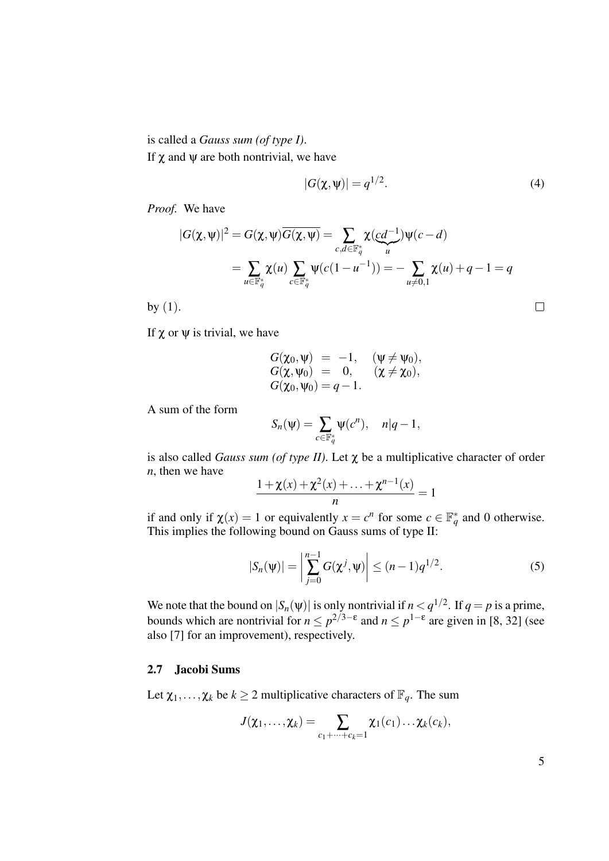is called a *Gauss sum (of type I)*. If  $χ$  and  $ψ$  are both nontrivial, we have

$$
|G(\chi,\psi)| = q^{1/2}.
$$
 (4)

*Proof.* We have

$$
|G(\chi, \psi)|^2 = G(\chi, \psi)\overline{G(\chi, \psi)} = \sum_{c, d \in \mathbb{F}_q^*} \chi(\underbrace{cd^{-1}}_{u})\psi(c - d)
$$
  
= 
$$
\sum_{u \in \mathbb{F}_q^*} \chi(u) \sum_{c \in \mathbb{F}_q^*} \psi(c(1 - u^{-1})) = -\sum_{u \neq 0, 1} \chi(u) + q - 1 = q
$$

by (1).

If  $\chi$  or  $\psi$  is trivial, we have

$$
G(\chi_0, \psi) = -1, \quad (\psi \neq \psi_0),
$$
  
\n
$$
G(\chi, \psi_0) = 0, \quad (\chi \neq \chi_0),
$$
  
\n
$$
G(\chi_0, \psi_0) = q - 1.
$$

A sum of the form

$$
S_n(\psi) = \sum_{c \in \mathbb{F}_q^*} \psi(c^n), \quad n|q-1,
$$

is also called *Gauss sum (of type II)*. Let  $\chi$  be a multiplicative character of order *n*, then we have

$$
\frac{1+\chi(x)+\chi^2(x)+\ldots+\chi^{n-1}(x)}{n}=1
$$

if and only if  $\chi(x) = 1$  or equivalently  $x = c^n$  for some  $c \in \mathbb{F}_q^*$  and 0 otherwise. This implies the following bound on Gauss sums of type II:

$$
|S_n(\psi)| = \left| \sum_{j=0}^{n-1} G(\chi^j, \psi) \right| \le (n-1)q^{1/2}.
$$
 (5)

We note that the bound on  $|S_n(\psi)|$  is only nontrivial if  $n < q^{1/2}$ . If  $q = p$  is a prime, bounds which are nontrivial for  $n \leq p^{2/3-\epsilon}$  and  $n \leq p^{1-\epsilon}$  are given in [8, 32] (see also [7] for an improvement), respectively.

## 2.7 Jacobi Sums

Let  $\chi_1, \ldots, \chi_k$  be  $k \geq 2$  multiplicative characters of  $\mathbb{F}_q$ . The sum

$$
J(\chi_1,\ldots,\chi_k)=\sum_{c_1+\cdots+c_k=1}\chi_1(c_1)\ldots\chi_k(c_k),
$$

5

 $\Box$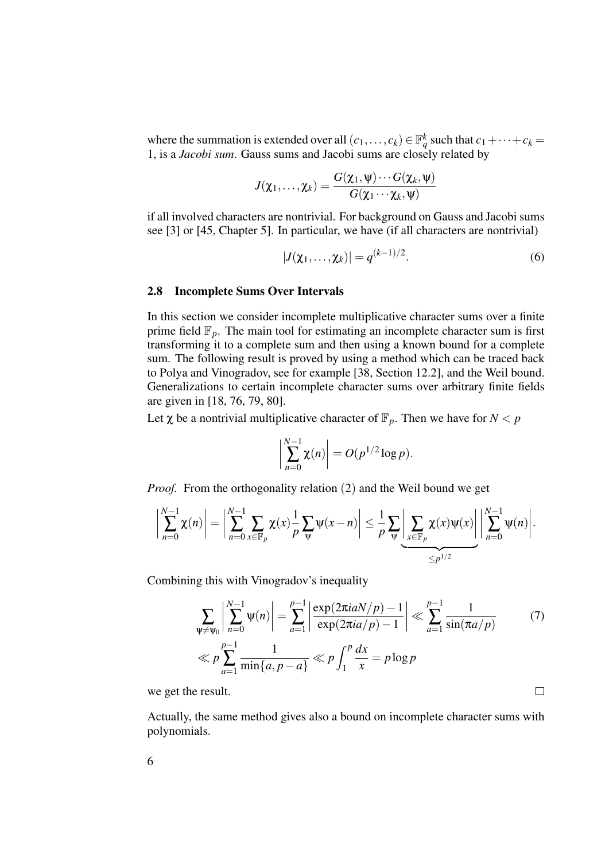where the summation is extended over all  $(c_1,..., c_k) \in \mathbb{F}_q^k$  such that  $c_1 + \cdots + c_k =$ 1, is a *Jacobi sum*. Gauss sums and Jacobi sums are closely related by

$$
J(\chi_1,\ldots,\chi_k)=\frac{G(\chi_1,\psi)\cdots G(\chi_k,\psi)}{G(\chi_1\cdots\chi_k,\psi)}
$$

if all involved characters are nontrivial. For background on Gauss and Jacobi sums see [3] or [45, Chapter 5]. In particular, we have (if all characters are nontrivial)

$$
|J(\chi_1,\ldots,\chi_k)| = q^{(k-1)/2}.\tag{6}
$$

### 2.8 Incomplete Sums Over Intervals

In this section we consider incomplete multiplicative character sums over a finite prime field  $\mathbb{F}_p$ . The main tool for estimating an incomplete character sum is first transforming it to a complete sum and then using a known bound for a complete sum. The following result is proved by using a method which can be traced back to Polya and Vinogradov, see for example [38, Section 12.2], and the Weil bound. Generalizations to certain incomplete character sums over arbitrary finite fields are given in [18, 76, 79, 80].

Let  $\chi$  be a nontrivial multiplicative character of  $\mathbb{F}_p$ . Then we have for  $N < p$ 

$$
\left|\sum_{n=0}^{N-1}\chi(n)\right| = O(p^{1/2}\log p).
$$

*Proof.* From the orthogonality relation (2) and the Weil bound we get

$$
\left|\sum_{n=0}^{N-1} \chi(n)\right| = \left|\sum_{n=0}^{N-1} \sum_{x \in \mathbb{F}_p} \chi(x) \frac{1}{p} \sum_{\psi} \psi(x-n)\right| \leq \frac{1}{p} \sum_{\psi} \left|\sum_{x \in \mathbb{F}_p} \chi(x) \psi(x)\right| \left|\sum_{n=0}^{N-1} \psi(n)\right|.
$$

Combining this with Vinogradov's inequality

$$
\sum_{\Psi \neq \Psi_0} \left| \sum_{n=0}^{N-1} \Psi(n) \right| = \sum_{a=1}^{p-1} \left| \frac{\exp(2\pi i a N/p) - 1}{\exp(2\pi i a/p) - 1} \right| \ll \sum_{a=1}^{p-1} \frac{1}{\sin(\pi a/p)} \tag{7}
$$
\n
$$
\ll p \sum_{a=1}^{p-1} \frac{1}{\min\{a, p-a\}} \ll p \int_1^p \frac{dx}{x} = p \log p
$$

 $\Box$ 

we get the result.

Actually, the same method gives also a bound on incomplete character sums with polynomials.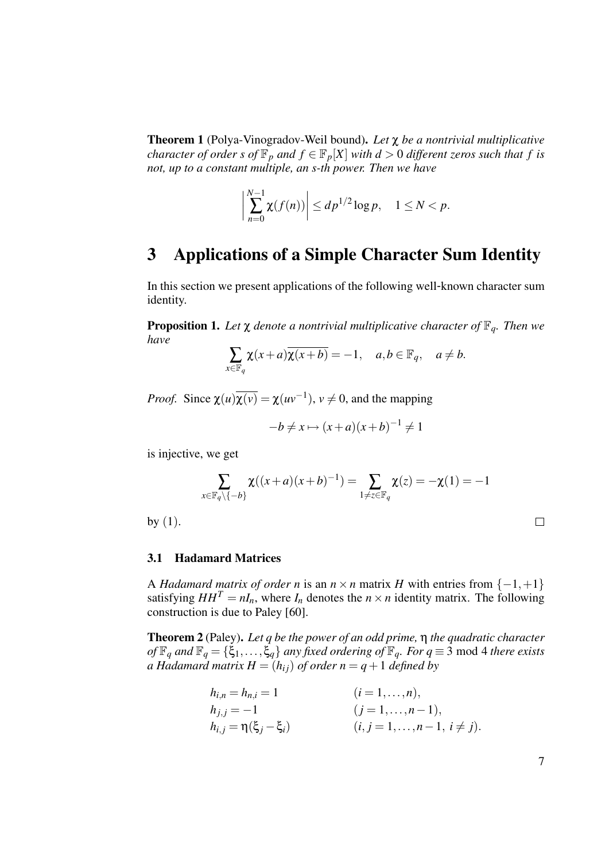Theorem 1 (Polya-Vinogradov-Weil bound). *Let* χ *be a nontrivial multiplicative character of order s of*  $\mathbb{F}_p$  *and*  $f \in \mathbb{F}_p[X]$  *with*  $d > 0$  *different zeros such that*  $f$  *is not, up to a constant multiple, an s-th power. Then we have*

$$
\left|\sum_{n=0}^{N-1}\chi(f(n))\right|\leq dp^{1/2}\log p,\quad 1\leq N
$$

## 3 Applications of a Simple Character Sum Identity

In this section we present applications of the following well-known character sum identity.

**Proposition 1.** Let  $\chi$  denote a nontrivial multiplicative character of  $\mathbb{F}_q$ . Then we *have*

$$
\sum_{x \in \mathbb{F}_q} \chi(x+a) \overline{\chi(x+b)} = -1, \quad a, b \in \mathbb{F}_q, \quad a \neq b.
$$

*Proof.* Since  $\chi(u)\overline{\chi(v)} = \chi(uv^{-1}), v \neq 0$ , and the mapping

$$
-b \neq x \mapsto (x+a)(x+b)^{-1} \neq 1
$$

is injective, we get

$$
\sum_{x \in \mathbb{F}_q \setminus \{-b\}} \chi((x+a)(x+b)^{-1}) = \sum_{1 \neq z \in \mathbb{F}_q} \chi(z) = -\chi(1) = -1
$$

by  $(1)$ .

## 3.1 Hadamard Matrices

A *Hadamard matrix of order n* is an  $n \times n$  matrix *H* with entries from  $\{-1, +1\}$ satisfying  $HH^T = nI_n$ , where  $I_n$  denotes the  $n \times n$  identity matrix. The following construction is due to Paley [60].

Theorem 2 (Paley). *Let q be the power of an odd prime,* η *the quadratic character of*  $\mathbb{F}_q$  *and*  $\mathbb{F}_q = \{\xi_1, \ldots, \xi_q\}$  *any fixed ordering of*  $\mathbb{F}_q$ *. For*  $q \equiv 3 \text{ mod } 4$  *there exists a Hadamard matrix H* =  $(h_{ij})$  *of order n* =  $q + 1$  *defined by* 

$$
h_{i,n} = h_{n,i} = 1
$$
  $(i = 1,...,n),$   
\n
$$
h_{j,j} = -1
$$
  $(j = 1,...,n-1),$   
\n
$$
h_{i,j} = \eta(\xi_j - \xi_i)
$$
  $(i, j = 1,...,n-1, i \neq j).$ 

| I | . . |
|---|-----|
|   |     |
|   |     |
|   |     |

 $\Box$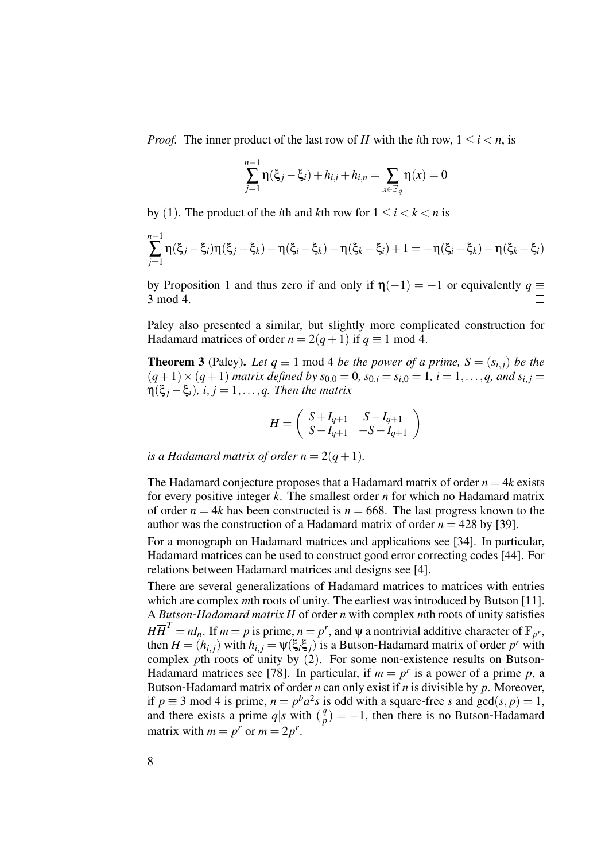*Proof.* The inner product of the last row of *H* with the *i*th row,  $1 \le i \le n$ , is

$$
\sum_{j=1}^{n-1} \eta(\xi_j - \xi_i) + h_{i,i} + h_{i,n} = \sum_{x \in \mathbb{F}_q} \eta(x) = 0
$$

by (1). The product of the *i*th and *k*th row for  $1 \le i < k < n$  is

$$
\sum_{j=1}^{n-1} \eta(\xi_j - \xi_i) \eta(\xi_j - \xi_k) - \eta(\xi_i - \xi_k) - \eta(\xi_k - \xi_i) + 1 = -\eta(\xi_i - \xi_k) - \eta(\xi_k - \xi_i)
$$

by Proposition 1 and thus zero if and only if  $\eta(-1) = -1$  or equivalently  $q \equiv$ 3 mod 4.  $\Box$ 

Paley also presented a similar, but slightly more complicated construction for Hadamard matrices of order  $n = 2(q+1)$  if  $q \equiv 1 \mod 4$ .

**Theorem 3** (Paley). Let  $q \equiv 1 \text{ mod } 4$  *be the power of a prime,*  $S = (s_{i,j})$  *be the*  $(q+1) \times (q+1)$  *matrix defined by*  $s_{0,0} = 0$ ,  $s_{0,i} = s_{i,0} = 1$ ,  $i = 1,...,q$ , and  $s_{i,j} = 1$  $\eta(\xi_i - \xi_i)$ ,  $i, j = 1, \ldots, q$ . Then the matrix

$$
H = \left( \begin{array}{cc} S + I_{q+1} & S - I_{q+1} \\ S - I_{q+1} & -S - I_{q+1} \end{array} \right)
$$

*is a Hadamard matrix of order n* =  $2(q+1)$ *.* 

The Hadamard conjecture proposes that a Hadamard matrix of order  $n = 4k$  exists for every positive integer *k*. The smallest order *n* for which no Hadamard matrix of order  $n = 4k$  has been constructed is  $n = 668$ . The last progress known to the author was the construction of a Hadamard matrix of order  $n = 428$  by [39].

For a monograph on Hadamard matrices and applications see [34]. In particular, Hadamard matrices can be used to construct good error correcting codes [44]. For relations between Hadamard matrices and designs see [4].

There are several generalizations of Hadamard matrices to matrices with entries which are complex *mth* roots of unity. The earliest was introduced by Butson [11]. A *Butson*-*Hadamard matrix H* of order *n* with complex *m*th roots of unity satisfies  $H\overline{H}^T = nI_n$ . If  $m = p$  is prime,  $n = p^r$ , and  $\psi$  a nontrivial additive character of  $\mathbb{F}_{p^r}$ , then  $H = (h_{i,j})$  with  $h_{i,j} = \psi(\xi_i \xi_j)$  is a Butson-Hadamard matrix of order  $p^r$  with complex *pth* roots of unity by (2). For some non-existence results on Butson-Hadamard matrices see [78]. In particular, if  $m = p^r$  is a power of a prime p, a Butson-Hadamard matrix of order *n* can only exist if *n* is divisible by *p*. Moreover, if  $p \equiv 3 \text{ mod } 4$  is prime,  $n = p^b a^2 s$  is odd with a square-free *s* and  $gcd(s, p) = 1$ , and there exists a prime  $q|s$  with  $\left(\frac{q}{q}\right)$  $\binom{q}{p}$  = −1, then there is no Butson-Hadamard matrix with  $m = p^r$  or  $m = 2p^r$ .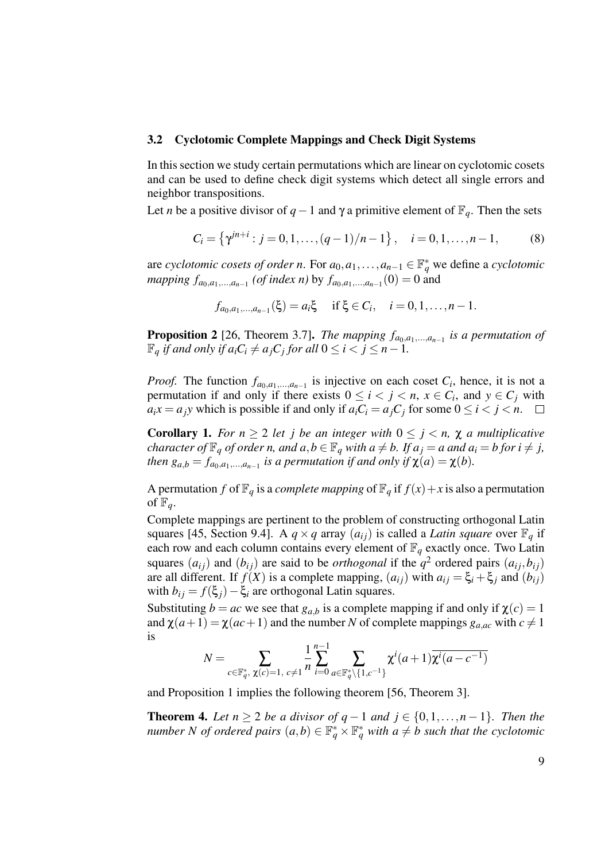#### 3.2 Cyclotomic Complete Mappings and Check Digit Systems

In this section we study certain permutations which are linear on cyclotomic cosets and can be used to define check digit systems which detect all single errors and neighbor transpositions.

Let *n* be a positive divisor of *q* − 1 and  $\gamma$  a primitive element of  $\mathbb{F}_q$ . Then the sets

$$
C_i = \left\{ \gamma^{jn+i} : j = 0, 1, \dots, (q-1)/n - 1 \right\}, \quad i = 0, 1, \dots, n-1,
$$
 (8)

are *cyclotomic cosets of order n*. For  $a_0, a_1, \ldots, a_{n-1} \in \mathbb{F}_q^*$  we define a *cyclotomic mapping*  $f_{a_0, a_1, ..., a_{n-1}}$  (*of index n*) by  $f_{a_0, a_1, ..., a_{n-1}}(0) = 0$  and

$$
f_{a_0,a_1,...,a_{n-1}}(\xi) = a_i \xi \quad \text{ if } \xi \in C_i, \quad i = 0,1,\ldots,n-1.
$$

**Proposition 2** [26, Theorem 3.7]. *The mapping*  $f_{a_0, a_1, \ldots, a_{n-1}}$  *is a permutation of*  $\mathbb{F}_q$  *if and only if*  $a_iC_i \neq a_jC_j$  *for all*  $0 \leq i < j \leq n-1$ .

*Proof.* The function  $f_{a_0, a_1, \ldots, a_{n-1}}$  is injective on each coset  $C_i$ , hence, it is not a permutation if and only if there exists  $0 \le i < j < n$ ,  $x \in C_i$ , and  $y \in C_j$  with  $a_i x = a_j y$  which is possible if and only if  $a_i C_i = a_j C_j$  for some  $0 \le i < j < n$ .

**Corollary 1.** *For*  $n \geq 2$  *let j be an integer with*  $0 \leq j \leq n$ ,  $\chi$  *a multiplicative character of*  $\mathbb{F}_q$  *of order n, and a,b*  $\in$   $\mathbb{F}_q$  *with a*  $\neq$  *b. If*  $a_j = a$  *and*  $a_i = b$  *for*  $i \neq j$ *, then*  $g_{a,b} = f_{a_0,a_1,...,a_{n-1}}$  *is a permutation if and only if*  $\chi(a) = \chi(b)$ *.* 

A permutation *f* of  $\mathbb{F}_q$  is a *complete mapping* of  $\mathbb{F}_q$  if  $f(x) + x$  is also a permutation of  $\mathbb{F}_q$ .

Complete mappings are pertinent to the problem of constructing orthogonal Latin squares [45, Section 9.4]. A  $q \times q$  array  $(a_{ij})$  is called a *Latin square* over  $\mathbb{F}_q$  if each row and each column contains every element of  $\mathbb{F}_q$  exactly once. Two Latin squares  $(a_{ij})$  and  $(b_{ij})$  are said to be *orthogonal* if the  $q^2$  ordered pairs  $(a_{ij}, b_{ij})$ are all different. If  $f(X)$  is a complete mapping,  $(a_{ij})$  with  $a_{ij} = \xi_i + \xi_j$  and  $(b_{ij})$ with  $b_{ij} = f(\xi_j) - \xi_i$  are orthogonal Latin squares.

Substituting  $b = ac$  we see that  $g_{a,b}$  is a complete mapping if and only if  $\chi(c) = 1$ and  $\chi(a+1) = \chi(ac+1)$  and the number *N* of complete mappings  $g_{a,ac}$  with  $c \neq 1$ is *n*−1

$$
N = \sum_{c \in \mathbb{F}_q^*, \ \chi(c) = 1, \ c \neq 1} \frac{1}{n} \sum_{i=0}^{n-1} \sum_{a \in \mathbb{F}_q^* \setminus \{1, c^{-1}\}} \chi^i(a+1) \overline{\chi^i(a-c^{-1})}
$$

and Proposition 1 implies the following theorem [56, Theorem 3].

**Theorem 4.** *Let*  $n \geq 2$  *be a divisor of q* − 1 *and*  $j \in \{0, 1, ..., n-1\}$ *. Then the number N of ordered pairs*  $(a,b) \in \mathbb{F}_q^* \times \mathbb{F}_q^*$  *with*  $a \neq b$  *such that the cyclotomic*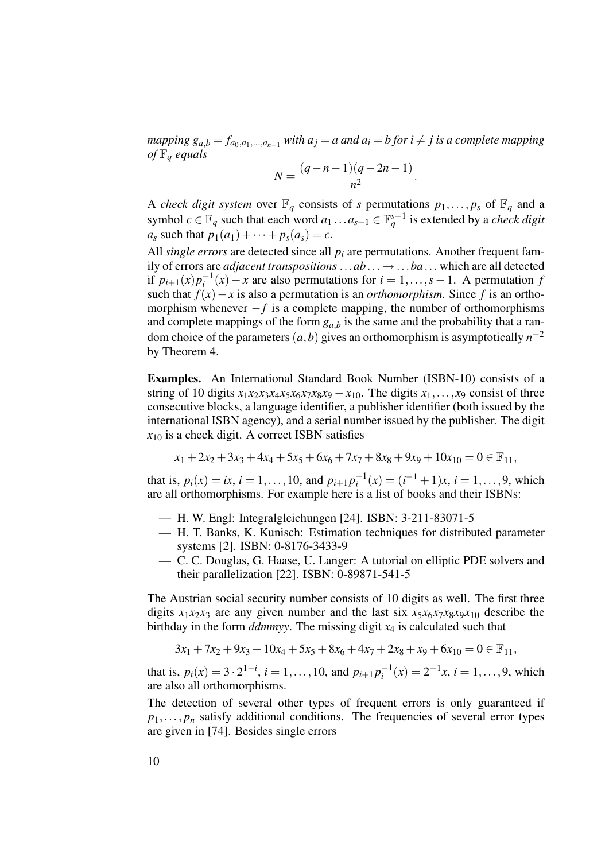*mapping*  $g_{a,b} = f_{a_0,a_1,...,a_{n-1}}$  *with*  $a_j = a$  *and*  $a_i = b$  *for*  $i \neq j$  *is a complete mapping of* F*<sup>q</sup> equals*

$$
N = \frac{(q-n-1)(q-2n-1)}{n^2}.
$$

A *check digit system* over  $\mathbb{F}_q$  consists of *s* permutations  $p_1, \ldots, p_s$  of  $\mathbb{F}_q$  and a symbol  $c \in \mathbb{F}_q$  such that each word  $a_1 \dots a_{s-1} \in \mathbb{F}_q^{s-1}$  is extended by a *check digit a*<sub>*s*</sub> such that  $p_1(a_1) + \cdots + p_s(a_s) = c$ .

All *single errors* are detected since all  $p_i$  are permutations. Another frequent family of errors are *adjacent transpositions* ...*ab*... → ...*ba*... which are all detected if  $p_{i+1}(x)p_i^{-1}$  $i_j^{-1}(x) - x$  are also permutations for  $i = 1, \ldots, s - 1$ . A permutation *f* such that  $f(x) - x$  is also a permutation is an *orthomorphism*. Since f is an orthomorphism whenever  $-f$  is a complete mapping, the number of orthomorphisms and complete mappings of the form  $g_{a,b}$  is the same and the probability that a random choice of the parameters  $(a, b)$  gives an orthomorphism is asymptotically  $n^{-2}$ by Theorem 4.

Examples. An International Standard Book Number (ISBN-10) consists of a string of 10 digits  $x_1x_2x_3x_4x_5x_6x_7x_8x_9 - x_{10}$ . The digits  $x_1, \ldots, x_9$  consist of three consecutive blocks, a language identifier, a publisher identifier (both issued by the international ISBN agency), and a serial number issued by the publisher. The digit  $x_{10}$  is a check digit. A correct ISBN satisfies

$$
x_1 + 2x_2 + 3x_3 + 4x_4 + 5x_5 + 6x_6 + 7x_7 + 8x_8 + 9x_9 + 10x_{10} = 0 \in \mathbb{F}_{11},
$$

that is,  $p_i(x) = ix$ ,  $i = 1, ..., 10$ , and  $p_{i+1}p_i^{-1}$  $i_i^{-1}(x) = (i^{-1} + 1)x, i = 1, \ldots, 9$ , which are all orthomorphisms. For example here is a list of books and their ISBNs:

- H. W. Engl: Integralgleichungen [24]. ISBN: 3-211-83071-5
- H. T. Banks, K. Kunisch: Estimation techniques for distributed parameter systems [2]. ISBN: 0-8176-3433-9
- C. C. Douglas, G. Haase, U. Langer: A tutorial on elliptic PDE solvers and their parallelization [22]. ISBN: 0-89871-541-5

The Austrian social security number consists of 10 digits as well. The first three digits  $x_1x_2x_3$  are any given number and the last six  $x_5x_6x_7x_8x_9x_{10}$  describe the birthday in the form *ddmmyy*. The missing digit *x*<sup>4</sup> is calculated such that

$$
3x_1 + 7x_2 + 9x_3 + 10x_4 + 5x_5 + 8x_6 + 4x_7 + 2x_8 + x_9 + 6x_{10} = 0 \in \mathbb{F}_{11},
$$

that is,  $p_i(x) = 3 \cdot 2^{1-i}$ ,  $i = 1, ..., 10$ , and  $p_{i+1} p_i^{-1}$  $i_i^{-1}(x) = 2^{-1}x, i = 1,...,9$ , which are also all orthomorphisms.

The detection of several other types of frequent errors is only guaranteed if  $p_1, \ldots, p_n$  satisfy additional conditions. The frequencies of several error types are given in [74]. Besides single errors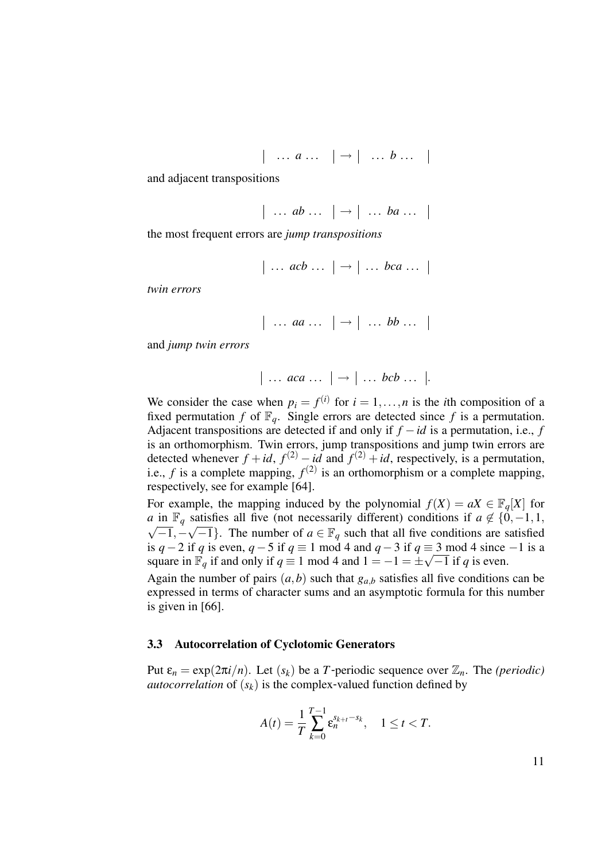$$
|\quad \dots \; a \dots \; |\rightarrow |\quad \dots \; b \dots
$$

and adjacent transpositions

$$
|\ldots ab \ldots| \rightarrow |\ldots ba \ldots|
$$

the most frequent errors are *jump transpositions*

$$
\Big|\ldots acb\ldots\Big|\rightarrow\Big|\ldots bca\ldots
$$

*twin errors*

$$
|\ldots aa \ldots |\rightarrow |\ldots bb \ldots |
$$

and *jump twin errors*

$$
|\ldots aca \ldots| \rightarrow | \ldots bcb \ldots|.
$$

We consider the case when  $p_i = f^{(i)}$  for  $i = 1, ..., n$  is the *i*th composition of a fixed permutation *f* of  $\mathbb{F}_q$ . Single errors are detected since *f* is a permutation. Adjacent transpositions are detected if and only if *f* −*id* is a permutation, i.e., *f* is an orthomorphism. Twin errors, jump transpositions and jump twin errors are detected whenever  $f + id$ ,  $f^{(2)} - id$  and  $f^{(2)} + id$ , respectively, is a permutation, i.e., *f* is a complete mapping,  $f^{(2)}$  is an orthomorphism or a complete mapping, respectively, see for example [64].

For example, the mapping induced by the polynomial  $f(X) = aX \in \mathbb{F}_a[X]$  for *a* in  $\mathbb{F}_q$  satisfies all five (not necessarily different) conditions if  $a \notin \{0, -1, 1\}$  $\overline{-1}, -\sqrt{-1}$ . The number of  $a \in \mathbb{F}_q$  such that all five conditions are satisfied is *q* − 2 if *q* is even, *q* − 5 if *q* ≡ 1 mod 4 and *q* − 3 if *q* ≡ 3 mod 4 since −1 is a square in  $\mathbb{F}_q$  if and only if  $q \equiv 1 \text{ mod } 4$  and  $1 = -1 = \pm \sqrt{-1}$  if q is even.

Again the number of pairs  $(a, b)$  such that  $g_{a,b}$  satisfies all five conditions can be expressed in terms of character sums and an asymptotic formula for this number is given in [66].

#### 3.3 Autocorrelation of Cyclotomic Generators

Put  $\varepsilon_n = \exp(2\pi i/n)$ . Let  $(s_k)$  be a *T*-periodic sequence over  $\mathbb{Z}_n$ . The *(periodic) autocorrelation* of  $(s_k)$  is the complex-valued function defined by

$$
A(t) = \frac{1}{T} \sum_{k=0}^{T-1} \varepsilon_n^{s_{k+t} - s_k}, \quad 1 \le t < T.
$$

11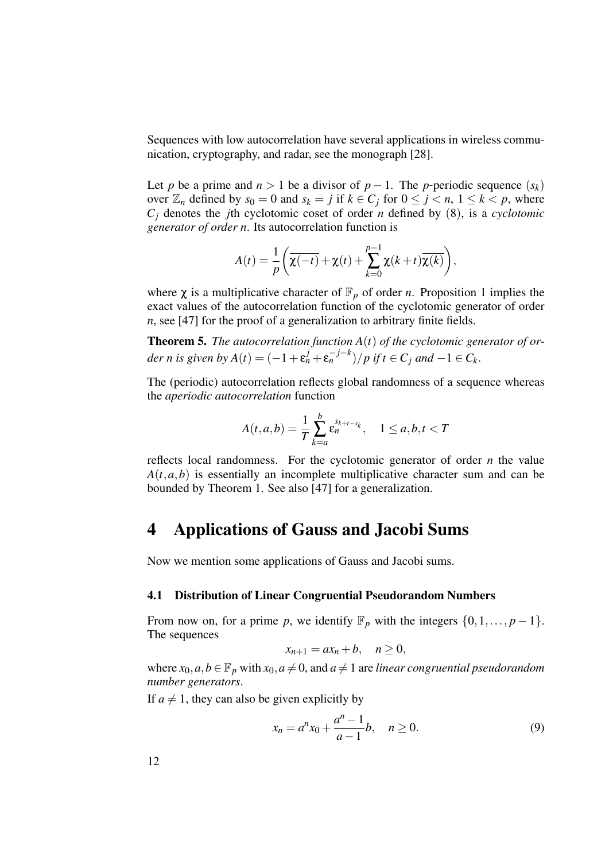Sequences with low autocorrelation have several applications in wireless communication, cryptography, and radar, see the monograph [28].

Let *p* be a prime and  $n > 1$  be a divisor of  $p - 1$ . The *p*-periodic sequence  $(s_k)$ over  $\mathbb{Z}_n$  defined by  $s_0 = 0$  and  $s_k = j$  if  $k \in C_j$  for  $0 \le j \le n, 1 \le k \le p$ , where  $C_i$  denotes the *j*th cyclotomic coset of order *n* defined by (8), is a *cyclotomic generator of order n*. Its autocorrelation function is

$$
A(t) = \frac{1}{p} \left( \overline{\chi(-t)} + \chi(t) + \sum_{k=0}^{p-1} \chi(k+t) \overline{\chi(k)} \right),
$$

where  $\chi$  is a multiplicative character of  $\mathbb{F}_p$  of order *n*. Proposition 1 implies the exact values of the autocorrelation function of the cyclotomic generator of order *n*, see [47] for the proof of a generalization to arbitrary finite fields.

Theorem 5. *The autocorrelation function A*(*t*) *of the cyclotomic generator of or* $der$  *n* is given by  $A(t) = (-1 + \varepsilon_n^j + \varepsilon_n^{-j-k})/p$  if  $t \in C_j$  and  $-1 \in C_k$ .

The (periodic) autocorrelation reflects global randomness of a sequence whereas the *aperiodic autocorrelation* function

$$
A(t,a,b) = \frac{1}{T} \sum_{k=a}^{b} \varepsilon_n^{s_{k+t-s_k}}, \quad 1 \le a, b, t < T
$$

reflects local randomness. For the cyclotomic generator of order *n* the value  $A(t, a, b)$  is essentially an incomplete multiplicative character sum and can be bounded by Theorem 1. See also [47] for a generalization.

## 4 Applications of Gauss and Jacobi Sums

Now we mention some applications of Gauss and Jacobi sums.

#### 4.1 Distribution of Linear Congruential Pseudorandom Numbers

From now on, for a prime *p*, we identify  $\mathbb{F}_p$  with the integers  $\{0,1,\ldots,p-1\}$ . The sequences

$$
x_{n+1}=ax_n+b, \quad n\geq 0,
$$

where  $x_0, a, b \in \mathbb{F}_p$  with  $x_0, a \neq 0$ , and  $a \neq 1$  are *linear congruential pseudorandom number generators*.

If  $a \neq 1$ , they can also be given explicitly by

$$
x_n = a^n x_0 + \frac{a^n - 1}{a - 1}b, \quad n \ge 0.
$$
 (9)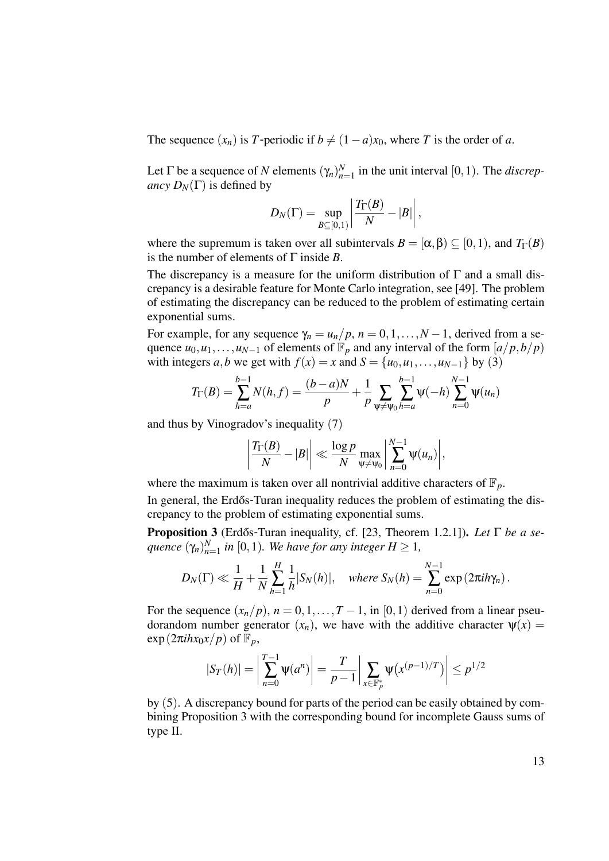The sequence  $(x_n)$  is *T*-periodic if  $b \neq (1-a)x_0$ , where *T* is the order of *a*.

Let  $\Gamma$  be a sequence of *N* elements  $(\gamma_n)_{n=1}^N$  $_{n=1}^{N}$  in the unit interval [0, 1). The *discrepancy*  $D_N(\Gamma)$  is defined by

$$
D_N(\Gamma)=\sup_{B\subseteq[0,1)}\left|\frac{T_\Gamma(B)}{N}-|B|\right|,
$$

where the supremum is taken over all subintervals  $B = [\alpha, \beta) \subseteq [0, 1)$ , and  $T_{\Gamma}(B)$ is the number of elements of Γ inside *B*.

The discrepancy is a measure for the uniform distribution of  $\Gamma$  and a small discrepancy is a desirable feature for Monte Carlo integration, see [49]. The problem of estimating the discrepancy can be reduced to the problem of estimating certain exponential sums.

For example, for any sequence  $\gamma_n = u_n/p$ ,  $n = 0, 1, \ldots, N-1$ , derived from a sequence  $u_0, u_1, \ldots, u_{N-1}$  of elements of  $\mathbb{F}_p$  and any interval of the form  $\left\lfloor \frac{a}{p}, \frac{b}{p} \right\rfloor$ with integers *a*,*b* we get with  $f(x) = x$  and  $S = \{u_0, u_1, \ldots, u_{N-1}\}$  by (3)

$$
T_{\Gamma}(B) = \sum_{h=a}^{b-1} N(h, f) = \frac{(b-a)N}{p} + \frac{1}{p} \sum_{\psi \neq \psi_0} \sum_{h=a}^{b-1} \psi(-h) \sum_{n=0}^{N-1} \psi(u_n)
$$

and thus by Vinogradov's inequality (7)

$$
\left|\frac{T_{\Gamma}(B)}{N}-|B|\right|\ll \frac{\log p}{N}\max_{\psi\neq\psi_0}\left|\sum_{n=0}^{N-1}\psi(u_n)\right|,
$$

where the maximum is taken over all nontrivial additive characters of  $\mathbb{F}_p$ .

In general, the Erdős-Turan inequality reduces the problem of estimating the discrepancy to the problem of estimating exponential sums.

**Proposition 3** (Erdős-Turan inequality, cf. [23, Theorem 1.2.1]). *Let* Γ *be a sequence* (γ*n*) *N*  $_{n=1}^{N}$  in [0, 1). We have for any integer  $H \geq 1$ ,

$$
D_N(\Gamma)\ll \frac{1}{H}+\frac{1}{N}\sum_{h=1}^H\frac{1}{h}|S_N(h)|, \quad \text{where } S_N(h)=\sum_{n=0}^{N-1}\exp(2\pi i h\gamma_n).
$$

For the sequence  $(x_n/p)$ ,  $n = 0, 1, \ldots, T-1$ , in [0,1) derived from a linear pseudorandom number generator  $(x_n)$ , we have with the additive character  $\psi(x)$  $\exp(2\pi i hx_0x/p)$  of  $\mathbb{F}_p$ ,

$$
|S_T(h)| = \left| \sum_{n=0}^{T-1} \Psi(a^n) \right| = \frac{T}{p-1} \left| \sum_{x \in \mathbb{F}_p^*} \Psi(x^{(p-1)/T}) \right| \le p^{1/2}
$$

by (5). A discrepancy bound for parts of the period can be easily obtained by combining Proposition 3 with the corresponding bound for incomplete Gauss sums of type II.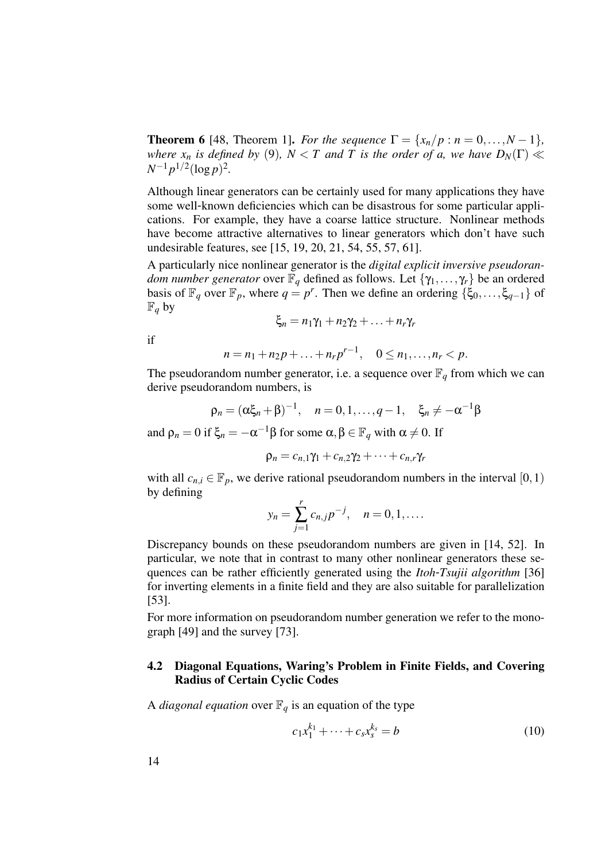**Theorem 6** [48, Theorem 1]. *For the sequence*  $\Gamma = \{x_n/p : n = 0, ..., N-1\}$ , *where*  $x_n$  *is defined by* (9)*,*  $N < T$  *and*  $T$  *is the order of a, we have*  $D_N(\Gamma) \ll T$  $N^{-1}p^{1/2}(\log p)^2$ .

Although linear generators can be certainly used for many applications they have some well-known deficiencies which can be disastrous for some particular applications. For example, they have a coarse lattice structure. Nonlinear methods have become attractive alternatives to linear generators which don't have such undesirable features, see [15, 19, 20, 21, 54, 55, 57, 61].

A particularly nice nonlinear generator is the *digital explicit inversive pseudorandom number generator* over  $\mathbb{F}_q$  defined as follows. Let  $\{\gamma_1, \ldots, \gamma_r\}$  be an ordered basis of  $\mathbb{F}_q$  over  $\mathbb{F}_p$ , where  $q = p^r$ . Then we define an ordering  $\{\xi_0, \ldots, \xi_{q-1}\}$  of  $\mathbb{F}_q$  by

$$
\xi_n = n_1 \gamma_1 + n_2 \gamma_2 + \ldots + n_r \gamma_r
$$

if

$$
n = n_1 + n_2p + \ldots + n_rp^{r-1}, \quad 0 \le n_1, \ldots, n_r < p.
$$

The pseudorandom number generator, i.e. a sequence over  $\mathbb{F}_q$  from which we can derive pseudorandom numbers, is

$$
\rho_n = (\alpha \xi_n + \beta)^{-1}, \quad n = 0, 1, \dots, q - 1, \quad \xi_n \neq -\alpha^{-1}\beta
$$

and  $\rho_n = 0$  if  $\xi_n = -\alpha^{-1}\beta$  for some  $\alpha, \beta \in \mathbb{F}_q$  with  $\alpha \neq 0$ . If

$$
\rho_n = c_{n,1}\gamma_1 + c_{n,2}\gamma_2 + \cdots + c_{n,r}\gamma_r
$$

with all  $c_{n,i} \in \mathbb{F}_p$ , we derive rational pseudorandom numbers in the interval [0, 1) by defining

$$
y_n = \sum_{j=1}^r c_{n,j} p^{-j}, \quad n = 0, 1, ....
$$

Discrepancy bounds on these pseudorandom numbers are given in [14, 52]. In particular, we note that in contrast to many other nonlinear generators these sequences can be rather efficiently generated using the *Itoh*-*Tsujii algorithm* [36] for inverting elements in a finite field and they are also suitable for parallelization [53].

For more information on pseudorandom number generation we refer to the monograph [49] and the survey [73].

## 4.2 Diagonal Equations, Waring's Problem in Finite Fields, and Covering Radius of Certain Cyclic Codes

A *diagonal equation* over  $\mathbb{F}_q$  is an equation of the type

$$
c_1 x_1^{k_1} + \dots + c_s x_s^{k_s} = b \tag{10}
$$

14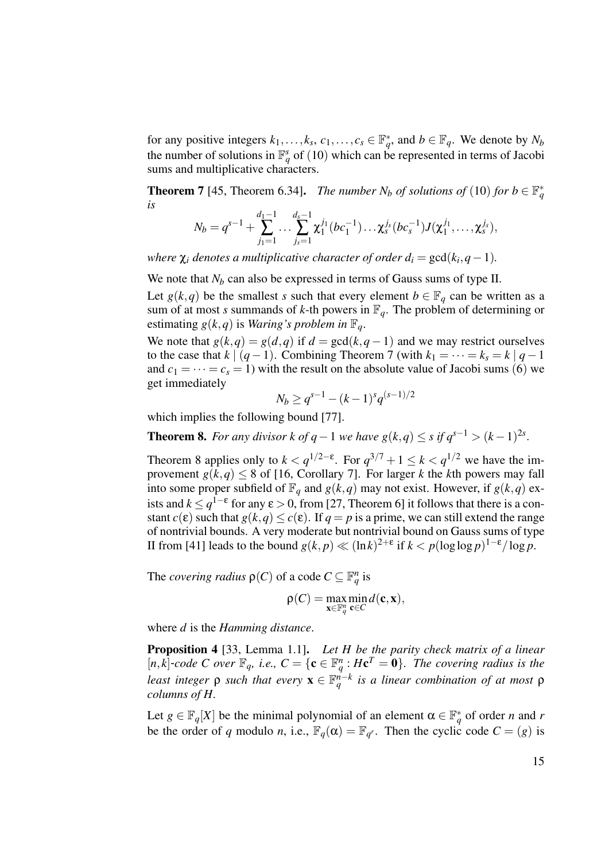for any positive integers  $k_1, \ldots, k_s, c_1, \ldots, c_s \in \mathbb{F}_q^*$ , and  $b \in \mathbb{F}_q$ . We denote by  $N_b$ the number of solutions in  $\mathbb{F}_q^s$  of (10) which can be represented in terms of Jacobi sums and multiplicative characters.

**Theorem 7** [45, Theorem 6.34]. *The number N<sub>b</sub> of solutions of* (10) *for*  $b \in \mathbb{F}_q^*$ *is*

$$
N_b=q^{s-1}+\sum_{j_1=1}^{d_1-1}\ldots\sum_{j_s=1}^{d_s-1}\chi_1^{j_1}(bc_1^{-1})\ldots\chi_s^{j_s}(bc_s^{-1})J(\chi_1^{j_1},\ldots,\chi_s^{j_s}),
$$

*where*  $\chi_i$  *denotes a multiplicative character of order*  $d_i = \gcd(k_i, q - 1)$ *.* 

We note that *N<sub>b</sub>* can also be expressed in terms of Gauss sums of type II.

Let  $g(k,q)$  be the smallest *s* such that every element  $b \in \mathbb{F}_q$  can be written as a sum of at most *s* summands of *k*-th powers in  $\mathbb{F}_q$ . The problem of determining or estimating  $g(k,q)$  is *Waring's problem in*  $\mathbb{F}_q$ .

We note that  $g(k,q) = g(d,q)$  if  $d = \gcd(k,q-1)$  and we may restrict ourselves to the case that  $k \mid (q-1)$ . Combining Theorem 7 (with  $k_1 = \cdots = k_s = k \mid q-1$ and  $c_1 = \cdots = c_s = 1$ ) with the result on the absolute value of Jacobi sums (6) we get immediately

$$
N_b \ge q^{s-1} - (k-1)^s q^{(s-1)/2}
$$

which implies the following bound [77].

**Theorem 8.** *For any divisor k of q* − 1 *we have g*( $k$ , $q$ ) ≤ *s if*  $q^{s-1}$  > ( $k$  − 1)<sup>2*s*</sup>.

Theorem 8 applies only to  $k < q^{1/2-\epsilon}$ . For  $q^{3/7} + 1 \le k < q^{1/2}$  we have the improvement  $g(k,q) \leq 8$  of [16, Corollary 7]. For larger *k* the *k*th powers may fall into some proper subfield of  $\mathbb{F}_q$  and  $g(k,q)$  may not exist. However, if  $g(k,q)$  exists and  $k \leq q^{1-\epsilon}$  for any  $\epsilon > 0$ , from [27, Theorem 6] it follows that there is a constant *c*( $\varepsilon$ ) such that  $g(k,q) \leq c(\varepsilon)$ . If  $q = p$  is a prime, we can still extend the range of nontrivial bounds. A very moderate but nontrivial bound on Gauss sums of type II from [41] leads to the bound  $g(k, p) \ll (\ln k)^{2+\epsilon}$  if  $k < p(\log \log p)^{1-\epsilon}/\log p$ .

The *covering radius*  $\rho(C)$  of a code  $C \subseteq \mathbb{F}_q^n$  is

$$
\rho(C) = \max_{\mathbf{x} \in \mathbb{F}_q^n} \min_{\mathbf{c} \in C} d(\mathbf{c}, \mathbf{x}),
$$

where *d* is the *Hamming distance*.

Proposition 4 [33, Lemma 1.1]. *Let H be the parity check matrix of a linear*  $[n, k]$ -code C over  $\mathbb{F}_q$ *, i.e.,*  $C = \{c \in \mathbb{F}_q^n : Hc^T = 0\}$ *. The covering radius is the least integer*  $ρ$  *such that every*  $\mathbf{x} \in \mathbb{F}_q^{n-k}$  *is a linear combination of at most*  $ρ$ *columns of H.*

Let  $g \in \mathbb{F}_q[X]$  be the minimal polynomial of an element  $\alpha \in \mathbb{F}_q^*$  of order *n* and *r* be the order of *q* modulo *n*, i.e.,  $\mathbb{F}_q(\alpha) = \mathbb{F}_{q^r}$ . Then the cyclic code  $C = (g)$  is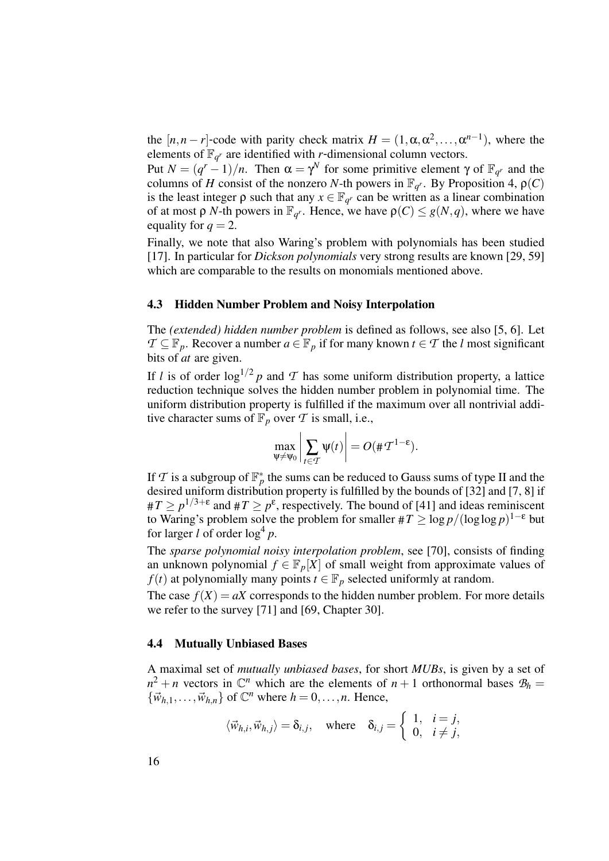the  $[n, n-r]$ -code with parity check matrix  $H = (1, \alpha, \alpha^2, \dots, \alpha^{n-1})$ , where the elements of  $\mathbb{F}_{q^r}$  are identified with *r*-dimensional column vectors.

Put  $N = (q^r - 1)/n$ . Then  $\alpha = \gamma^N$  for some primitive element  $\gamma$  of  $\mathbb{F}_{q^r}$  and the columns of *H* consist of the nonzero *N*-th powers in  $\mathbb{F}_{q^r}$ . By Proposition 4,  $\rho(C)$ is the least integer  $\rho$  such that any  $x \in \mathbb{F}_{q}$  can be written as a linear combination of at most  $\rho$  *N*-th powers in  $\mathbb{F}_{q}$ . Hence, we have  $\rho(C) \leq g(N, q)$ , where we have equality for  $q = 2$ .

Finally, we note that also Waring's problem with polynomials has been studied [17]. In particular for *Dickson polynomials* very strong results are known [29, 59] which are comparable to the results on monomials mentioned above.

#### 4.3 Hidden Number Problem and Noisy Interpolation

The *(extended) hidden number problem* is defined as follows, see also [5, 6]. Let *T* ⊆  $\mathbb{F}_p$ . Recover a number *a* ∈  $\mathbb{F}_p$  if for many known *t* ∈ *T* the *l* most significant bits of *at* are given.

If *l* is of order  $\log^{1/2} p$  and *T* has some uniform distribution property, a lattice reduction technique solves the hidden number problem in polynomial time. The uniform distribution property is fulfilled if the maximum over all nontrivial additive character sums of  $\mathbb{F}_p$  over  $\mathcal T$  is small, i.e.,

$$
\max_{\Psi \neq \Psi_0} \left| \sum_{t \in \mathcal{T}} \Psi(t) \right| = O(\#\mathcal{T}^{1-\epsilon}).
$$

If  $\mathcal T$  is a subgroup of  $\mathbb F_p^*$  the sums can be reduced to Gauss sums of type II and the desired uniform distribution property is fulfilled by the bounds of [32] and [7, 8] if  $\#T \ge p^{1/3+\epsilon}$  and  $\#T \ge p^{\epsilon}$ , respectively. The bound of [41] and ideas reminiscent to Waring's problem solve the problem for smaller  $\#T \geq \log p/(\log \log p)^{1-\epsilon}$  but for larger  $l$  of order  $\log^4 p$ .

The *sparse polynomial noisy interpolation problem*, see [70], consists of finding an unknown polynomial  $f \in \mathbb{F}_p[X]$  of small weight from approximate values of *f*(*t*) at polynomially many points *t*  $\in \mathbb{F}_p$  selected uniformly at random.

The case  $f(X) = aX$  corresponds to the hidden number problem. For more details we refer to the survey [71] and [69, Chapter 30].

## 4.4 Mutually Unbiased Bases

A maximal set of *mutually unbiased bases*, for short *MUBs*, is given by a set of  $n^2 + n$  vectors in  $\mathbb{C}^n$  which are the elements of  $n + 1$  orthonormal bases  $\mathcal{B}_h =$  ${\vec{w}}_{h,1},\ldots,{\vec{w}}_{h,n}$  of  $\mathbb{C}^n$  where  $h=0,\ldots,n$ . Hence,

$$
\langle \vec{w}_{h,i}, \vec{w}_{h,j} \rangle = \delta_{i,j}
$$
, where  $\delta_{i,j} = \begin{cases} 1, & i = j, \\ 0, & i \neq j, \end{cases}$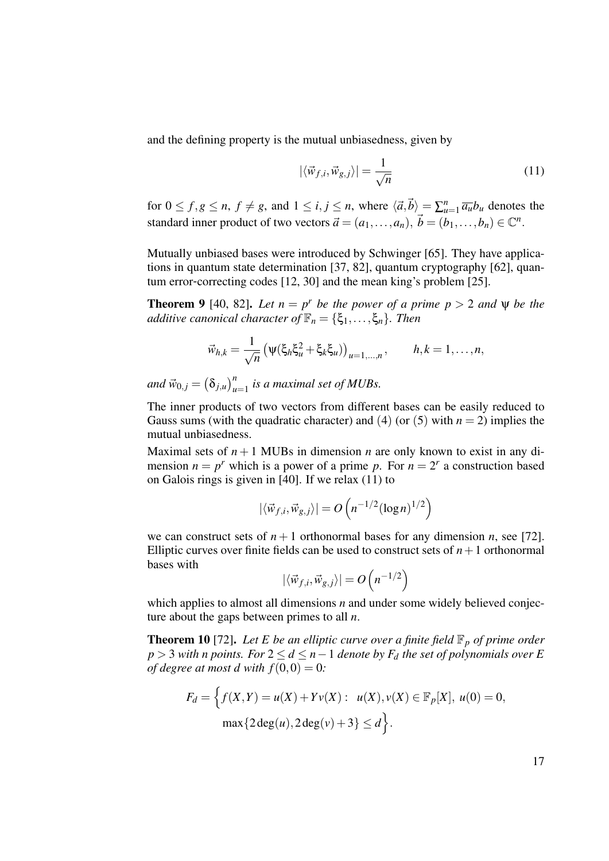and the defining property is the mutual unbiasedness, given by

$$
|\langle \vec{w}_{f,i}, \vec{w}_{g,j} \rangle| = \frac{1}{\sqrt{n}} \tag{11}
$$

for  $0 \le f, g \le n$ ,  $f \ne g$ , and  $1 \le i, j \le n$ , where  $\langle \vec{a}, \vec{b} \rangle = \sum_{u=1}^{n} \overline{a_u} b_u$  denotes the standard inner product of two vectors  $\vec{a} = (a_1, \ldots, a_n), \vec{b} = (b_1, \ldots, b_n) \in \mathbb{C}^n$ .

Mutually unbiased bases were introduced by Schwinger [65]. They have applications in quantum state determination [37, 82], quantum cryptography [62], quantum error-correcting codes [12, 30] and the mean king's problem [25].

**Theorem 9** [40, 82]. Let  $n = p^r$  be the power of a prime  $p > 2$  and  $\psi$  be the *additive canonical character of*  $\mathbb{F}_n = {\xi_1, \ldots, \xi_n}$ *. Then* 

$$
\vec{w}_{h,k} = \frac{1}{\sqrt{n}} \left( \psi(\xi_h \xi_u^2 + \xi_k \xi_u) \right)_{u=1,\dots,n}, \qquad h,k = 1,\dots,n,
$$

 $and \ \vec{w}_{0,j} = (\delta_{j,u})_{u=1}^n$  *is a maximal set of MUBs.* 

The inner products of two vectors from different bases can be easily reduced to Gauss sums (with the quadratic character) and (4) (or (5) with  $n = 2$ ) implies the mutual unbiasedness.

Maximal sets of  $n+1$  MUBs in dimension *n* are only known to exist in any dimension  $n = p^r$  which is a power of a prime p. For  $n = 2^r$  a construction based on Galois rings is given in [40]. If we relax (11) to

$$
|\langle \vec{w}_{f,i}, \vec{w}_{g,j} \rangle| = O\left(n^{-1/2} (\log n)^{1/2}\right)
$$

we can construct sets of  $n+1$  orthonormal bases for any dimension *n*, see [72]. Elliptic curves over finite fields can be used to construct sets of  $n+1$  orthonormal bases with

$$
|\langle \vec{w}_{f,i}, \vec{w}_{g,j} \rangle| = O\left(n^{-1/2}\right)
$$

which applies to almost all dimensions *n* and under some widely believed conjecture about the gaps between primes to all *n*.

**Theorem 10** [72]. Let E be an elliptic curve over a finite field  $\mathbb{F}_p$  of prime order *p* > 3 *with n points. For* 2 ≤ *d* ≤ *n*−1 *denote by F<sup>d</sup> the set of polynomials over E of degree at most d with*  $f(0,0) = 0$ *:* 

$$
F_d = \left\{ f(X, Y) = u(X) + Yv(X) : u(X), v(X) \in \mathbb{F}_p[X], u(0) = 0, \max\{2 \deg(u), 2 \deg(v) + 3\} \le d \right\}.
$$

17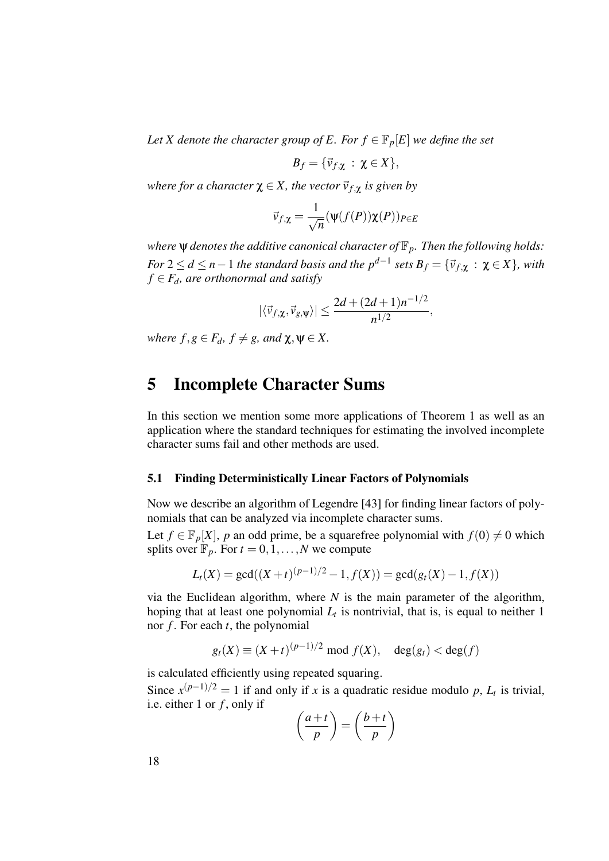*Let X denote the character group of E. For*  $f \in \mathbb{F}_p[E]$  *we define the set* 

$$
B_f=\{\vec{v}_{f,\chi}:\,\chi\in X\},\,
$$

*where for a character*  $\chi \in X$ *, the vector*  $\vec{v}_{f,\chi}$  *is given by* 

$$
\vec{v}_{f,\chi} = \frac{1}{\sqrt{n}} (\psi(f(P))\chi(P))_{P \in E}
$$

*where* ψ *denotes the additive canonical character of* F*p. Then the following holds:*  $For$   $2 \le d \le n-1$  the standard basis and the  $p^{d-1}$  sets  $B_f = \{\vec{v}_{f, \chi} \,:\, \chi \in X\}$ , with  $f \in F_d$ *, are orthonormal and satisfy* 

$$
|\langle \vec{v}_{f,\chi}, \vec{v}_{g,\psi} \rangle| \leq \frac{2d + (2d+1)n^{-1/2}}{n^{1/2}},
$$

*where*  $f, g \in F_d$ ,  $f \neq g$ , and  $\chi, \psi \in X$ .

## 5 Incomplete Character Sums

In this section we mention some more applications of Theorem 1 as well as an application where the standard techniques for estimating the involved incomplete character sums fail and other methods are used.

#### 5.1 Finding Deterministically Linear Factors of Polynomials

Now we describe an algorithm of Legendre [43] for finding linear factors of polynomials that can be analyzed via incomplete character sums.

Let  $f \in \mathbb{F}_p[X]$ , *p* an odd prime, be a squarefree polynomial with  $f(0) \neq 0$  which splits over  $\mathbb{F}_p$ . For  $t = 0, 1, \ldots, N$  we compute

$$
L_t(X) = \gcd((X+t)^{(p-1)/2} - 1, f(X)) = \gcd(g_t(X) - 1, f(X))
$$

via the Euclidean algorithm, where *N* is the main parameter of the algorithm, hoping that at least one polynomial  $L_t$  is nontrivial, that is, is equal to neither 1 nor *f* . For each *t*, the polynomial

$$
g_t(X) \equiv (X+t)^{(p-1)/2} \bmod f(X), \quad \deg(g_t) < \deg(f)
$$

is calculated efficiently using repeated squaring.

Since  $x^{(p-1)/2} = 1$  if and only if *x* is a quadratic residue modulo *p*,  $L_t$  is trivial, i.e. either 1 or *f* , only if

$$
\left(\frac{a+t}{p}\right) = \left(\frac{b+t}{p}\right)
$$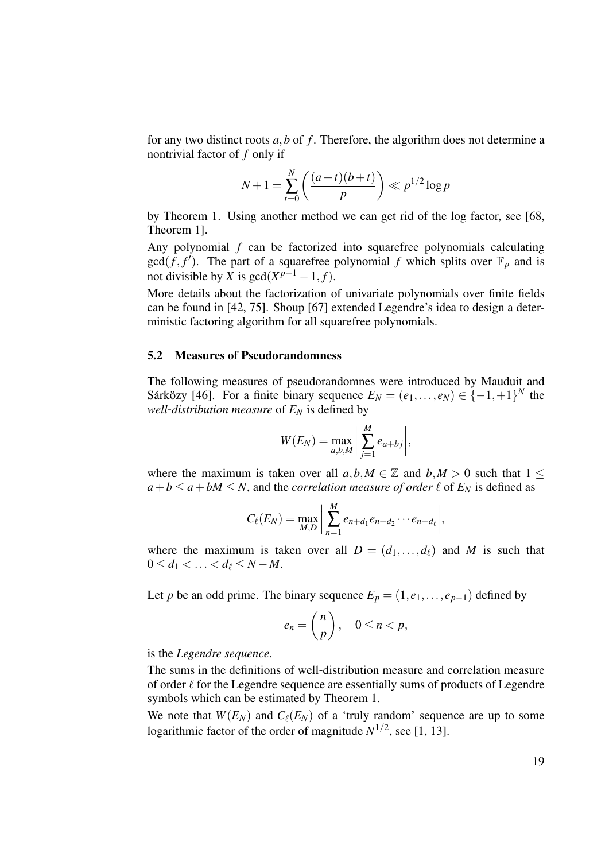for any two distinct roots *a*,*b* of *f* . Therefore, the algorithm does not determine a nontrivial factor of *f* only if

$$
N+1 = \sum_{t=0}^{N} \left( \frac{(a+t)(b+t)}{p} \right) \ll p^{1/2} \log p
$$

by Theorem 1. Using another method we can get rid of the log factor, see [68, Theorem 1].

Any polynomial *f* can be factorized into squarefree polynomials calculating  $gcd(f, f')$ . The part of a squarefree polynomial *f* which splits over  $\mathbb{F}_p$  and is not divisible by *X* is  $gcd(X^{p-1} - 1, f)$ .

More details about the factorization of univariate polynomials over finite fields can be found in [42, 75]. Shoup [67] extended Legendre's idea to design a deterministic factoring algorithm for all squarefree polynomials.

#### 5.2 Measures of Pseudorandomness

The following measures of pseudorandomnes were introduced by Mauduit and Sárközy [46]. For a finite binary sequence  $E_N = (e_1, \ldots, e_N) \in \{-1, +1\}^N$  the *well-distribution measure* of  $E_N$  is defined by

$$
W(E_N) = \max_{a,b,M} \left| \sum_{j=1}^M e_{a+bj} \right|,
$$

where the maximum is taken over all  $a, b, M \in \mathbb{Z}$  and  $b, M > 0$  such that  $1 \leq$  $a + b \le a + bM \le N$ , and the *correlation measure of order*  $\ell$  of  $E_N$  is defined as

$$
C_{\ell}(E_N)=\max_{M,D}\bigg|\sum_{n=1}^M e_{n+d_1}e_{n+d_2}\cdots e_{n+d_{\ell}}\bigg|,
$$

where the maximum is taken over all  $D = (d_1, \ldots, d_\ell)$  and *M* is such that  $0 \le d_1 \le \ldots \le d_\ell \le N - M$ .

Let *p* be an odd prime. The binary sequence  $E_p = (1, e_1, \ldots, e_{p-1})$  defined by

$$
e_n = \left(\frac{n}{p}\right), \quad 0 \le n < p,
$$

is the *Legendre sequence*.

The sums in the definitions of well-distribution measure and correlation measure of order  $\ell$  for the Legendre sequence are essentially sums of products of Legendre symbols which can be estimated by Theorem 1.

We note that  $W(E_N)$  and  $C_{\ell}(E_N)$  of a 'truly random' sequence are up to some logarithmic factor of the order of magnitude  $N^{1/2}$ , see [1, 13].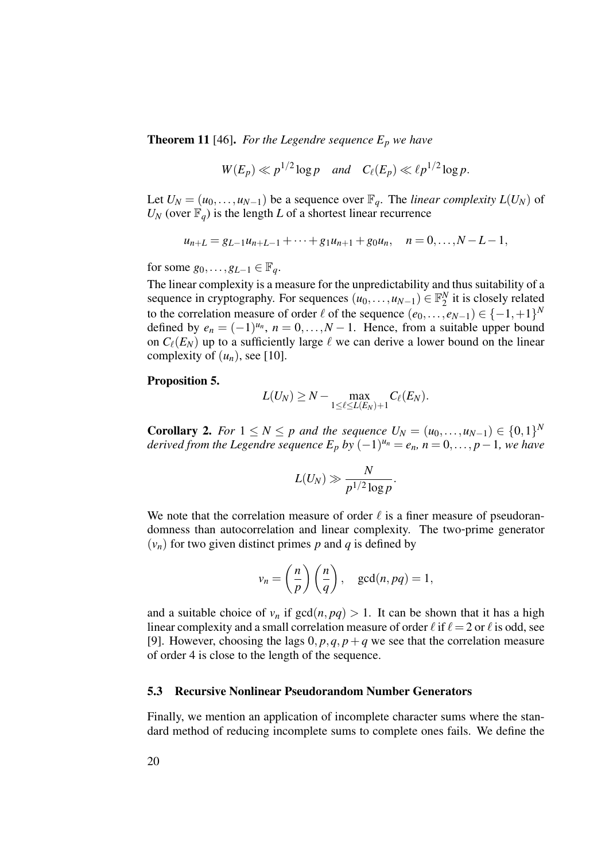**Theorem 11** [46]. *For the Legendre sequence*  $E_p$  *we have* 

$$
W(E_p) \ll p^{1/2} \log p
$$
 and  $C_{\ell}(E_p) \ll \ell p^{1/2} \log p$ .

Let  $U_N = (u_0, \ldots, u_{N-1})$  be a sequence over  $\mathbb{F}_q$ . The *linear complexity*  $L(U_N)$  of  $U_N$  (over  $\mathbb{F}_q$ ) is the length *L* of a shortest linear recurrence

$$
u_{n+L} = g_{L-1}u_{n+L-1} + \cdots + g_1u_{n+1} + g_0u_n, \quad n = 0, \ldots, N-L-1,
$$

for some  $g_0, \ldots, g_{L-1} \in \mathbb{F}_q$ .

The linear complexity is a measure for the unpredictability and thus suitability of a sequence in cryptography. For sequences  $(u_0, \ldots, u_{N-1}) \in \mathbb{F}_2^N$  $\frac{N}{2}$  it is closely related to the correlation measure of order  $\ell$  of the sequence  $(e_0, \ldots, e_{N-1}) \in \{-1, +1\}^N$ defined by  $e_n = (-1)^{u_n}$ ,  $n = 0, \ldots, N-1$ . Hence, from a suitable upper bound on  $C_{\ell}(E_N)$  up to a sufficiently large  $\ell$  we can derive a lower bound on the linear complexity of  $(u_n)$ , see [10].

#### Proposition 5.

$$
L(U_N)\geq N-\max_{1\leq \ell\leq L(E_N)+1}C_\ell(E_N).
$$

**Corollary 2.** For 1 ≤ N ≤ p and the sequence  $U_N = (u_0, ..., u_{N-1}) \in \{0, 1\}^N$ *derived from the Legendre sequence*  $E_p$  *by*  $(-1)^{u_n} = e_n$ ,  $n = 0, \ldots, p-1$ , we have

$$
L(U_N) \gg \frac{N}{p^{1/2}\log p}.
$$

We note that the correlation measure of order  $\ell$  is a finer measure of pseudorandomness than autocorrelation and linear complexity. The two-prime generator  $(v_n)$  for two given distinct primes *p* and *q* is defined by

$$
v_n = \left(\frac{n}{p}\right)\left(\frac{n}{q}\right)
$$
,  $gcd(n, pq) = 1$ ,

and a suitable choice of  $v_n$  if  $gcd(n, pq) > 1$ . It can be shown that it has a high linear complexity and a small correlation measure of order  $\ell$  if  $\ell = 2$  or  $\ell$  is odd, see [9]. However, choosing the lags  $0, p, q, p + q$  we see that the correlation measure of order 4 is close to the length of the sequence.

#### 5.3 Recursive Nonlinear Pseudorandom Number Generators

Finally, we mention an application of incomplete character sums where the standard method of reducing incomplete sums to complete ones fails. We define the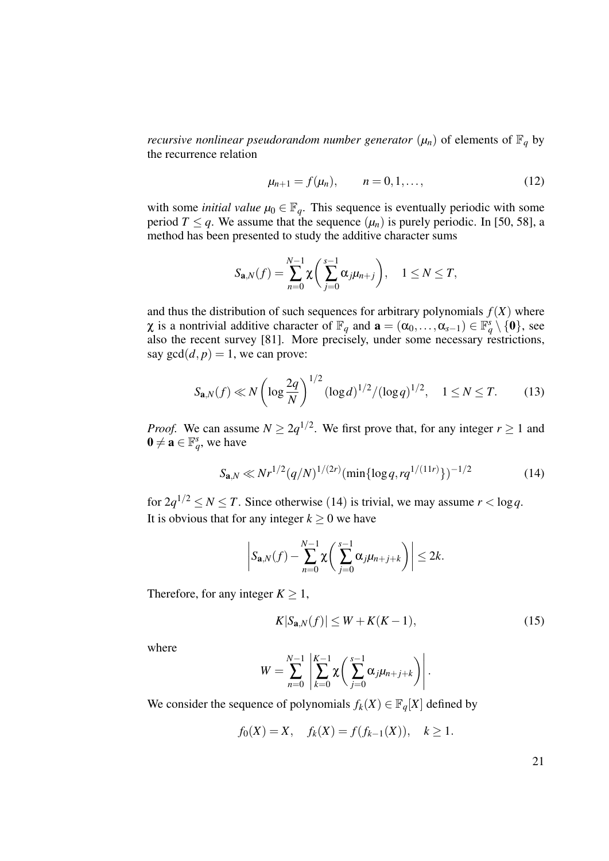*recursive nonlinear pseudorandom number generator*  $(\mu_n)$  of elements of  $\mathbb{F}_q$  by the recurrence relation

$$
\mu_{n+1} = f(\mu_n), \qquad n = 0, 1, \dots,
$$
 (12)

with some *initial value*  $\mu_0 \in \mathbb{F}_q$ . This sequence is eventually periodic with some period *T*  $\leq$  *q*. We assume that the sequence  $(\mu_n)$  is purely periodic. In [50, 58], a method has been presented to study the additive character sums

$$
S_{\mathbf{a},N}(f) = \sum_{n=0}^{N-1} \chi \bigg( \sum_{j=0}^{s-1} \alpha_j \mu_{n+j} \bigg), \quad 1 \le N \le T,
$$

and thus the distribution of such sequences for arbitrary polynomials  $f(X)$  where  $\chi$  is a nontrivial additive character of  $\mathbb{F}_q$  and  $\mathbf{a} = (\alpha_0, \dots, \alpha_{s-1}) \in \mathbb{F}_q^s \setminus \{0\}$ , see also the recent survey [81]. More precisely, under some necessary restrictions, say  $gcd(d, p) = 1$ , we can prove:

$$
S_{\mathbf{a},N}(f) \ll N \left( \log \frac{2q}{N} \right)^{1/2} (\log d)^{1/2} / (\log q)^{1/2}, \quad 1 \le N \le T. \tag{13}
$$

*Proof.* We can assume  $N \ge 2q^{1/2}$ . We first prove that, for any integer  $r \ge 1$  and  $\mathbf{0} \neq \mathbf{a} \in \mathbb{F}_q^s$ , we have

$$
S_{\mathbf{a},N} \ll Nr^{1/2}(q/N)^{1/(2r)}(\min\{\log q, rq^{1/(11r)}\})^{-1/2}
$$
 (14)

for  $2q^{1/2} \le N \le T$ . Since otherwise (14) is trivial, we may assume  $r < \log q$ . It is obvious that for any integer  $k \geq 0$  we have

$$
\left|S_{\mathbf{a},N}(f)-\sum_{n=0}^{N-1}\chi\bigg(\sum_{j=0}^{s-1}\alpha_j\mu_{n+j+k}\bigg)\right|\leq 2k.
$$

Therefore, for any integer  $K \geq 1$ ,

$$
K|S_{\mathbf{a},N}(f)| \le W + K(K-1),\tag{15}
$$

where

$$
W = \sum_{n=0}^{N-1} \left| \sum_{k=0}^{K-1} \chi \left( \sum_{j=0}^{s-1} \alpha_j \mu_{n+j+k} \right) \right|.
$$

We consider the sequence of polynomials  $f_k(X) \in \mathbb{F}_q[X]$  defined by

$$
f_0(X) = X
$$
,  $f_k(X) = f(f_{k-1}(X))$ ,  $k \ge 1$ .

21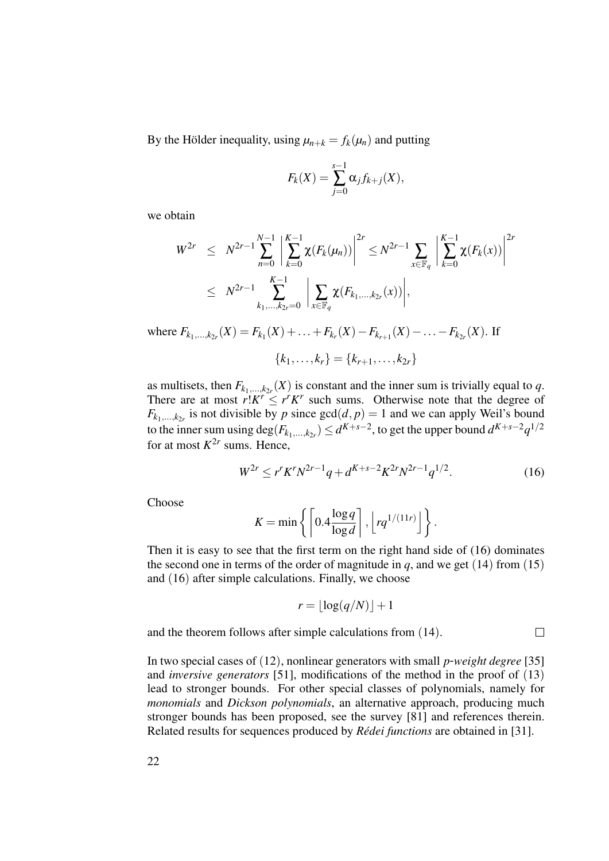By the Hölder inequality, using  $\mu_{n+k} = f_k(\mu_n)$  and putting

$$
F_k(X) = \sum_{j=0}^{s-1} \alpha_j f_{k+j}(X),
$$

we obtain

$$
W^{2r} \leq N^{2r-1} \sum_{n=0}^{N-1} \left| \sum_{k=0}^{K-1} \chi(F_k(\mu_n)) \right|^{2r} \leq N^{2r-1} \sum_{x \in \mathbb{F}_q} \left| \sum_{k=0}^{K-1} \chi(F_k(x)) \right|^{2r}
$$
  

$$
\leq N^{2r-1} \sum_{k_1, ..., k_{2r}=0}^{K-1} \left| \sum_{x \in \mathbb{F}_q} \chi(F_{k_1, ..., k_{2r}}(x)) \right|,
$$

where  $F_{k_1,...,k_{2r}}(X) = F_{k_1}(X) + ... + F_{k_r}(X) - F_{k_{r+1}}(X) - ... - F_{k_{2r}}(X)$ . If

$$
\{k_1, \ldots, k_r\} = \{k_{r+1}, \ldots, k_{2r}\}\
$$

as multisets, then  $F_{k_1,...,k_{2r}}(X)$  is constant and the inner sum is trivially equal to *q*. There are at most  $r!K^r \leq r^rK^r$  such sums. Otherwise note that the degree of  $F_{k_1,...,k_{2r}}$  is not divisible by *p* since  $gcd(d, p) = 1$  and we can apply Weil's bound to the inner sum using  $\deg(F_{k_1,\ldots,k_{2r}}) \le d^{K+s-2}$ , to get the upper bound  $d^{K+s-2}q^{1/2}$ for at most  $K^{2r}$  sums. Hence,

$$
W^{2r} \le r^r K^r N^{2r-1} q + d^{K+s-2} K^{2r} N^{2r-1} q^{1/2}.
$$
 (16)

 $\Box$ 

**Choose** 

$$
K = \min \left\{ \left\lceil 0.4 \frac{\log q}{\log d} \right\rceil, \left\lfloor r q^{1/(11r)} \right\rfloor \right\}.
$$

Then it is easy to see that the first term on the right hand side of (16) dominates the second one in terms of the order of magnitude in  $q$ , and we get (14) from (15) and (16) after simple calculations. Finally, we choose

$$
r = \lfloor \log(q/N) \rfloor + 1
$$

and the theorem follows after simple calculations from (14).

In two special cases of (12), nonlinear generators with small *p*-*weight degree* [35] and *inversive generators* [51], modifications of the method in the proof of (13) lead to stronger bounds. For other special classes of polynomials, namely for *monomials* and *Dickson polynomials*, an alternative approach, producing much stronger bounds has been proposed, see the survey [81] and references therein. Related results for sequences produced by *Rédei functions* are obtained in [31].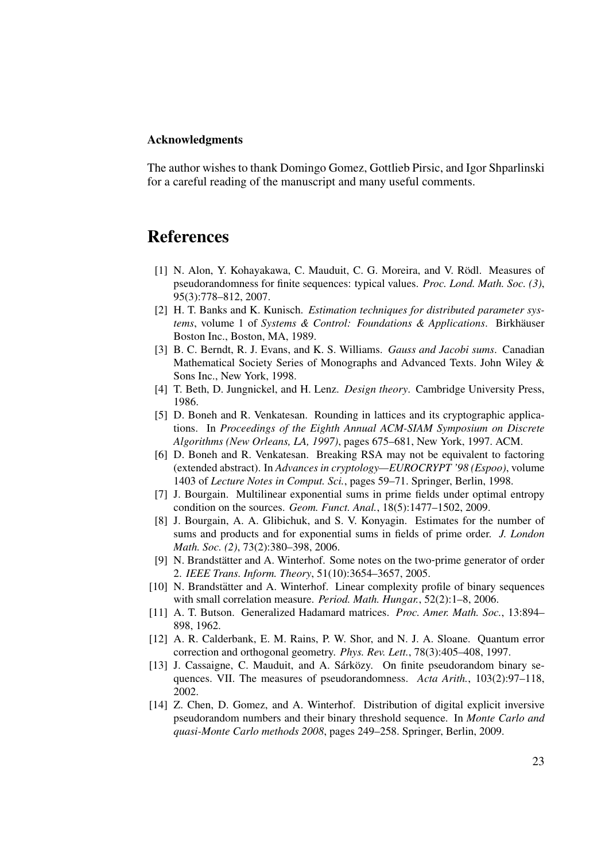## Acknowledgments

The author wishes to thank Domingo Gomez, Gottlieb Pirsic, and Igor Shparlinski for a careful reading of the manuscript and many useful comments.

## References

- [1] N. Alon, Y. Kohayakawa, C. Mauduit, C. G. Moreira, and V. Rödl. Measures of pseudorandomness for finite sequences: typical values. *Proc. Lond. Math. Soc. (3)*, 95(3):778–812, 2007.
- [2] H. T. Banks and K. Kunisch. *Estimation techniques for distributed parameter systems*, volume 1 of *Systems & Control: Foundations & Applications*. Birkhäuser Boston Inc., Boston, MA, 1989.
- [3] B. C. Berndt, R. J. Evans, and K. S. Williams. *Gauss and Jacobi sums*. Canadian Mathematical Society Series of Monographs and Advanced Texts. John Wiley & Sons Inc., New York, 1998.
- [4] T. Beth, D. Jungnickel, and H. Lenz. *Design theory*. Cambridge University Press, 1986.
- [5] D. Boneh and R. Venkatesan. Rounding in lattices and its cryptographic applications. In *Proceedings of the Eighth Annual ACM-SIAM Symposium on Discrete Algorithms (New Orleans, LA, 1997)*, pages 675–681, New York, 1997. ACM.
- [6] D. Boneh and R. Venkatesan. Breaking RSA may not be equivalent to factoring (extended abstract). In *Advances in cryptology—EUROCRYPT '98 (Espoo)*, volume 1403 of *Lecture Notes in Comput. Sci.*, pages 59–71. Springer, Berlin, 1998.
- [7] J. Bourgain. Multilinear exponential sums in prime fields under optimal entropy condition on the sources. *Geom. Funct. Anal.*, 18(5):1477–1502, 2009.
- [8] J. Bourgain, A. A. Glibichuk, and S. V. Konyagin. Estimates for the number of sums and products and for exponential sums in fields of prime order. *J. London Math. Soc. (2)*, 73(2):380–398, 2006.
- [9] N. Brandstätter and A. Winterhof. Some notes on the two-prime generator of order 2. *IEEE Trans. Inform. Theory*, 51(10):3654–3657, 2005.
- [10] N. Brandstätter and A. Winterhof. Linear complexity profile of binary sequences with small correlation measure. *Period. Math. Hungar.*, 52(2):1–8, 2006.
- [11] A. T. Butson. Generalized Hadamard matrices. *Proc. Amer. Math. Soc.*, 13:894– 898, 1962.
- [12] A. R. Calderbank, E. M. Rains, P. W. Shor, and N. J. A. Sloane. Quantum error correction and orthogonal geometry. *Phys. Rev. Lett.*, 78(3):405–408, 1997.
- [13] J. Cassaigne, C. Mauduit, and A. Sárközy. On finite pseudorandom binary sequences. VII. The measures of pseudorandomness. *Acta Arith.*, 103(2):97–118, 2002.
- [14] Z. Chen, D. Gomez, and A. Winterhof. Distribution of digital explicit inversive pseudorandom numbers and their binary threshold sequence. In *Monte Carlo and quasi-Monte Carlo methods 2008*, pages 249–258. Springer, Berlin, 2009.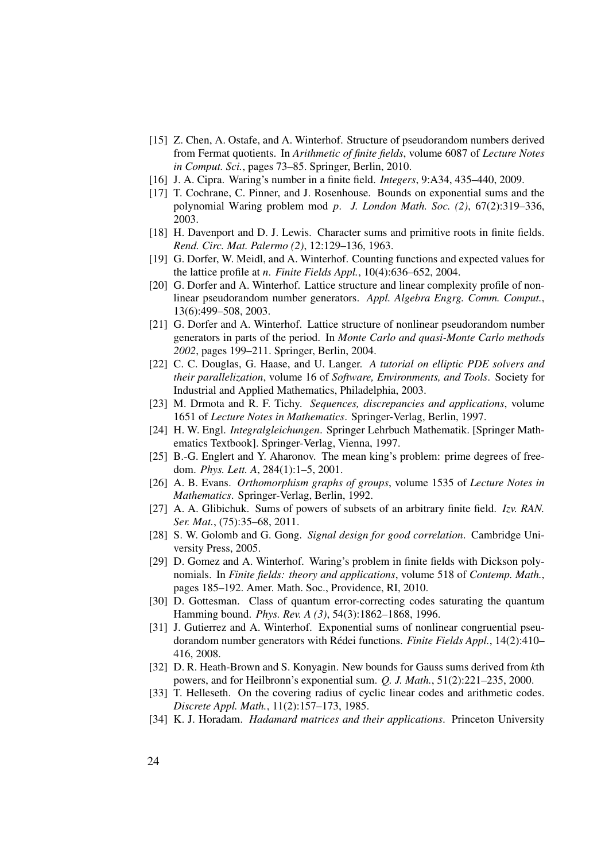- [15] Z. Chen, A. Ostafe, and A. Winterhof. Structure of pseudorandom numbers derived from Fermat quotients. In *Arithmetic of finite fields*, volume 6087 of *Lecture Notes in Comput. Sci.*, pages 73–85. Springer, Berlin, 2010.
- [16] J. A. Cipra. Waring's number in a finite field. *Integers*, 9:A34, 435–440, 2009.
- [17] T. Cochrane, C. Pinner, and J. Rosenhouse. Bounds on exponential sums and the polynomial Waring problem mod *p*. *J. London Math. Soc. (2)*, 67(2):319–336, 2003.
- [18] H. Davenport and D. J. Lewis. Character sums and primitive roots in finite fields. *Rend. Circ. Mat. Palermo (2)*, 12:129–136, 1963.
- [19] G. Dorfer, W. Meidl, and A. Winterhof. Counting functions and expected values for the lattice profile at *n*. *Finite Fields Appl.*, 10(4):636–652, 2004.
- [20] G. Dorfer and A. Winterhof. Lattice structure and linear complexity profile of nonlinear pseudorandom number generators. *Appl. Algebra Engrg. Comm. Comput.*, 13(6):499–508, 2003.
- [21] G. Dorfer and A. Winterhof. Lattice structure of nonlinear pseudorandom number generators in parts of the period. In *Monte Carlo and quasi-Monte Carlo methods 2002*, pages 199–211. Springer, Berlin, 2004.
- [22] C. C. Douglas, G. Haase, and U. Langer. *A tutorial on elliptic PDE solvers and their parallelization*, volume 16 of *Software, Environments, and Tools*. Society for Industrial and Applied Mathematics, Philadelphia, 2003.
- [23] M. Drmota and R. F. Tichy. *Sequences, discrepancies and applications*, volume 1651 of *Lecture Notes in Mathematics*. Springer-Verlag, Berlin, 1997.
- [24] H. W. Engl. *Integralgleichungen*. Springer Lehrbuch Mathematik. [Springer Mathematics Textbook]. Springer-Verlag, Vienna, 1997.
- [25] B.-G. Englert and Y. Aharonov. The mean king's problem: prime degrees of freedom. *Phys. Lett. A*, 284(1):1–5, 2001.
- [26] A. B. Evans. *Orthomorphism graphs of groups*, volume 1535 of *Lecture Notes in Mathematics*. Springer-Verlag, Berlin, 1992.
- [27] A. A. Glibichuk. Sums of powers of subsets of an arbitrary finite field. *Izv. RAN. Ser. Mat.*, (75):35–68, 2011.
- [28] S. W. Golomb and G. Gong. *Signal design for good correlation*. Cambridge University Press, 2005.
- [29] D. Gomez and A. Winterhof. Waring's problem in finite fields with Dickson polynomials. In *Finite fields: theory and applications*, volume 518 of *Contemp. Math.*, pages 185–192. Amer. Math. Soc., Providence, RI, 2010.
- [30] D. Gottesman. Class of quantum error-correcting codes saturating the quantum Hamming bound. *Phys. Rev. A (3)*, 54(3):1862–1868, 1996.
- [31] J. Gutierrez and A. Winterhof. Exponential sums of nonlinear congruential pseudorandom number generators with Rédei functions. Finite Fields Appl., 14(2):410– 416, 2008.
- [32] D. R. Heath-Brown and S. Konyagin. New bounds for Gauss sums derived from *k*th powers, and for Heilbronn's exponential sum. *Q. J. Math.*, 51(2):221–235, 2000.
- [33] T. Helleseth. On the covering radius of cyclic linear codes and arithmetic codes. *Discrete Appl. Math.*, 11(2):157–173, 1985.
- [34] K. J. Horadam. *Hadamard matrices and their applications*. Princeton University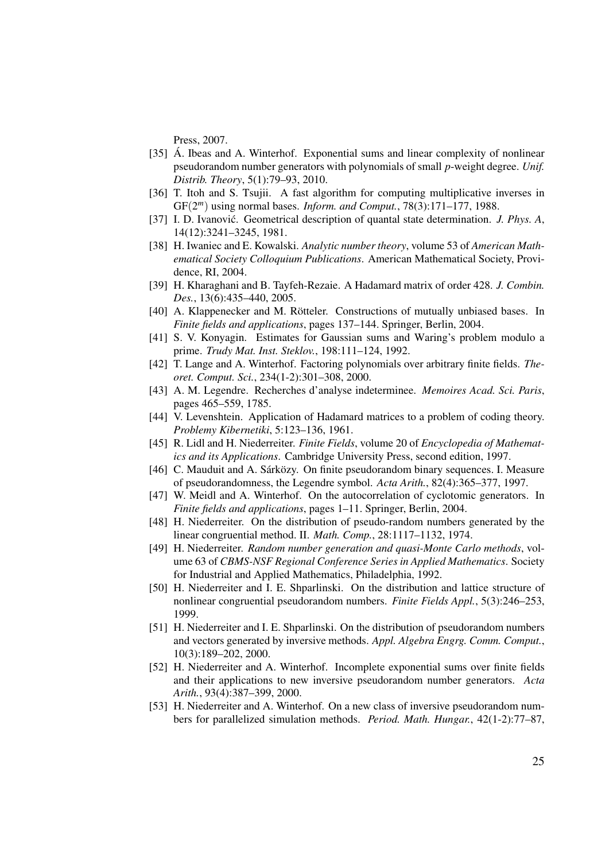Press, 2007.

- [35] Á. Ibeas and A. Winterhof. Exponential sums and linear complexity of nonlinear pseudorandom number generators with polynomials of small *p*-weight degree. *Unif. Distrib. Theory*, 5(1):79–93, 2010.
- [36] T. Itoh and S. Tsujii. A fast algorithm for computing multiplicative inverses in GF(2 *<sup>m</sup>*) using normal bases. *Inform. and Comput.*, 78(3):171–177, 1988.
- [37] I. D. Ivanović. Geometrical description of quantal state determination. *J. Phys. A*, 14(12):3241–3245, 1981.
- [38] H. Iwaniec and E. Kowalski. *Analytic number theory*, volume 53 of *American Mathematical Society Colloquium Publications*. American Mathematical Society, Providence, RI, 2004.
- [39] H. Kharaghani and B. Tayfeh-Rezaie. A Hadamard matrix of order 428. *J. Combin. Des.*, 13(6):435–440, 2005.
- [40] A. Klappenecker and M. Rötteler. Constructions of mutually unbiased bases. In *Finite fields and applications*, pages 137–144. Springer, Berlin, 2004.
- [41] S. V. Konyagin. Estimates for Gaussian sums and Waring's problem modulo a prime. *Trudy Mat. Inst. Steklov.*, 198:111–124, 1992.
- [42] T. Lange and A. Winterhof. Factoring polynomials over arbitrary finite fields. *Theoret. Comput. Sci.*, 234(1-2):301–308, 2000.
- [43] A. M. Legendre. Recherches d'analyse indeterminee. *Memoires Acad. Sci. Paris*, pages 465–559, 1785.
- [44] V. Levenshtein. Application of Hadamard matrices to a problem of coding theory. *Problemy Kibernetiki*, 5:123–136, 1961.
- [45] R. Lidl and H. Niederreiter. *Finite Fields*, volume 20 of *Encyclopedia of Mathematics and its Applications*. Cambridge University Press, second edition, 1997.
- [46] C. Mauduit and A. Sárközy. On finite pseudorandom binary sequences. I. Measure of pseudorandomness, the Legendre symbol. *Acta Arith.*, 82(4):365–377, 1997.
- [47] W. Meidl and A. Winterhof. On the autocorrelation of cyclotomic generators. In *Finite fields and applications*, pages 1–11. Springer, Berlin, 2004.
- [48] H. Niederreiter. On the distribution of pseudo-random numbers generated by the linear congruential method. II. *Math. Comp.*, 28:1117–1132, 1974.
- [49] H. Niederreiter. *Random number generation and quasi-Monte Carlo methods*, volume 63 of *CBMS-NSF Regional Conference Series in Applied Mathematics*. Society for Industrial and Applied Mathematics, Philadelphia, 1992.
- [50] H. Niederreiter and I. E. Shparlinski. On the distribution and lattice structure of nonlinear congruential pseudorandom numbers. *Finite Fields Appl.*, 5(3):246–253, 1999.
- [51] H. Niederreiter and I. E. Shparlinski. On the distribution of pseudorandom numbers and vectors generated by inversive methods. *Appl. Algebra Engrg. Comm. Comput.*, 10(3):189–202, 2000.
- [52] H. Niederreiter and A. Winterhof. Incomplete exponential sums over finite fields and their applications to new inversive pseudorandom number generators. *Acta Arith.*, 93(4):387–399, 2000.
- [53] H. Niederreiter and A. Winterhof. On a new class of inversive pseudorandom numbers for parallelized simulation methods. *Period. Math. Hungar.*, 42(1-2):77–87,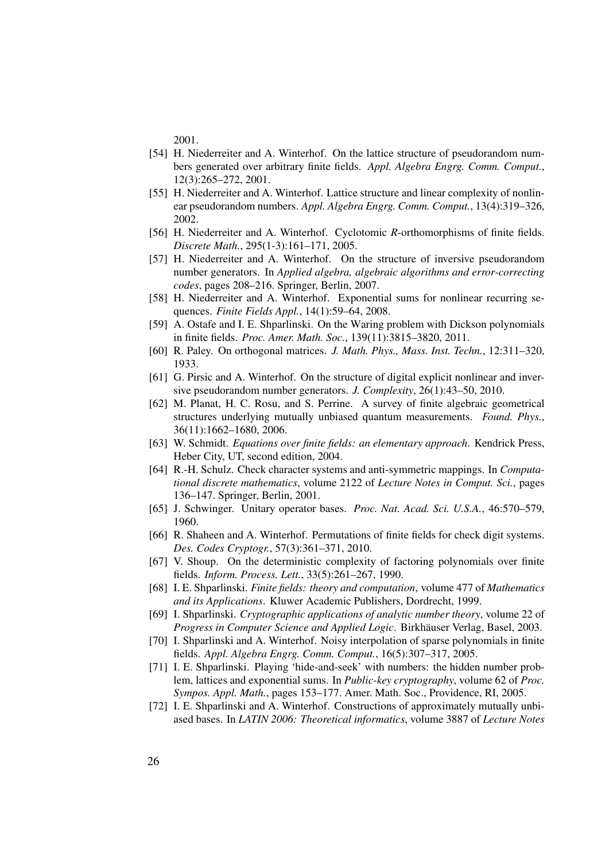2001.

- [54] H. Niederreiter and A. Winterhof. On the lattice structure of pseudorandom numbers generated over arbitrary finite fields. *Appl. Algebra Engrg. Comm. Comput.*, 12(3):265–272, 2001.
- [55] H. Niederreiter and A. Winterhof. Lattice structure and linear complexity of nonlinear pseudorandom numbers. *Appl. Algebra Engrg. Comm. Comput.*, 13(4):319–326, 2002.
- [56] H. Niederreiter and A. Winterhof. Cyclotomic *R*-orthomorphisms of finite fields. *Discrete Math.*, 295(1-3):161–171, 2005.
- [57] H. Niederreiter and A. Winterhof. On the structure of inversive pseudorandom number generators. In *Applied algebra, algebraic algorithms and error-correcting codes*, pages 208–216. Springer, Berlin, 2007.
- [58] H. Niederreiter and A. Winterhof. Exponential sums for nonlinear recurring sequences. *Finite Fields Appl.*, 14(1):59–64, 2008.
- [59] A. Ostafe and I. E. Shparlinski. On the Waring problem with Dickson polynomials in finite fields. *Proc. Amer. Math. Soc.*, 139(11):3815–3820, 2011.
- [60] R. Paley. On orthogonal matrices. *J. Math. Phys., Mass. Inst. Techn.*, 12:311–320, 1933.
- [61] G. Pirsic and A. Winterhof. On the structure of digital explicit nonlinear and inversive pseudorandom number generators. *J. Complexity*, 26(1):43–50, 2010.
- [62] M. Planat, H. C. Rosu, and S. Perrine. A survey of finite algebraic geometrical structures underlying mutually unbiased quantum measurements. *Found. Phys.*, 36(11):1662–1680, 2006.
- [63] W. Schmidt. *Equations over finite fields: an elementary approach*. Kendrick Press, Heber City, UT, second edition, 2004.
- [64] R.-H. Schulz. Check character systems and anti-symmetric mappings. In *Computational discrete mathematics*, volume 2122 of *Lecture Notes in Comput. Sci.*, pages 136–147. Springer, Berlin, 2001.
- [65] J. Schwinger. Unitary operator bases. *Proc. Nat. Acad. Sci. U.S.A.*, 46:570–579, 1960.
- [66] R. Shaheen and A. Winterhof. Permutations of finite fields for check digit systems. *Des. Codes Cryptogr.*, 57(3):361–371, 2010.
- [67] V. Shoup. On the deterministic complexity of factoring polynomials over finite fields. *Inform. Process. Lett.*, 33(5):261–267, 1990.
- [68] I. E. Shparlinski. *Finite fields: theory and computation*, volume 477 of *Mathematics and its Applications*. Kluwer Academic Publishers, Dordrecht, 1999.
- [69] I. Shparlinski. *Cryptographic applications of analytic number theory*, volume 22 of *Progress in Computer Science and Applied Logic*. Birkhauser Verlag, Basel, 2003. ¨
- [70] I. Shparlinski and A. Winterhof. Noisy interpolation of sparse polynomials in finite fields. *Appl. Algebra Engrg. Comm. Comput.*, 16(5):307–317, 2005.
- [71] I. E. Shparlinski. Playing 'hide-and-seek' with numbers: the hidden number problem, lattices and exponential sums. In *Public-key cryptography*, volume 62 of *Proc. Sympos. Appl. Math.*, pages 153–177. Amer. Math. Soc., Providence, RI, 2005.
- [72] I. E. Shparlinski and A. Winterhof. Constructions of approximately mutually unbiased bases. In *LATIN 2006: Theoretical informatics*, volume 3887 of *Lecture Notes*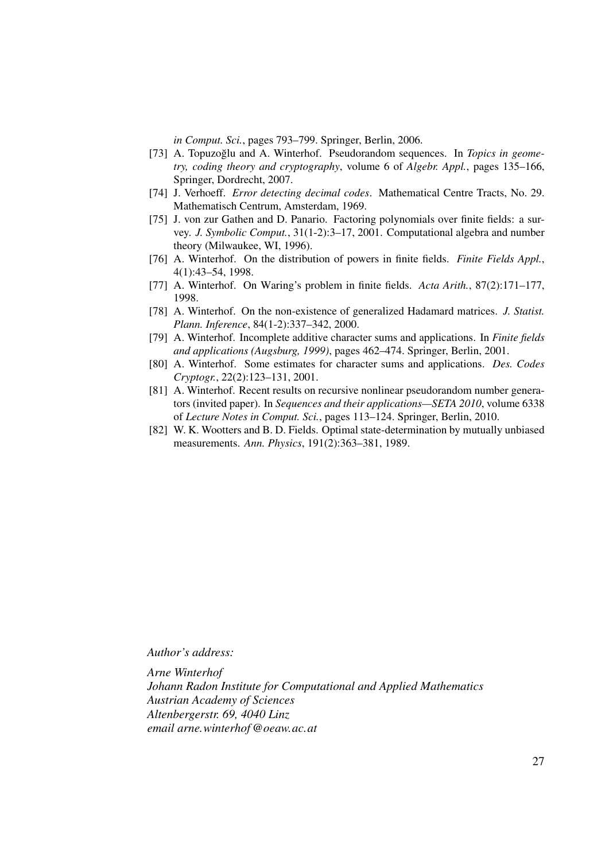*in Comput. Sci.*, pages 793–799. Springer, Berlin, 2006.

- [73] A. Topuzoğlu and A. Winterhof. Pseudorandom sequences. In *Topics in geometry, coding theory and cryptography*, volume 6 of *Algebr. Appl.*, pages 135–166, Springer, Dordrecht, 2007.
- [74] J. Verhoeff. *Error detecting decimal codes*. Mathematical Centre Tracts, No. 29. Mathematisch Centrum, Amsterdam, 1969.
- [75] J. von zur Gathen and D. Panario. Factoring polynomials over finite fields: a survey. *J. Symbolic Comput.*, 31(1-2):3–17, 2001. Computational algebra and number theory (Milwaukee, WI, 1996).
- [76] A. Winterhof. On the distribution of powers in finite fields. *Finite Fields Appl.*, 4(1):43–54, 1998.
- [77] A. Winterhof. On Waring's problem in finite fields. *Acta Arith.*, 87(2):171–177, 1998.
- [78] A. Winterhof. On the non-existence of generalized Hadamard matrices. *J. Statist. Plann. Inference*, 84(1-2):337–342, 2000.
- [79] A. Winterhof. Incomplete additive character sums and applications. In *Finite fields and applications (Augsburg, 1999)*, pages 462–474. Springer, Berlin, 2001.
- [80] A. Winterhof. Some estimates for character sums and applications. *Des. Codes Cryptogr.*, 22(2):123–131, 2001.
- [81] A. Winterhof. Recent results on recursive nonlinear pseudorandom number generators (invited paper). In *Sequences and their applications—SETA 2010*, volume 6338 of *Lecture Notes in Comput. Sci.*, pages 113–124. Springer, Berlin, 2010.
- [82] W. K. Wootters and B. D. Fields. Optimal state-determination by mutually unbiased measurements. *Ann. Physics*, 191(2):363–381, 1989.

*Author's address:*

*Arne Winterhof Johann Radon Institute for Computational and Applied Mathematics Austrian Academy of Sciences Altenbergerstr. 69, 4040 Linz email arne.winterhof@oeaw.ac.at*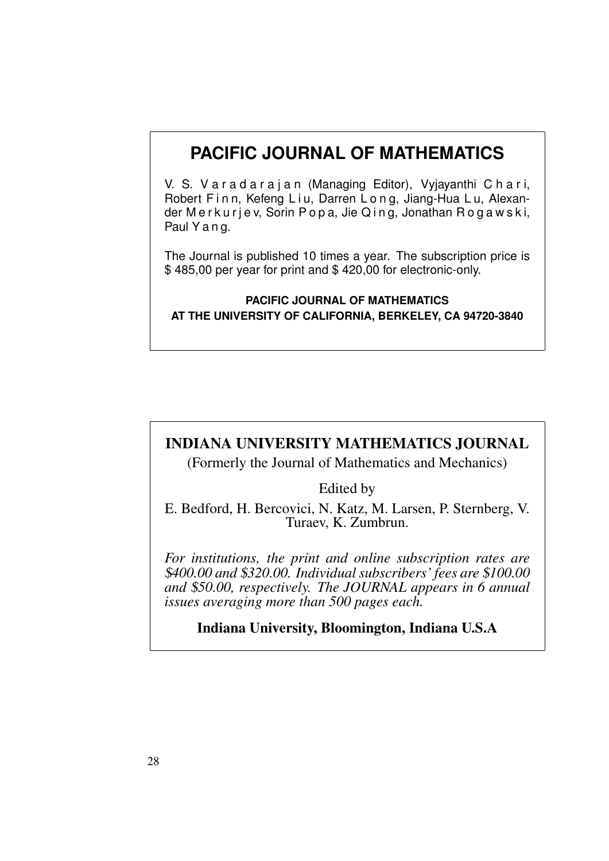## **PACIFIC JOURNAL OF MATHEMATICS**

V. S. V a r a d a r a j a n (Managing Editor), Vyjayanthi C h a r i, Robert Finn, Kefeng Liu, Darren Long, Jiang-Hua Lu, Alexander Merkurjev, Sorin Popa, Jie Qing, Jonathan Rogawski, Paul Y a n g.

The Journal is published 10 times a year. The subscription price is \$ 485,00 per year for print and \$ 420,00 for electronic-only.

## **PACIFIC JOURNAL OF MATHEMATICS AT THE UNIVERSITY OF CALIFORNIA, BERKELEY, CA 94720-3840**

## INDIANA UNIVERSITY MATHEMATICS JOURNAL

(Formerly the Journal of Mathematics and Mechanics)

Edited by

E. Bedford, H. Bercovici, N. Katz, M. Larsen, P. Sternberg, V. Turaev, K. Zumbrun.

*For institutions, the print and online subscription rates are* \$*400.00 and* \$*320.00. Individual subscribers' fees are* \$*100.00 and* \$*50.00, respectively. The JOURNAL appears in 6 annual issues averaging more than 500 pages each.*

Indiana University, Bloomington, Indiana U.S.A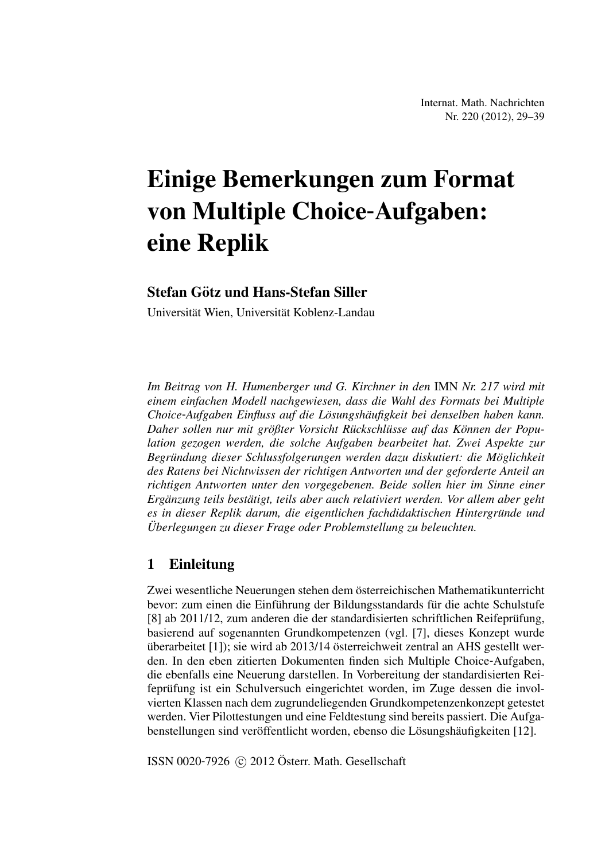## Einige Bemerkungen zum Format von Multiple Choice-Aufgaben: eine Replik

## Stefan Götz und Hans-Stefan Siller

Universität Wien, Universität Koblenz-Landau

*Im Beitrag von H. Humenberger und G. Kirchner in den* IMN *Nr. 217 wird mit einem einfachen Modell nachgewiesen, dass die Wahl des Formats bei Multiple Choice*-*Aufgaben Einfluss auf die Losungsh ¨ aufigkeit bei denselben haben kann. ¨ Daher sollen nur mit großter Vorsicht R ¨ uckschl ¨ usse auf das K ¨ onnen der Popu- ¨ lation gezogen werden, die solche Aufgaben bearbeitet hat. Zwei Aspekte zur Begrundung dieser Schlussfolgerungen werden dazu diskutiert: die M ¨ oglichkeit ¨ des Ratens bei Nichtwissen der richtigen Antworten und der geforderte Anteil an richtigen Antworten unter den vorgegebenen. Beide sollen hier im Sinne einer Erganzung teils best ¨ atigt, teils aber auch relativiert werden. Vor allem aber geht ¨ es in dieser Replik darum, die eigentlichen fachdidaktischen Hintergrunde und ¨ Uberlegungen zu dieser Frage oder Problemstellung zu beleuchten. ¨*

## 1 Einleitung

Zwei wesentliche Neuerungen stehen dem österreichischen Mathematikunterricht bevor: zum einen die Einführung der Bildungsstandards für die achte Schulstufe [8] ab 2011/12, zum anderen die der standardisierten schriftlichen Reifeprüfung, basierend auf sogenannten Grundkompetenzen (vgl. [7], dieses Konzept wurde überarbeitet  $[1]$ ); sie wird ab 2013/14 österreichweit zentral an AHS gestellt werden. In den eben zitierten Dokumenten finden sich Multiple Choice-Aufgaben, die ebenfalls eine Neuerung darstellen. In Vorbereitung der standardisierten Reifeprüfung ist ein Schulversuch eingerichtet worden, im Zuge dessen die involvierten Klassen nach dem zugrundeliegenden Grundkompetenzenkonzept getestet werden. Vier Pilottestungen und eine Feldtestung sind bereits passiert. Die Aufgabenstellungen sind veröffentlicht worden, ebenso die Lösungshäufigkeiten [12].

ISSN 0020-7926  $\odot$  2012 Österr. Math. Gesellschaft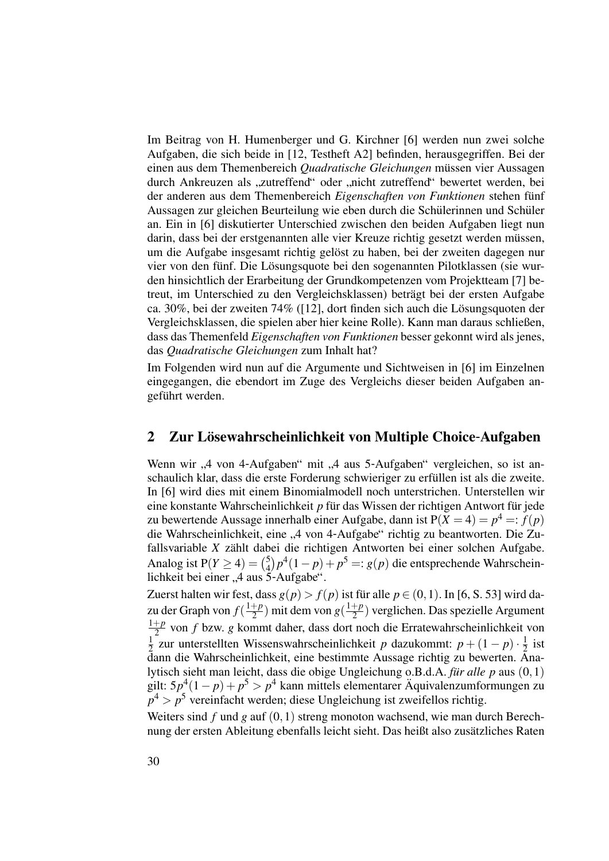Im Beitrag von H. Humenberger und G. Kirchner [6] werden nun zwei solche Aufgaben, die sich beide in [12, Testheft A2] befinden, herausgegriffen. Bei der einen aus dem Themenbereich *Quadratische Gleichungen* müssen vier Aussagen durch Ankreuzen als "zutreffend" oder "nicht zutreffend" bewertet werden, bei<br>der enderen eus dem Themenbereich *Eingeschaften von Eurktigensschan fünf* der anderen aus dem Themenbereich *Eigenschaften von Funktionen* stehen fünf Aussagen zur gleichen Beurteilung wie eben durch die Schülerinnen und Schüler an. Ein in [6] diskutierter Unterschied zwischen den beiden Aufgaben liegt nun darin, dass bei der erstgenannten alle vier Kreuze richtig gesetzt werden müssen, um die Aufgabe insgesamt richtig gelöst zu haben, bei der zweiten dagegen nur vier von den fünf. Die Lösungsquote bei den sogenannten Pilotklassen (sie wurden hinsichtlich der Erarbeitung der Grundkompetenzen vom Projektteam [7] betreut, im Unterschied zu den Vergleichsklassen) betragt bei der ersten Aufgabe ¨ ca. 30%, bei der zweiten 74% ( $[12]$ , dort finden sich auch die Lösungsquoten der Vergleichsklassen, die spielen aber hier keine Rolle). Kann man daraus schließen, dass das Themenfeld *Eigenschaften von Funktionen* besser gekonnt wird als jenes, das *Quadratische Gleichungen* zum Inhalt hat?

Im Folgenden wird nun auf die Argumente und Sichtweisen in [6] im Einzelnen eingegangen, die ebendort im Zuge des Vergleichs dieser beiden Aufgaben angeführt werden.

## 2 Zur Lösewahrscheinlichkeit von Multiple Choice-Aufgaben

Wenn wir "4 von 4-Aufgaben" mit "4 aus 5-Aufgaben" vergleichen, so ist an-<br>sebeulieb klar dess die erste Forderung sebwieriger zu erfüllen ist els die zweite schaulich klar, dass die erste Forderung schwieriger zu erfullen ist als die zweite. ¨ In [6] wird dies mit einem Binomialmodell noch unterstrichen. Unterstellen wir eine konstante Wahrscheinlichkeit p für das Wissen der richtigen Antwort für jede zu bewertende Aussage innerhalb einer Aufgabe, dann ist  $P(X = 4) = p^4 =: f(p)$ die Wahrscheinlichkeit, eine "4 von 4-Aufgabe" richtig zu beantworten. Die Zu-<br>fellowerishle Kuzöhlt debei die richtigen Antworten bei einer seleben Aufgabe fallsvariable *X* zählt dabei die richtigen Antworten bei einer solchen Aufgabe. Analog ist  $P(Y \ge 4) = \binom{5}{4}$ <sup>5</sup> $\left(\frac{5}{4}\right)p^4(1-p) + p^5 =: g(p)$  die entsprechende Wahrscheinlichkeit bei einer "4 aus 5-Aufgabe".

Zuerst halten wir fest, dass  $g(p) > f(p)$  ist für alle  $p \in (0, 1)$ . In [6, S. 53] wird dazu der Graph von  $f(\frac{1+p}{2})$  $\frac{p+p}{2}$ ) mit dem von  $g(\frac{1+p}{2})$  $\frac{+p}{2}$ ) verglichen. Das spezielle Argument 1+*p* 2 von *f* bzw. *g* kommt daher, dass dort noch die Erratewahrscheinlichkeit von  $\frac{1}{2}$  zur unterstellten Wissenswahrscheinlichkeit *p* dazukommt: *p* + (1 − *p*) ⋅  $\frac{1}{2}$  ist  $2$  zur unterstellten Wissenswahrscheinlichkeit  $p$  dazukommt.  $p + (1 - p)^{3}$  2 ist<br>dann die Wahrscheinlichkeit, eine bestimmte Aussage richtig zu bewerten. Analytisch sieht man leicht, dass die obige Ungleichung o.B.d.A. *für alle p* aus (0,1) gilt:  $5p^4(1-p) + p^5 > p^4$  kann mittels elementarer Aquivalenzumformungen zu  $p^4 > p^5$  vereinfacht werden; diese Ungleichung ist zweifellos richtig.

Weiters sind *f* und *g* auf (0,1) streng monoton wachsend, wie man durch Berechnung der ersten Ableitung ebenfalls leicht sieht. Das heißt also zusatzliches Raten ¨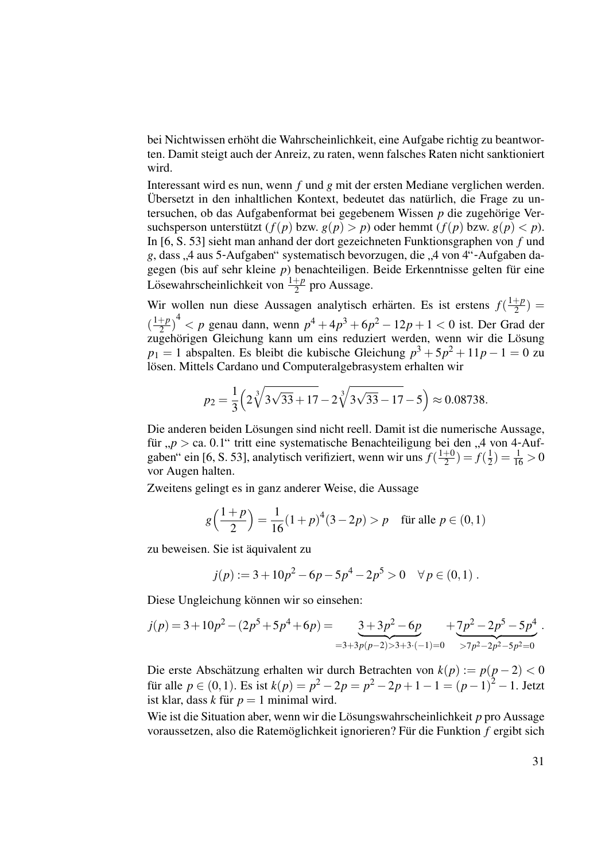bei Nichtwissen erhöht die Wahrscheinlichkeit, eine Aufgabe richtig zu beantworten. Damit steigt auch der Anreiz, zu raten, wenn falsches Raten nicht sanktioniert wird.

Interessant wird es nun, wenn *f* und *g* mit der ersten Mediane verglichen werden. Übersetzt in den inhaltlichen Kontext, bedeutet das natürlich, die Frage zu untersuchen, ob das Aufgabenformat bei gegebenem Wissen p die zugehörige Versuchsperson unterstützt  $(f(p)$  bzw.  $g(p) > p$ ) oder hemmt  $(f(p)$  bzw.  $g(p) < p$ ). In [6, S. 53] sieht man anhand der dort gezeichneten Funktionsgraphen von *f* und *g*, dass , 4 aus 5-Aufgaben" systematisch bevorzugen, die "4 von 4"-Aufgaben da-<br>cassan (bis auf sehr kleine n) beneenteiligen. Beide Erkenntnisse selten für eine gegen (bis auf sehr kleine  $p$ ) benachteiligen. Beide Erkenntnisse gelten für eine Lösewahrscheinlichkeit von  $\frac{1+p}{2}$  $rac{+p}{2}$  pro Aussage.

Wir wollen nun diese Aussagen analytisch erhärten. Es ist erstens  $f(\frac{1+p}{2})$  $\frac{+p}{2}) =$  $\left(\frac{1+p}{2}\right)$  $\left(\frac{p+p}{2}\right)^4 < p$  genau dann, wenn  $p^4 + 4p^3 + 6p^2 - 12p + 1 < 0$  ist. Der Grad der zugehörigen Gleichung kann um eins reduziert werden, wenn wir die Lösung *p*<sup>1</sup> = 1 abspalten. Es bleibt die kubische Gleichung *p* <sup>3</sup> + 5*p* <sup>2</sup> + 11*p* − 1 = 0 zu lösen. Mittels Cardano und Computeralgebrasystem erhalten wir

$$
p_2 = \frac{1}{3} \left( 2 \sqrt[3]{3\sqrt{33} + 17} - 2 \sqrt[3]{3\sqrt{33} - 17} - 5 \right) \approx 0.08738.
$$

Die anderen beiden Lösungen sind nicht reell. Damit ist die numerische Aussage, für " $p >$  ca. 0.1" tritt eine systematische Benachteiligung bei den "4 von 4-Auffür " $p >$  ca. 0.1" tritt eine systematische Benachteiligung bei den "gaben" ein [6, S. 53], analytisch verifiziert, wenn wir uns  $f(\frac{1+0}{2}) = f$  $\frac{+0}{2}$ ) =  $f(\frac{1}{2})$  $(\frac{1}{2}) = \frac{1}{16} > 0$ vor Augen halten.

Zweitens gelingt es in ganz anderer Weise, die Aussage

$$
g\left(\frac{1+p}{2}\right) = \frac{1}{16}(1+p)^4(3-2p) > p \quad \text{für alle } p \in (0,1)
$$

zu beweisen. Sie ist äquivalent zu

$$
j(p) := 3 + 10p^2 - 6p - 5p^4 - 2p^5 > 0 \quad \forall p \in (0,1).
$$

Diese Ungleichung können wir so einsehen:

$$
j(p) = 3 + 10p^{2} - (2p^{5} + 5p^{4} + 6p) = \underbrace{3 + 3p^{2} - 6p}_{=3 + 3p(p-2) > 3 + 3 \cdot (-1) = 0} + \underbrace{7p^{2} - 2p^{5} - 5p^{4}}_{> 7p^{2} - 2p^{2} - 5p^{2} = 0}.
$$

Die erste Abschätzung erhalten wir durch Betrachten von  $k(p) := p(p-2) < 0$ für alle  $p \in (0,1)$ . Es ist  $k(p) = p^2 - 2p = p^2 - 2p + 1 - 1 = (p-1)^2 - 1$ . Jetzt ist klar, dass *k* für  $p = 1$  minimal wird.

Wie ist die Situation aber, wenn wir die Lösungswahrscheinlichkeit p pro Aussage voraussetzen, also die Ratemöglichkeit ignorieren? Für die Funktion f ergibt sich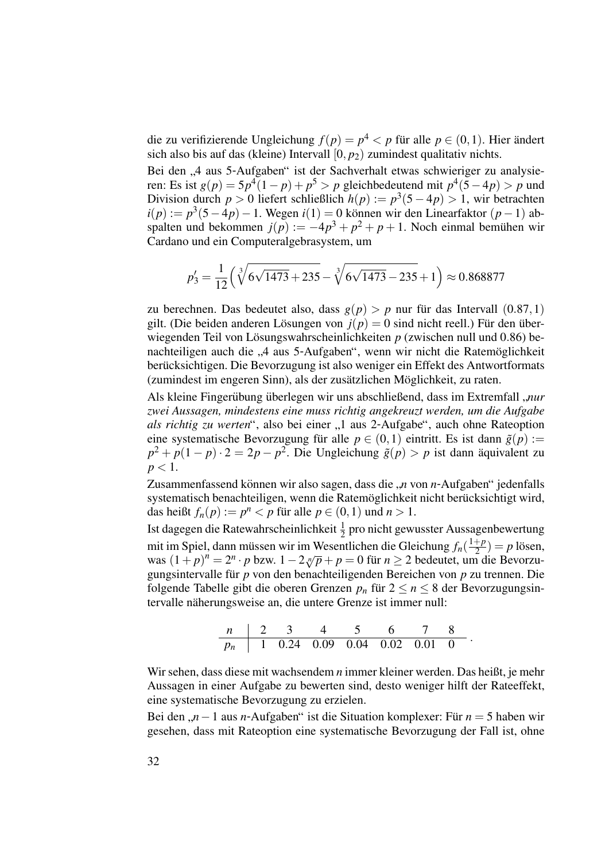die zu verifizierende Ungleichung  $f(p) = p^4 < p$  für alle  $p \in (0,1)$ . Hier ändert sich also bis auf das (kleine) Intervall  $[0, p_2)$  zumindest qualitativ nichts.

Bei den "4 aus 5-Aufgaben" ist der Sachverhalt etwas schwieriger zu analysie-<br>ron: Es ist  $g(n) = 5n^{4}(1-n) + n^{5} > n$  gleichbedeutend mit  $n^{4}(5-4n) > n$  und ren: Es ist  $g(p) = 5p^4(1-p) + p^5 > p$  gleichbedeutend mit  $p^4(5-4p) > p$  und Division durch *p* > 0 liefert schließlich  $h(p) := p^3(5 - 4p) > 1$ , wir betrachten  $i(p) := p^3(5-4p) - 1$ . Wegen  $i(1) = 0$  können wir den Linearfaktor  $(p-1)$  abspalten und bekommen  $j(p) := -4p^3 + p^2 + p + 1$ . Noch einmal bemühen wir Cardano und ein Computeralgebrasystem, um

$$
p_3' = \frac{1}{12} \left( \sqrt[3]{6\sqrt{1473} + 235} - \sqrt[3]{6\sqrt{1473} - 235} + 1 \right) \approx 0.868877
$$

zu berechnen. Das bedeutet also, dass  $g(p) > p$  nur für das Intervall  $(0.87, 1)$ gilt. (Die beiden anderen Lösungen von  $j(p) = 0$  sind nicht reell.) Für den überwiegenden Teil von Lösungswahrscheinlichkeiten p (zwischen null und 0.86) benachteiligen auch die "4 aus 5-Aufgaben", wenn wir nicht die Ratemöglichkeit<br>berücksichtigen Die Beverzugung ist else weniger ein Effekt des Antwertformate berücksichtigen. Die Bevorzugung ist also weniger ein Effekt des Antwortformats (zumindest im engeren Sinn), als der zusätzlichen Möglichkeit, zu raten.

Als kleine Fingerübung überlegen wir uns abschließend, dass im Extremfall "nur " *zwei Aussagen, mindestens eine muss richtig angekreuzt werden, um die Aufgabe als richtig zu werten*", also bei einer "1 aus 2-Aufgabe", auch ohne Rateoption eine eutermetische Bevormung für alle n  $\epsilon$  (0,1) eintritt. Es ist dann  $\tilde{\epsilon}(n)$ : eine systematische Bevorzugung für alle  $p \in (0,1)$  eintritt. Es ist dann  $\tilde{g}(p) :=$  $p^2 + p(1-p) \cdot 2 = 2p - p^2$ . Die Ungleichung  $\tilde{g}(p) > p$  ist dann aquivalent zu  $p < 1$ .

Zusammenfassend können wir also sagen, dass die "*n* von *n*-Aufgaben" jedenfalls Eusammentassend komen wir diso sagen, dass die "*n* von *n* Tungdoen" jedendens systematisch benachteiligen, wenn die Ratemöglichkeit nicht berücksichtigt wird, das heißt  $f_n(p) := p^n < p$  für alle  $p \in (0,1)$  und  $n > 1$ .

Ist dagegen die Ratewahrscheinlichkeit  $\frac{1}{2}$  pro nicht gewusster Aussagenbewertung mit im Spiel, dann müssen wir im Wesentlichen die Gleichung  $f_n(\frac{1+p}{2})$  $(\frac{+p}{2}) = p$  lösen, *n*<sub>n</sub> in spiel, dann mussen wn nn weseninenen die Oleienung *j*<sub>n</sub> (−2) *− p* iosen, was  $(1+p)^n = 2^n \cdot p$  bzw.  $1-2\sqrt[n]{p} + p = 0$  für  $n \ge 2$  bedeutet, um die Bevorzugungsintervalle für *p* von den benachteiligenden Bereichen von *p* zu trennen. Die folgende Tabelle gibt die oberen Grenzen  $p_n$  für  $2 \le n \le 8$  der Bevorzugungsintervalle näherungsweise an, die untere Grenze ist immer null:

$$
\begin{array}{c|ccccccccc}\nn & 2 & 3 & 4 & 5 & 6 & 7 & 8 \\
\hline\np_n & 1 & 0.24 & 0.09 & 0.04 & 0.02 & 0.01 & 0\n\end{array}.
$$

Wir sehen, dass diese mit wachsendem *n* immer kleiner werden. Das heißt, je mehr Aussagen in einer Aufgabe zu bewerten sind, desto weniger hilft der Rateeffekt, eine systematische Bevorzugung zu erzielen.

Bei den " $n-1$  aus *n*-Aufgaben" ist die Situation komplexer: Für  $n = 5$  haben wir gesehen, dass mit Rateoption eine systematische Bevorzugung der Fall ist, ohne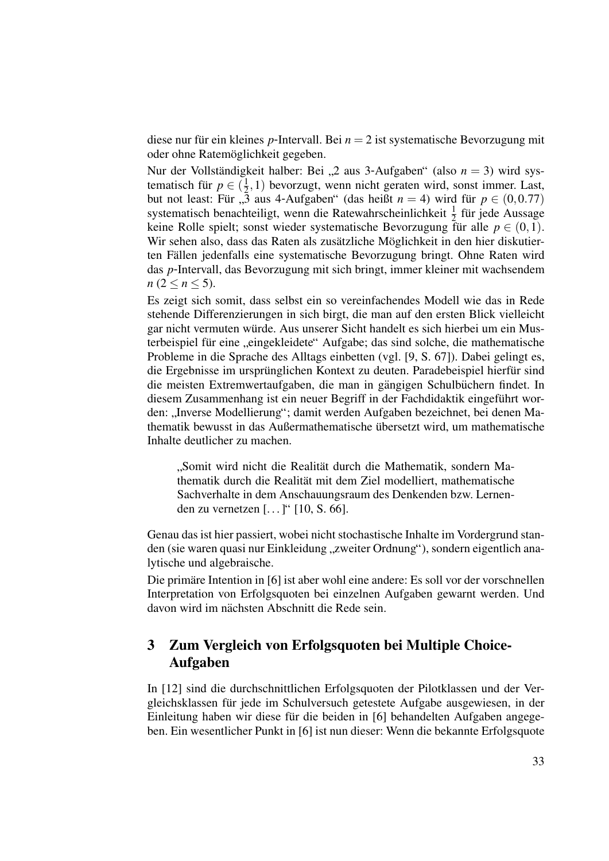diese nur für ein kleines *p*-Intervall. Bei  $n = 2$  ist systematische Bevorzugung mit oder ohne Ratemöglichkeit gegeben.

Nur der Vollständigkeit halber: Bei "2 aus 3-Aufgaben" (also  $n = 3$ ) wird systematisch für  $p \in (\frac{1}{2}, 1)$  bevorzugt, w  $(\frac{1}{2},1)$  bevorzugt, wenn nicht geraten wird, sonst immer. Last, but not least: Für ,,3 aus 4-Aufgaben" (das heißt  $n = 4$ ) wird für  $p \in (0, 0.77)$ systematisch benachteiligt, wenn die Ratewahrscheinlichkeit  $\frac{1}{2}$  für jede Aussage keine Rolle spielt; sonst wieder systematische Bevorzugung für alle  $p \in (0,1)$ . Wir sehen also, dass das Raten als zusätzliche Möglichkeit in den hier diskutierten Fallen jedenfalls eine systematische Bevorzugung bringt. Ohne Raten wird ¨ das *p*-Intervall, das Bevorzugung mit sich bringt, immer kleiner mit wachsendem *n*  $(2 \leq n \leq 5)$ .

Es zeigt sich somit, dass selbst ein so vereinfachendes Modell wie das in Rede stehende Differenzierungen in sich birgt, die man auf den ersten Blick vielleicht gar nicht vermuten würde. Aus unserer Sicht handelt es sich hierbei um ein Musterbeispiel für eine "eingekleidete" Aufgabe; das sind solche, die mathematische " Probleme in die Sprache des Alltags einbetten (vgl. [9, S. 67]). Dabei gelingt es, die Ergebnisse im ursprünglichen Kontext zu deuten. Paradebeispiel hierfür sind die meisten Extremwertaufgaben, die man in gängigen Schulbüchern findet. In diesem Zusammenhang ist ein neuer Begriff in der Fachdidaktik eingeführt worden: "Inverse Modellierung"; damit werden Aufgaben bezeichnet, bei denen Ma-<br>thematik bewuset in des Außermathematische übersetzt wird, um mathematische thematik bewusst in das Außermathematische ubersetzt wird, um mathematische ¨ Inhalte deutlicher zu machen.

"Somit who mem die Realität durch die Mathematik, sondern Mathematik durch die Realität mit dem Ziel modelliert, mathematische "Somit wird nicht die Realität durch die Mathematik, sondern Ma-Sachverhalte in dem Anschauungsraum des Denkenden bzw. Lernenden zu vernetzen [. . . ]" [10, S. 66].

Genau das ist hier passiert, wobei nicht stochastische Inhalte im Vordergrund standen (sie waren quasi nur Einkleidung "zweiter Ordnung"), sondern eigentlich ana-<br>ktische und eksplysische lytische und algebraische.

Die primäre Intention in [6] ist aber wohl eine andere: Es soll vor der vorschnellen Interpretation von Erfolgsquoten bei einzelnen Aufgaben gewarnt werden. Und davon wird im nächsten Abschnitt die Rede sein.

### 3 Zum Vergleich von Erfolgsquoten bei Multiple Choice-Aufgaben

In [12] sind die durchschnittlichen Erfolgsquoten der Pilotklassen und der Vergleichsklassen für jede im Schulversuch getestete Aufgabe ausgewiesen, in der Einleitung haben wir diese für die beiden in [6] behandelten Aufgaben angegeben. Ein wesentlicher Punkt in [6] ist nun dieser: Wenn die bekannte Erfolgsquote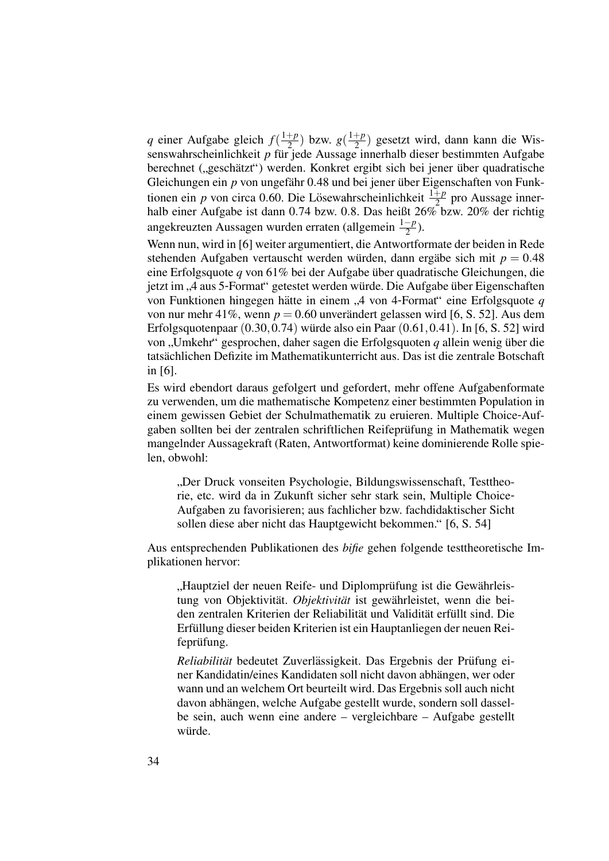*q* einer Aufgabe gleich  $f(\frac{1+p}{2})$  $\frac{p+p}{2}$ ) bzw.  $g(\frac{1+p}{2})$  $\frac{+p}{2}$ ) gesetzt wird, dann kann die Wissenswahrscheinlichkeit *p* für jede Aussage innerhalb dieser bestimmten Aufgabe berechnet ("geschätzt") werden. Konkret ergibt sich bei jener über quadratische<br>Gleichungen ein n von ungefähr 0.48 und bei jener über Eigenschaften von Eunk Gleichungen ein *p* von ungefähr 0.48 und bei jener über Eigenschaften von Funktionen ein *p* von circa 0.60. Die Lösewahrscheinlichkeit  $\frac{1+p}{2}$  pro Aussage innerhalb einer Aufgabe ist dann 0.74 bzw. 0.8. Das heißt  $26\%$  bzw. 20% der richtig angekreuzten Aussagen wurden erraten (allgemein <sup>1</sup>−*<sup>p</sup>* 2 ).

Wenn nun, wird in [6] weiter argumentiert, die Antwortformate der beiden in Rede stehenden Aufgaben vertauscht werden würden, dann ergäbe sich mit  $p = 0.48$ eine Erfolgsquote *q* von 61% bei der Aufgabe uber quadratische Gleichungen, die ¨ jetzt im "4 aus 5-Format" getestet werden würde. Die Aufgabe über Eigenschaften von Eupktionen bingegen bötte in einem "4 von 4 Format" eine Erfelgeguete g von Funktionen hingegen hätte in einem "4 von 4-Format" eine Erfolgsquote q von 1 unktionen imigegen natte in einem  $y$ , von  $\frac{1}{2}$  format eine Errorgsquote q von nur mehr 41%, wenn  $p = 0.60$  unverändert gelassen wird [6, S. 52]. Aus dem Erfolgsquotenpaar  $(0.30, 0.74)$  würde also ein Paar  $(0.61, 0.41)$ . In [6, S. 52] wird von "Umkehr" gesprochen, daher sagen die Erfolgsquoten *q* allein wenig über die tate öhlichen Defizite im Methomatikunterricht aus. Des ist die zentrele Betschaft tatsächlichen Defizite im Mathematikunterricht aus. Das ist die zentrale Botschaft in [6].

Es wird ebendort daraus gefolgert und gefordert, mehr offene Aufgabenformate zu verwenden, um die mathematische Kompetenz einer bestimmten Population in einem gewissen Gebiet der Schulmathematik zu eruieren. Multiple Choice-Aufgaben sollten bei der zentralen schriftlichen Reifeprüfung in Mathematik wegen mangelnder Aussagekraft (Raten, Antwortformat) keine dominierende Rolle spielen, obwohl:

" rie, etc. wird da in Zukunft sicher sehr stark sein, Multiple Choice-Der Druck vonseiten Psychologie, Bildungswissenschaft, Testtheo-Aufgaben zu favorisieren; aus fachlicher bzw. fachdidaktischer Sicht sollen diese aber nicht das Hauptgewicht bekommen." [6, S. 54]

Aus entsprechenden Publikationen des *bifie* gehen folgende testtheoretische Implikationen hervor:

<sub>tung</sub> von Objektivität. *Objektivität* ist gewährleistet, wenn die bei-"Hauptziel der neuen Reife- und Diplomprüfung ist die Gewährleisden zentralen Kriterien der Reliabilität und Validität erfüllt sind. Die Erfullung dieser beiden Kriterien ist ein Hauptanliegen der neuen Rei- ¨ feprüfung.

*Reliabilität* bedeutet Zuverlässigkeit. Das Ergebnis der Prüfung einer Kandidatin/eines Kandidaten soll nicht davon abhängen, wer oder wann und an welchem Ort beurteilt wird. Das Ergebnis soll auch nicht davon abhängen, welche Aufgabe gestellt wurde, sondern soll dasselbe sein, auch wenn eine andere – vergleichbare – Aufgabe gestellt würde.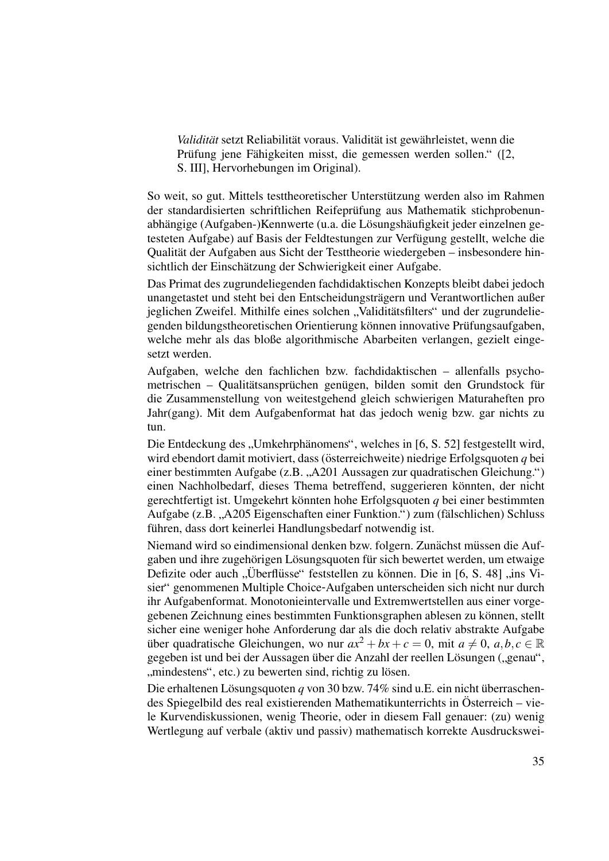*Validität* setzt Reliabilität voraus. Validität ist gewährleistet, wenn die Prüfung jene Fähigkeiten misst, die gemessen werden sollen." ([2, S. III], Hervorhebungen im Original).

So weit, so gut. Mittels testtheoretischer Unterstützung werden also im Rahmen der standardisierten schriftlichen Reifeprüfung aus Mathematik stichprobenunabhängige (Aufgaben-)Kennwerte (u.a. die Lösungshäufigkeit jeder einzelnen getesteten Aufgabe) auf Basis der Feldtestungen zur Verfügung gestellt, welche die Qualität der Aufgaben aus Sicht der Testtheorie wiedergeben – insbesondere hinsichtlich der Einschätzung der Schwierigkeit einer Aufgabe.

Das Primat des zugrundeliegenden fachdidaktischen Konzepts bleibt dabei jedoch unangetastet und steht bei den Entscheidungsträgern und Verantwortlichen außer jeglichen Zweifel. Mithilfe eines solchen "Validitätsfilters" und der zugrundelie-<br>sanden bildungstheoratischen Orientierung können inneuetius Präfungseufgeben genden bildungstheoretischen Orientierung können innovative Prüfungsaufgaben, welche mehr als das bloße algorithmische Abarbeiten verlangen, gezielt eingesetzt werden.

Aufgaben, welche den fachlichen bzw. fachdidaktischen – allenfalls psychometrischen – Qualitätsansprüchen genügen, bilden somit den Grundstock für die Zusammenstellung von weitestgehend gleich schwierigen Maturaheften pro Jahr(gang). Mit dem Aufgabenformat hat das jedoch wenig bzw. gar nichts zu tun.

Die Entdeckung des "Umkehrphänomens", welches in [6, S. 52] festgestellt wird,<br>wird ebendert demit metiviert, dess (österreichweite) niedrige Erfolgsgueten g bei wird ebendort damit motiviert, dass (österreichweite) niedrige Erfolgsquoten  $q$  bei einer bestimmten Aufgabe (z.B. "A201 Aussagen zur quadratischen Gleichung.")<br>einen Neckholbederf, dieses Theme betreffend, eugenieren könnten, der nicht einen Nachholbedarf, dieses Thema betreffend, suggerieren könnten, der nicht gerechtfertigt ist. Umgekehrt könnten hohe Erfolgsquoten  $q$  bei einer bestimmten Aufgabe (z.B. "A205 Eigenschaften einer Funktion.") zum (fälschlichen) Schluss<br>führen, dass dert keinerlei Handlungsbederf netwendig ist führen, dass dort keinerlei Handlungsbedarf notwendig ist.

Niemand wird so eindimensional denken bzw. folgern. Zunächst müssen die Aufgaben und ihre zugehörigen Lösungsquoten für sich bewertet werden, um etwaige Defizite oder auch "Überflüsse" feststellen zu können. Die in [6, S. 48] "ins Vi-Benzie oder aden "Goernasse" resistenen zu konnen. Die in [0, 9. 40] "ins vr<br>sier" genommenen Multiple Choice-Aufgaben unterscheiden sich nicht nur durch ihr Aufgabenformat. Monotonieintervalle und Extremwertstellen aus einer vorgegebenen Zeichnung eines bestimmten Funktionsgraphen ablesen zu können, stellt sicher eine weniger hohe Anforderung dar als die doch relativ abstrakte Aufgabe über quadratische Gleichungen, wo nur  $ax^2 + bx + c = 0$ , mit  $a \neq 0$ ,  $a, b, c \in \mathbb{R}$ gegeben ist und bei der Aussagen über die Anzahl der reellen Lösungen ("genau",<br>mindestans", etc.) zu bewerten eind riebtig zu läsen. mindestens", etc.) zu bewerten sind, richtig zu lösen.

Die erhaltenen Lösungsquoten  $q$  von 30 bzw. 74% sind u.E. ein nicht überraschendes Spiegelbild des real existierenden Mathematikunterrichts in Osterreich – vie- ¨ le Kurvendiskussionen, wenig Theorie, oder in diesem Fall genauer: (zu) wenig Wertlegung auf verbale (aktiv und passiv) mathematisch korrekte Ausdruckswei-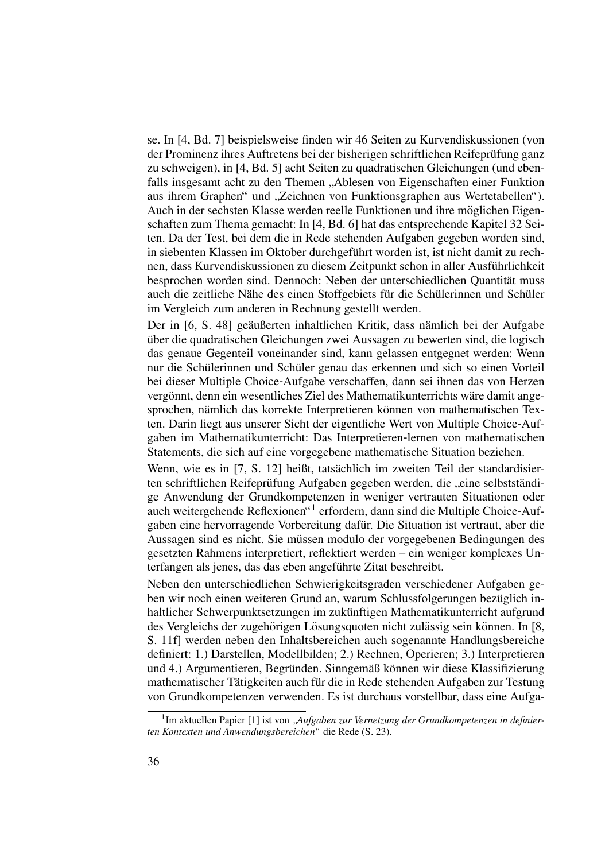se. In [4, Bd. 7] beispielsweise finden wir 46 Seiten zu Kurvendiskussionen (von der Prominenz ihres Auftretens bei der bisherigen schriftlichen Reifeprufung ganz ¨ zu schweigen), in [4, Bd. 5] acht Seiten zu quadratischen Gleichungen (und ebenfalls insgesamt acht zu den Themen "Ablesen von Eigenschaften einer Funktion<br>aus ihrem Grephen" und Zeighnen von Eunktionsgrephen aus Wertstehellen") aus ihrem Graphen" und "Zeichnen von Funktionsgraphen aus Wertetabellen").<br>Auch in der seeksten Klasse werden realle Funktionen und ihre möglichen Fiscan Auch in der sechsten Klasse werden reelle Funktionen und ihre möglichen Eigenschaften zum Thema gemacht: In [4, Bd. 6] hat das entsprechende Kapitel 32 Seiten. Da der Test, bei dem die in Rede stehenden Aufgaben gegeben worden sind, in siebenten Klassen im Oktober durchgeführt worden ist, ist nicht damit zu rechnen, dass Kurvendiskussionen zu diesem Zeitpunkt schon in aller Ausfuhrlichkeit ¨ besprochen worden sind. Dennoch: Neben der unterschiedlichen Quantität muss auch die zeitliche Nähe des einen Stoffgebiets für die Schülerinnen und Schüler im Vergleich zum anderen in Rechnung gestellt werden.

Der in [6, S. 48] geäußerten inhaltlichen Kritik, dass nämlich bei der Aufgabe uber die quadratischen Gleichungen zwei Aussagen zu bewerten sind, die logisch ¨ das genaue Gegenteil voneinander sind, kann gelassen entgegnet werden: Wenn nur die Schülerinnen und Schüler genau das erkennen und sich so einen Vorteil bei dieser Multiple Choice-Aufgabe verschaffen, dann sei ihnen das von Herzen vergönnt, denn ein wesentliches Ziel des Mathematikunterrichts wäre damit angesprochen, nämlich das korrekte Interpretieren können von mathematischen Texten. Darin liegt aus unserer Sicht der eigentliche Wert von Multiple Choice-Aufgaben im Mathematikunterricht: Das Interpretieren-lernen von mathematischen Statements, die sich auf eine vorgegebene mathematische Situation beziehen.

Wenn, wie es in [7, S. 12] heißt, tatsächlich im zweiten Teil der standardisierten schriftlichen Reifeprüfung Aufgaben gegeben werden, die "eine selbstständige Anwendung der Grundkompetenzen in weniger vertrauten Situationen oder auch weitergehende Reflexionen"<sup>1</sup> erfordern, dann sind die Multiple Choice-Aufgaben eine hervorragende Vorbereitung dafür. Die Situation ist vertraut, aber die Aussagen sind es nicht. Sie mussen modulo der vorgegebenen Bedingungen des ¨ gesetzten Rahmens interpretiert, reflektiert werden – ein weniger komplexes Unterfangen als jenes, das das eben angeführte Zitat beschreibt.

Neben den unterschiedlichen Schwierigkeitsgraden verschiedener Aufgaben geben wir noch einen weiteren Grund an, warum Schlussfolgerungen bezüglich inhaltlicher Schwerpunktsetzungen im zukünftigen Mathematikunterricht aufgrund des Vergleichs der zugehörigen Lösungsquoten nicht zulässig sein können. In [8, S. 11f] werden neben den Inhaltsbereichen auch sogenannte Handlungsbereiche definiert: 1.) Darstellen, Modellbilden; 2.) Rechnen, Operieren; 3.) Interpretieren und 4.) Argumentieren, Begründen. Sinngemäß können wir diese Klassifizierung mathematischer Tätigkeiten auch für die in Rede stehenden Aufgaben zur Testung von Grundkompetenzen verwenden. Es ist durchaus vorstellbar, dass eine Aufga-

<sup>&</sup>lt;sup>1</sup>Im aktuellen Papier [1] ist von "Aufgaben zur Vernetzung der Grundkompetenzen in definier-<br>Kontenten und Anwendungehenzigken" die Bode (S. 22) *ten Kontexten und Anwendungsbereichen"* die Rede (S. 23).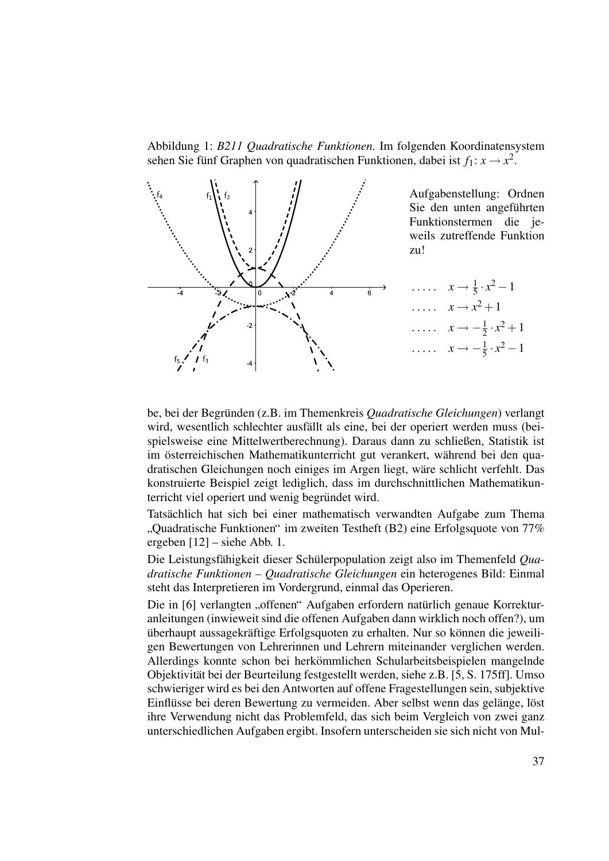Abbildung 1: *B211 Quadratische Funktionen.* Im folgenden Koordinatensystem sehen Sie fünf Graphen von quadratischen Funktionen, dabei ist  $f_1: x \to x^2$ .



be, bei der Begründen (z.B. im Themenkreis Quadratische Gleichungen) verlangt wird, wesentlich schlechter ausfällt als eine, bei der operiert werden muss (beispielsweise eine Mittelwertberechnung). Daraus dann zu schließen, Statistik ist im österreichischen Mathematikunterricht gut verankert, während bei den quadratischen Gleichungen noch einiges im Argen liegt, ware schlicht verfehlt. Das ¨ konstruierte Beispiel zeigt lediglich, dass im durchschnittlichen Mathematikunterricht viel operiert und wenig begründet wird.

Tatsächlich hat sich bei einer mathematisch verwandten Aufgabe zum Thema "Quadratische Funktionen<br>ergeben [12] – siehe Abb. 1. Quadratische Funktionen" im zweiten Testheft (B2) eine Erfolgsquote von 77%

Die Leistungsfähigkeit dieser Schülerpopulation zeigt also im Themenfeld Qua*dratische Funktionen – Quadratische Gleichungen* ein heterogenes Bild: Einmal steht das Interpretieren im Vordergrund, einmal das Operieren.

Die in [6] verlangten "offenen" Aufgaben erfordern natürlich genaue Korrektur-<br>onleitungen (inwieweit eind die offenen Aufgaben dann wirklich noch offen?) um anleitungen (inwieweit sind die offenen Aufgaben dann wirklich noch offen?), um überhaupt aussagekräftige Erfolgsquoten zu erhalten. Nur so können die jeweiligen Bewertungen von Lehrerinnen und Lehrern miteinander verglichen werden. Allerdings konnte schon bei herkömmlichen Schularbeitsbeispielen mangelnde Objektivitat bei der Beurteilung festgestellt werden, siehe z.B. [5, S. 175ff]. Umso ¨ schwieriger wird es bei den Antworten auf offene Fragestellungen sein, subjektive Einflüsse bei deren Bewertung zu vermeiden. Aber selbst wenn das gelänge, löst ihre Verwendung nicht das Problemfeld, das sich beim Vergleich von zwei ganz unterschiedlichen Aufgaben ergibt. Insofern unterscheiden sie sich nicht von Mul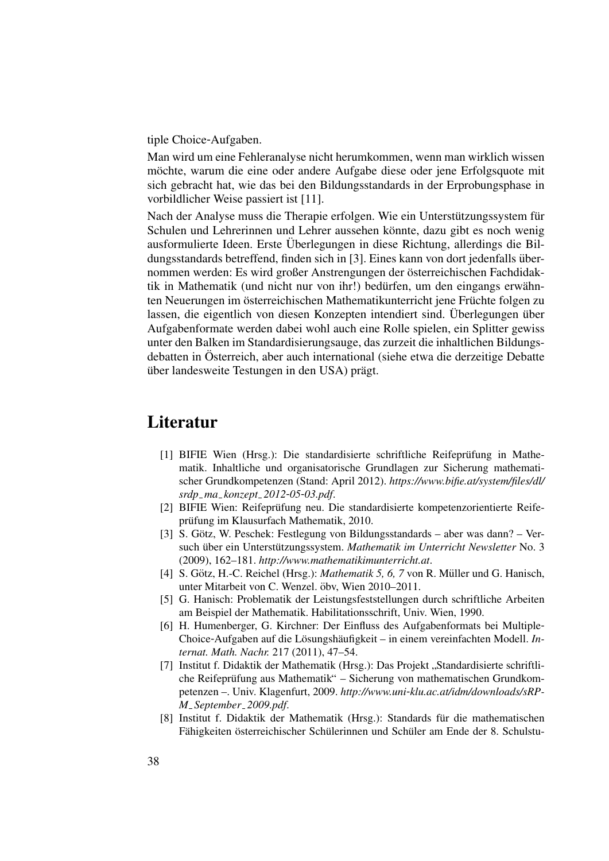tiple Choice-Aufgaben.

Man wird um eine Fehleranalyse nicht herumkommen, wenn man wirklich wissen möchte, warum die eine oder andere Aufgabe diese oder jene Erfolgsquote mit sich gebracht hat, wie das bei den Bildungsstandards in der Erprobungsphase in vorbildlicher Weise passiert ist [11].

Nach der Analyse muss die Therapie erfolgen. Wie ein Unterstützungssystem für Schulen und Lehrerinnen und Lehrer aussehen könnte, dazu gibt es noch wenig ausformulierte Ideen. Erste Uberlegungen in diese Richtung, allerdings die Bil- ¨ dungsstandards betreffend, finden sich in [3]. Eines kann von dort jedenfalls übernommen werden: Es wird großer Anstrengungen der österreichischen Fachdidaktik in Mathematik (und nicht nur von ihr!) bedürfen, um den eingangs erwähnten Neuerungen im österreichischen Mathematikunterricht jene Früchte folgen zu lassen, die eigentlich von diesen Konzepten intendiert sind. Überlegungen über Aufgabenformate werden dabei wohl auch eine Rolle spielen, ein Splitter gewiss unter den Balken im Standardisierungsauge, das zurzeit die inhaltlichen Bildungsdebatten in Osterreich, aber auch international (siehe etwa die derzeitige Debatte ¨ über landesweite Testungen in den USA) prägt.

### Literatur

- [1] BIFIE Wien (Hrsg.): Die standardisierte schriftliche Reifeprüfung in Mathematik. Inhaltliche und organisatorische Grundlagen zur Sicherung mathematischer Grundkompetenzen (Stand: April 2012). *https://www.bifie.at/system/files/dl/ srdp ma konzept 2012*-*05*-*03.pdf*.
- [2] BIFIE Wien: Reifeprüfung neu. Die standardisierte kompetenzorientierte Reifeprüfung im Klausurfach Mathematik, 2010.
- [3] S. Götz, W. Peschek: Festlegung von Bildungsstandards aber was dann? Versuch über ein Unterstützungssystem. *Mathematik im Unterricht Newsletter* No. 3 (2009), 162–181. *http://www.mathematikimunterricht.at*.
- [4] S. Götz, H.-C. Reichel (Hrsg.): *Mathematik 5, 6, 7* von R. Müller und G. Hanisch, unter Mitarbeit von C. Wenzel. öbv, Wien 2010–2011.
- [5] G. Hanisch: Problematik der Leistungsfeststellungen durch schriftliche Arbeiten am Beispiel der Mathematik. Habilitationsschrift, Univ. Wien, 1990.
- [6] H. Humenberger, G. Kirchner: Der Einfluss des Aufgabenformats bei Multiple-Choice-Aufgaben auf die Lösungshäufigkeit – in einem vereinfachten Modell. *Internat. Math. Nachr.* 217 (2011), 47–54.
- [7] Institut f. Didaktik der Mathematik (Hrsg.): Das Projekt "Standardisierte schriftli-<br>she Beiforgithus aus Mathematik" Sieherung von mathematischen Crundlam che Reifeprüfung aus Mathematik" – Sicherung von mathematischen Grundkompetenzen –. Univ. Klagenfurt, 2009. *http://www.uni*-*klu.ac.at/idm/downloads/sRP-M September 2009.pdf*.
- [8] Institut f. Didaktik der Mathematik (Hrsg.): Standards für die mathematischen Fähigkeiten österreichischer Schülerinnen und Schüler am Ende der 8. Schulstu-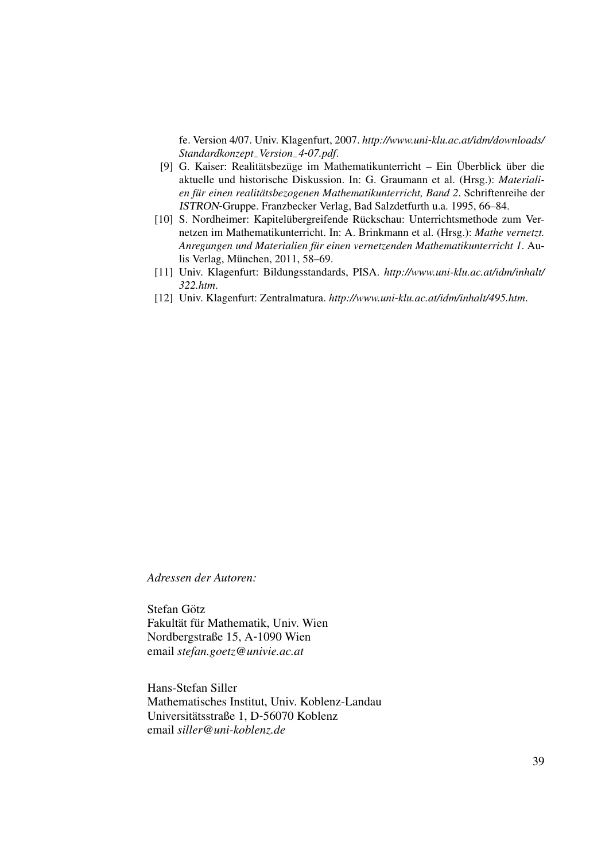fe. Version 4/07. Univ. Klagenfurt, 2007. *http://www.uni*-*klu.ac.at/idm/downloads/ Standardkonzept Version 4*-*07.pdf*.

- [9] G. Kaiser: Realitätsbezüge im Mathematikunterricht Ein Überblick über die aktuelle und historische Diskussion. In: G. Graumann et al. (Hrsg.): *Materialien fur einen realit ¨ atsbezogenen Mathematikunterricht, Band 2 ¨* . Schriftenreihe der ISTRON-Gruppe. Franzbecker Verlag, Bad Salzdetfurth u.a. 1995, 66–84.
- [10] S. Nordheimer: Kapitelübergreifende Rückschau: Unterrichtsmethode zum Vernetzen im Mathematikunterricht. In: A. Brinkmann et al. (Hrsg.): *Mathe vernetzt. Anregungen und Materialien fur einen vernetzenden Mathematikunterricht 1 ¨* . Aulis Verlag, München, 2011, 58–69.
- [11] Univ. Klagenfurt: Bildungsstandards, PISA. *http://www.uni-klu.ac.at/idm/inhalt/ 322.htm*.
- [12] Univ. Klagenfurt: Zentralmatura. *http://www.uni*-*klu.ac.at/idm/inhalt/495.htm*.

*Adressen der Autoren:*

Stefan Götz Fakultät für Mathematik, Univ. Wien Nordbergstraße 15, A-1090 Wien email *stefan.goetz@univie.ac.at*

Hans-Stefan Siller Mathematisches Institut, Univ. Koblenz-Landau Universitätsstraße 1, D-56070 Koblenz email *siller@uni-koblenz.de*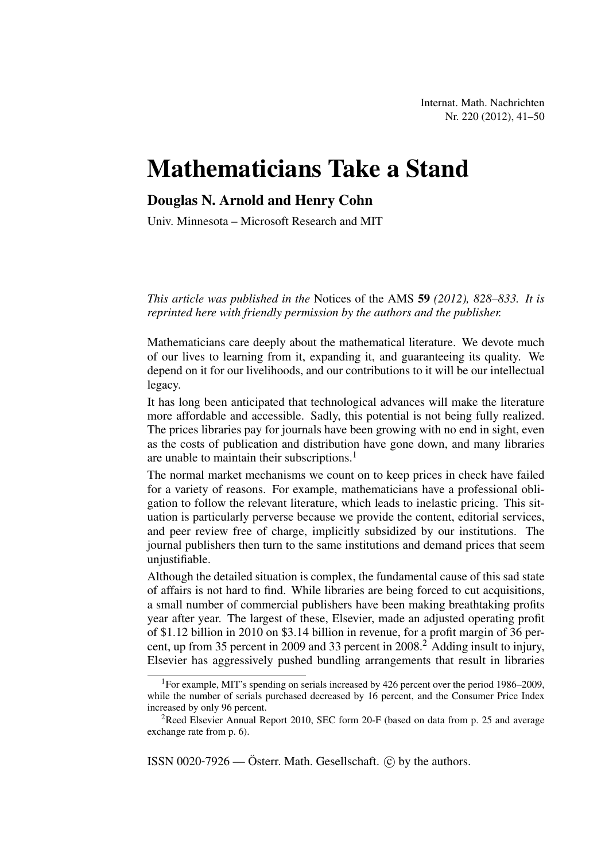## Mathematicians Take a Stand

### Douglas N. Arnold and Henry Cohn

Univ. Minnesota – Microsoft Research and MIT

*This article was published in the* Notices of the AMS 59 *(2012), 828–833. It is reprinted here with friendly permission by the authors and the publisher.*

Mathematicians care deeply about the mathematical literature. We devote much of our lives to learning from it, expanding it, and guaranteeing its quality. We depend on it for our livelihoods, and our contributions to it will be our intellectual legacy.

It has long been anticipated that technological advances will make the literature more affordable and accessible. Sadly, this potential is not being fully realized. The prices libraries pay for journals have been growing with no end in sight, even as the costs of publication and distribution have gone down, and many libraries are unable to maintain their subscriptions.<sup>1</sup>

The normal market mechanisms we count on to keep prices in check have failed for a variety of reasons. For example, mathematicians have a professional obligation to follow the relevant literature, which leads to inelastic pricing. This situation is particularly perverse because we provide the content, editorial services, and peer review free of charge, implicitly subsidized by our institutions. The journal publishers then turn to the same institutions and demand prices that seem unjustifiable.

Although the detailed situation is complex, the fundamental cause of this sad state of affairs is not hard to find. While libraries are being forced to cut acquisitions, a small number of commercial publishers have been making breathtaking profits year after year. The largest of these, Elsevier, made an adjusted operating profit of \$1.12 billion in 2010 on \$3.14 billion in revenue, for a profit margin of 36 percent, up from 35 percent in 2009 and 33 percent in 2008.<sup>2</sup> Adding insult to injury, Elsevier has aggressively pushed bundling arrangements that result in libraries

ISSN 0020-7926 — Österr. Math. Gesellschaft.  $\odot$  by the authors.

<sup>&</sup>lt;sup>1</sup>For example, MIT's spending on serials increased by 426 percent over the period 1986–2009, while the number of serials purchased decreased by 16 percent, and the Consumer Price Index increased by only 96 percent.

<sup>&</sup>lt;sup>2</sup>Reed Elsevier Annual Report 2010, SEC form 20-F (based on data from p. 25 and average exchange rate from p. 6).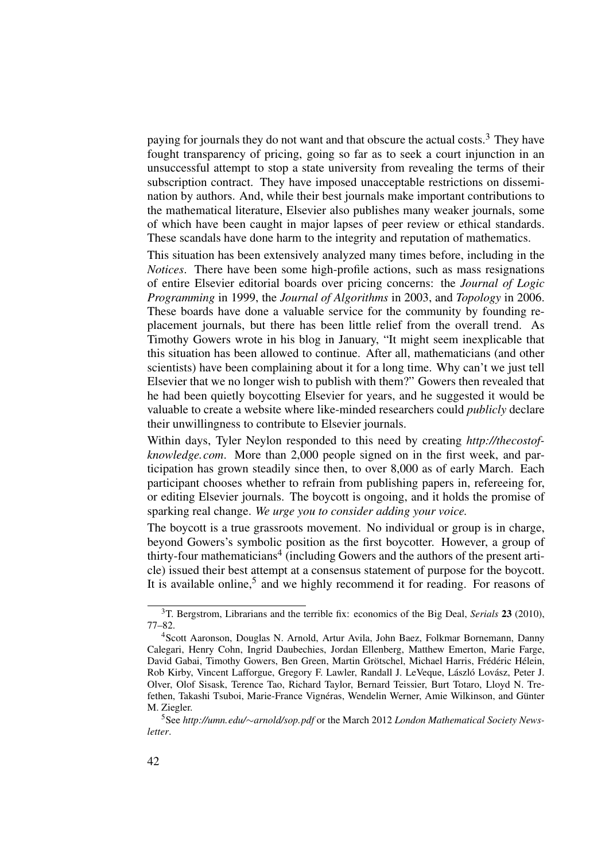paying for journals they do not want and that obscure the actual costs.<sup>3</sup> They have fought transparency of pricing, going so far as to seek a court injunction in an unsuccessful attempt to stop a state university from revealing the terms of their subscription contract. They have imposed unacceptable restrictions on dissemination by authors. And, while their best journals make important contributions to the mathematical literature, Elsevier also publishes many weaker journals, some of which have been caught in major lapses of peer review or ethical standards. These scandals have done harm to the integrity and reputation of mathematics.

This situation has been extensively analyzed many times before, including in the *Notices*. There have been some high-profile actions, such as mass resignations of entire Elsevier editorial boards over pricing concerns: the *Journal of Logic Programming* in 1999, the *Journal of Algorithms* in 2003, and *Topology* in 2006. These boards have done a valuable service for the community by founding replacement journals, but there has been little relief from the overall trend. As Timothy Gowers wrote in his blog in January, "It might seem inexplicable that this situation has been allowed to continue. After all, mathematicians (and other scientists) have been complaining about it for a long time. Why can't we just tell Elsevier that we no longer wish to publish with them?" Gowers then revealed that he had been quietly boycotting Elsevier for years, and he suggested it would be valuable to create a website where like-minded researchers could *publicly* declare their unwillingness to contribute to Elsevier journals.

Within days, Tyler Neylon responded to this need by creating *http://thecostofknowledge.com*. More than 2,000 people signed on in the first week, and participation has grown steadily since then, to over 8,000 as of early March. Each participant chooses whether to refrain from publishing papers in, refereeing for, or editing Elsevier journals. The boycott is ongoing, and it holds the promise of sparking real change. *We urge you to consider adding your voice.*

The boycott is a true grassroots movement. No individual or group is in charge, beyond Gowers's symbolic position as the first boycotter. However, a group of thirty-four mathematicians<sup>4</sup> (including Gowers and the authors of the present article) issued their best attempt at a consensus statement of purpose for the boycott. It is available online,<sup>5</sup> and we highly recommend it for reading. For reasons of

<sup>3</sup>T. Bergstrom, Librarians and the terrible fix: economics of the Big Deal, *Serials* 23 (2010), 77–82.

<sup>4</sup>Scott Aaronson, Douglas N. Arnold, Artur Avila, John Baez, Folkmar Bornemann, Danny Calegari, Henry Cohn, Ingrid Daubechies, Jordan Ellenberg, Matthew Emerton, Marie Farge, David Gabai, Timothy Gowers, Ben Green, Martin Grötschel, Michael Harris, Frédéric Hélein, Rob Kirby, Vincent Lafforgue, Gregory F. Lawler, Randall J. LeVeque, László Lovász, Peter J. Olver, Olof Sisask, Terence Tao, Richard Taylor, Bernard Teissier, Burt Totaro, Lloyd N. Trefethen, Takashi Tsuboi, Marie-France Vignéras, Wendelin Werner, Amie Wilkinson, and Günter M. Ziegler.

<sup>5</sup>See *http://umn.edu/*∼*arnold/sop.pdf* or the March 2012 *London Mathematical Society Newsletter*.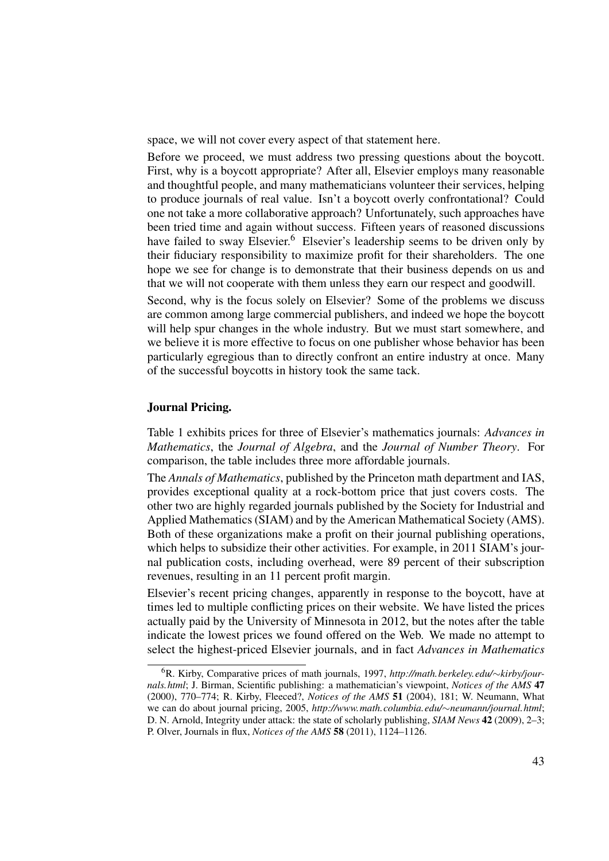space, we will not cover every aspect of that statement here.

Before we proceed, we must address two pressing questions about the boycott. First, why is a boycott appropriate? After all, Elsevier employs many reasonable and thoughtful people, and many mathematicians volunteer their services, helping to produce journals of real value. Isn't a boycott overly confrontational? Could one not take a more collaborative approach? Unfortunately, such approaches have been tried time and again without success. Fifteen years of reasoned discussions have failed to sway Elsevier.<sup>6</sup> Elsevier's leadership seems to be driven only by their fiduciary responsibility to maximize profit for their shareholders. The one hope we see for change is to demonstrate that their business depends on us and that we will not cooperate with them unless they earn our respect and goodwill.

Second, why is the focus solely on Elsevier? Some of the problems we discuss are common among large commercial publishers, and indeed we hope the boycott will help spur changes in the whole industry. But we must start somewhere, and we believe it is more effective to focus on one publisher whose behavior has been particularly egregious than to directly confront an entire industry at once. Many of the successful boycotts in history took the same tack.

### Journal Pricing.

Table 1 exhibits prices for three of Elsevier's mathematics journals: *Advances in Mathematics*, the *Journal of Algebra*, and the *Journal of Number Theory*. For comparison, the table includes three more affordable journals.

The *Annals of Mathematics*, published by the Princeton math department and IAS, provides exceptional quality at a rock-bottom price that just covers costs. The other two are highly regarded journals published by the Society for Industrial and Applied Mathematics (SIAM) and by the American Mathematical Society (AMS). Both of these organizations make a profit on their journal publishing operations, which helps to subsidize their other activities. For example, in 2011 SIAM's journal publication costs, including overhead, were 89 percent of their subscription revenues, resulting in an 11 percent profit margin.

Elsevier's recent pricing changes, apparently in response to the boycott, have at times led to multiple conflicting prices on their website. We have listed the prices actually paid by the University of Minnesota in 2012, but the notes after the table indicate the lowest prices we found offered on the Web. We made no attempt to select the highest-priced Elsevier journals, and in fact *Advances in Mathematics*

<sup>6</sup>R. Kirby, Comparative prices of math journals, 1997, *http://math.berkeley.edu/*∼*kirby/journals.html*; J. Birman, Scientific publishing: a mathematician's viewpoint, *Notices of the AMS* 47 (2000), 770–774; R. Kirby, Fleeced?, *Notices of the AMS* 51 (2004), 181; W. Neumann, What we can do about journal pricing, 2005, *http://www.math.columbia.edu/*∼*neumann/journal.html*; D. N. Arnold, Integrity under attack: the state of scholarly publishing, *SIAM News* 42 (2009), 2–3; P. Olver, Journals in flux, *Notices of the AMS* 58 (2011), 1124–1126.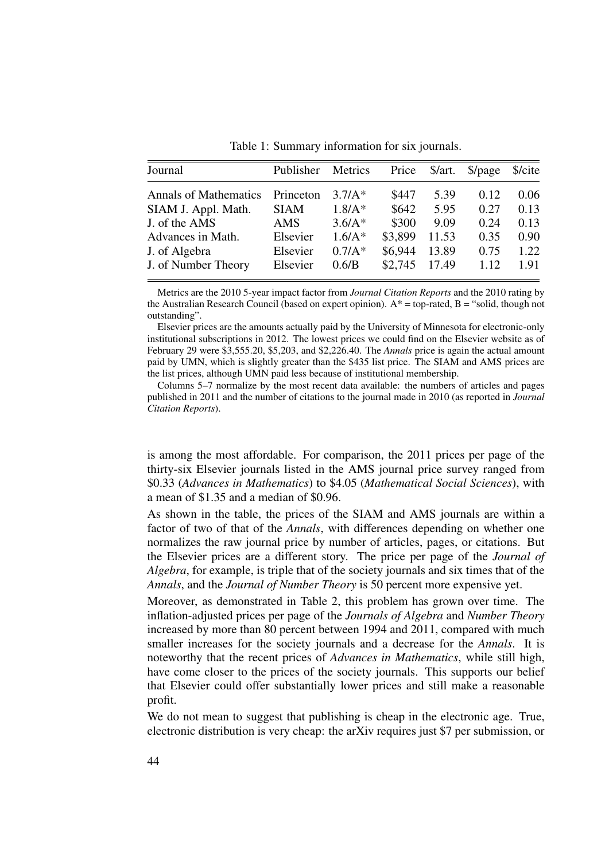| Journal                      | Publisher   | Metrics  | Price   | \$/art. | $\beta$ /page | \$/cite |
|------------------------------|-------------|----------|---------|---------|---------------|---------|
| <b>Annals of Mathematics</b> | Princeton   | $3.7/A*$ | \$447   | 5.39    | 0.12          | 0.06    |
| SIAM J. Appl. Math.          | <b>SIAM</b> | $1.8/A*$ | \$642   | 5.95    | 0.27          | 0.13    |
| J. of the AMS                | AMS         | $3.6/A*$ | \$300   | 9.09    | 0.24          | 0.13    |
| Advances in Math.            | Elsevier    | $1.6/A*$ | \$3,899 | 11.53   | 0.35          | 0.90    |
| J. of Algebra                | Elsevier    | $0.7/A*$ | \$6,944 | 13.89   | 0.75          | 1.22    |
| J. of Number Theory          | Elsevier    | 0.6/B    | \$2,745 | 17.49   | 1.12          | 1.91    |

Table 1: Summary information for six journals.

Metrics are the 2010 5-year impact factor from *Journal Citation Reports* and the 2010 rating by the Australian Research Council (based on expert opinion).  $A^*$  = top-rated, B = "solid, though not outstanding".

Elsevier prices are the amounts actually paid by the University of Minnesota for electronic-only institutional subscriptions in 2012. The lowest prices we could find on the Elsevier website as of February 29 were \$3,555.20, \$5,203, and \$2,226.40. The *Annals* price is again the actual amount paid by UMN, which is slightly greater than the \$435 list price. The SIAM and AMS prices are the list prices, although UMN paid less because of institutional membership.

Columns 5–7 normalize by the most recent data available: the numbers of articles and pages published in 2011 and the number of citations to the journal made in 2010 (as reported in *Journal Citation Reports*).

is among the most affordable. For comparison, the 2011 prices per page of the thirty-six Elsevier journals listed in the AMS journal price survey ranged from \$0.33 (*Advances in Mathematics*) to \$4.05 (*Mathematical Social Sciences*), with a mean of \$1.35 and a median of \$0.96.

As shown in the table, the prices of the SIAM and AMS journals are within a factor of two of that of the *Annals*, with differences depending on whether one normalizes the raw journal price by number of articles, pages, or citations. But the Elsevier prices are a different story. The price per page of the *Journal of Algebra*, for example, is triple that of the society journals and six times that of the *Annals*, and the *Journal of Number Theory* is 50 percent more expensive yet.

Moreover, as demonstrated in Table 2, this problem has grown over time. The inflation-adjusted prices per page of the *Journals of Algebra* and *Number Theory* increased by more than 80 percent between 1994 and 2011, compared with much smaller increases for the society journals and a decrease for the *Annals*. It is noteworthy that the recent prices of *Advances in Mathematics*, while still high, have come closer to the prices of the society journals. This supports our belief that Elsevier could offer substantially lower prices and still make a reasonable profit.

We do not mean to suggest that publishing is cheap in the electronic age. True, electronic distribution is very cheap: the arXiv requires just \$7 per submission, or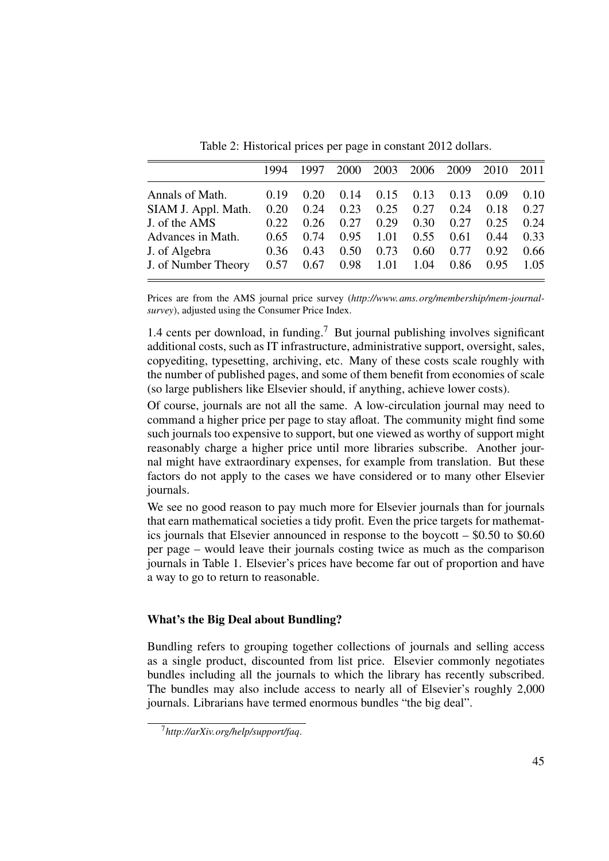|                     | 1994 | 1997 | 2000 | 2003 | 2006 2009 |      | 2010 | 2011 |
|---------------------|------|------|------|------|-----------|------|------|------|
| Annals of Math.     | 0.19 | 0.20 | 0.14 | 0.15 | 0.13      | 0.13 | 0.09 | 0.10 |
| SIAM J. Appl. Math. | 0.20 | 0.24 | 0.23 | 0.25 | 0.27      | 0.24 | 0.18 | 0.27 |
| J. of the AMS       | 0.22 | 0.26 | 0.27 | 0.29 | 0.30      | 0.27 | 0.25 | 0.24 |
| Advances in Math.   | 0.65 | 0.74 | 0.95 | 1.01 | 0.55      | 0.61 | 0.44 | 0.33 |
| J. of Algebra       | 0.36 | 0.43 | 0.50 | 0.73 | 0.60      | 0.77 | 0.92 | 0.66 |
| J. of Number Theory | 0.57 | 0.67 | 0.98 | 1.01 | 1.04      | 0.86 | 0.95 | 1.05 |

Table 2: Historical prices per page in constant 2012 dollars.

Prices are from the AMS journal price survey (*http://www.ams.org/membership/mem-journalsurvey*), adjusted using the Consumer Price Index.

1.4 cents per download, in funding.<sup>7</sup> But journal publishing involves significant additional costs, such as IT infrastructure, administrative support, oversight, sales, copyediting, typesetting, archiving, etc. Many of these costs scale roughly with the number of published pages, and some of them benefit from economies of scale (so large publishers like Elsevier should, if anything, achieve lower costs).

Of course, journals are not all the same. A low-circulation journal may need to command a higher price per page to stay afloat. The community might find some such journals too expensive to support, but one viewed as worthy of support might reasonably charge a higher price until more libraries subscribe. Another journal might have extraordinary expenses, for example from translation. But these factors do not apply to the cases we have considered or to many other Elsevier journals.

We see no good reason to pay much more for Elsevier journals than for journals that earn mathematical societies a tidy profit. Even the price targets for mathematics journals that Elsevier announced in response to the boycott – \$0.50 to \$0.60 per page – would leave their journals costing twice as much as the comparison journals in Table 1. Elsevier's prices have become far out of proportion and have a way to go to return to reasonable.

### What's the Big Deal about Bundling?

Bundling refers to grouping together collections of journals and selling access as a single product, discounted from list price. Elsevier commonly negotiates bundles including all the journals to which the library has recently subscribed. The bundles may also include access to nearly all of Elsevier's roughly 2,000 journals. Librarians have termed enormous bundles "the big deal".

<sup>7</sup>*http://arXiv.org/help/support/faq*.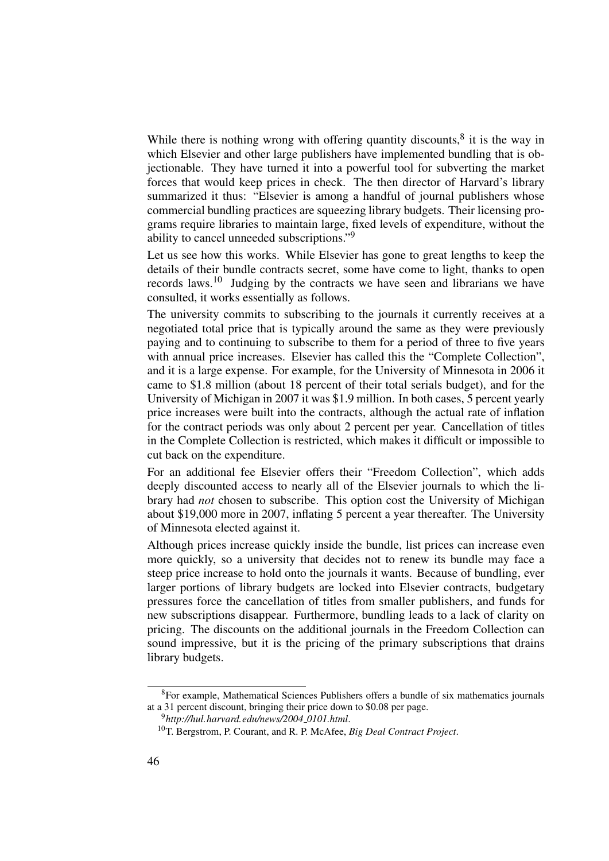While there is nothing wrong with offering quantity discounts, $8$  it is the way in which Elsevier and other large publishers have implemented bundling that is objectionable. They have turned it into a powerful tool for subverting the market forces that would keep prices in check. The then director of Harvard's library summarized it thus: "Elsevier is among a handful of journal publishers whose commercial bundling practices are squeezing library budgets. Their licensing programs require libraries to maintain large, fixed levels of expenditure, without the ability to cancel unneeded subscriptions."<sup>9</sup>

Let us see how this works. While Elsevier has gone to great lengths to keep the details of their bundle contracts secret, some have come to light, thanks to open records laws.<sup>10</sup> Judging by the contracts we have seen and librarians we have consulted, it works essentially as follows.

The university commits to subscribing to the journals it currently receives at a negotiated total price that is typically around the same as they were previously paying and to continuing to subscribe to them for a period of three to five years with annual price increases. Elsevier has called this the "Complete Collection", and it is a large expense. For example, for the University of Minnesota in 2006 it came to \$1.8 million (about 18 percent of their total serials budget), and for the University of Michigan in 2007 it was \$1.9 million. In both cases, 5 percent yearly price increases were built into the contracts, although the actual rate of inflation for the contract periods was only about 2 percent per year. Cancellation of titles in the Complete Collection is restricted, which makes it difficult or impossible to cut back on the expenditure.

For an additional fee Elsevier offers their "Freedom Collection", which adds deeply discounted access to nearly all of the Elsevier journals to which the library had *not* chosen to subscribe. This option cost the University of Michigan about \$19,000 more in 2007, inflating 5 percent a year thereafter. The University of Minnesota elected against it.

Although prices increase quickly inside the bundle, list prices can increase even more quickly, so a university that decides not to renew its bundle may face a steep price increase to hold onto the journals it wants. Because of bundling, ever larger portions of library budgets are locked into Elsevier contracts, budgetary pressures force the cancellation of titles from smaller publishers, and funds for new subscriptions disappear. Furthermore, bundling leads to a lack of clarity on pricing. The discounts on the additional journals in the Freedom Collection can sound impressive, but it is the pricing of the primary subscriptions that drains library budgets.

<sup>8</sup>For example, Mathematical Sciences Publishers offers a bundle of six mathematics journals at a 31 percent discount, bringing their price down to \$0.08 per page.

<sup>9</sup>*http://hul.harvard.edu/news/2004 0101.html*.

<sup>10</sup>T. Bergstrom, P. Courant, and R. P. McAfee, *Big Deal Contract Project*.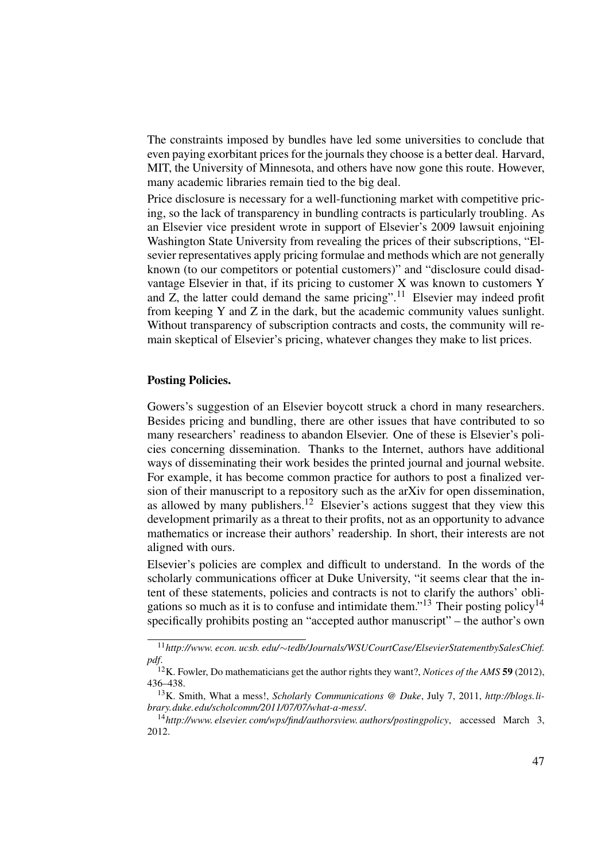The constraints imposed by bundles have led some universities to conclude that even paying exorbitant prices for the journals they choose is a better deal. Harvard, MIT, the University of Minnesota, and others have now gone this route. However, many academic libraries remain tied to the big deal.

Price disclosure is necessary for a well-functioning market with competitive pricing, so the lack of transparency in bundling contracts is particularly troubling. As an Elsevier vice president wrote in support of Elsevier's 2009 lawsuit enjoining Washington State University from revealing the prices of their subscriptions, "Elsevier representatives apply pricing formulae and methods which are not generally known (to our competitors or potential customers)" and "disclosure could disadvantage Elsevier in that, if its pricing to customer X was known to customers Y and Z, the latter could demand the same pricing".<sup>11</sup> Elsevier may indeed profit from keeping Y and Z in the dark, but the academic community values sunlight. Without transparency of subscription contracts and costs, the community will remain skeptical of Elsevier's pricing, whatever changes they make to list prices.

### Posting Policies.

Gowers's suggestion of an Elsevier boycott struck a chord in many researchers. Besides pricing and bundling, there are other issues that have contributed to so many researchers' readiness to abandon Elsevier. One of these is Elsevier's policies concerning dissemination. Thanks to the Internet, authors have additional ways of disseminating their work besides the printed journal and journal website. For example, it has become common practice for authors to post a finalized version of their manuscript to a repository such as the arXiv for open dissemination, as allowed by many publishers.<sup>12</sup> Elsevier's actions suggest that they view this development primarily as a threat to their profits, not as an opportunity to advance mathematics or increase their authors' readership. In short, their interests are not aligned with ours.

Elsevier's policies are complex and difficult to understand. In the words of the scholarly communications officer at Duke University, "it seems clear that the intent of these statements, policies and contracts is not to clarify the authors' obligations so much as it is to confuse and intimidate them."<sup>13</sup> Their posting policy<sup>14</sup> specifically prohibits posting an "accepted author manuscript" – the author's own

<sup>11</sup>*http://www. econ. ucsb. edu/*∼*tedb/Journals/WSUCourtCase/ElsevierStatementbySalesChief. pdf*.

<sup>12</sup>K. Fowler, Do mathematicians get the author rights they want?, *Notices of the AMS* 59 (2012), 436–438.

<sup>13</sup>K. Smith, What a mess!, *Scholarly Communications @ Duke*, July 7, 2011, *http://blogs.library.duke.edu/scholcomm/2011/07/07/what-a-mess/*.

<sup>14</sup>*http://www. elsevier. com/wps/find/authorsview. authors/postingpolicy*, accessed March 3, 2012.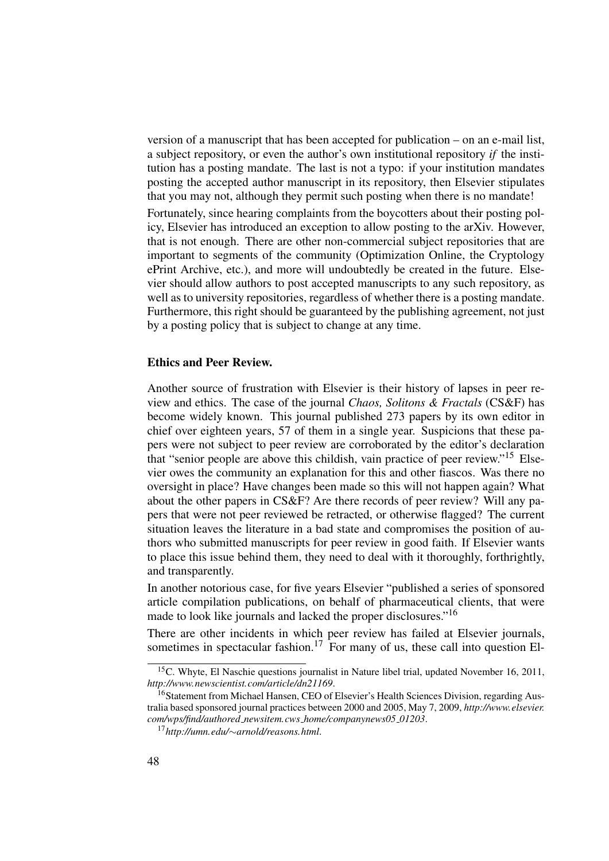version of a manuscript that has been accepted for publication – on an e-mail list, a subject repository, or even the author's own institutional repository *if* the institution has a posting mandate. The last is not a typo: if your institution mandates posting the accepted author manuscript in its repository, then Elsevier stipulates that you may not, although they permit such posting when there is no mandate!

Fortunately, since hearing complaints from the boycotters about their posting policy, Elsevier has introduced an exception to allow posting to the arXiv. However, that is not enough. There are other non-commercial subject repositories that are important to segments of the community (Optimization Online, the Cryptology ePrint Archive, etc.), and more will undoubtedly be created in the future. Elsevier should allow authors to post accepted manuscripts to any such repository, as well as to university repositories, regardless of whether there is a posting mandate. Furthermore, this right should be guaranteed by the publishing agreement, not just by a posting policy that is subject to change at any time.

### Ethics and Peer Review.

Another source of frustration with Elsevier is their history of lapses in peer review and ethics. The case of the journal *Chaos, Solitons & Fractals* (CS&F) has become widely known. This journal published 273 papers by its own editor in chief over eighteen years, 57 of them in a single year. Suspicions that these papers were not subject to peer review are corroborated by the editor's declaration that "senior people are above this childish, vain practice of peer review."<sup>15</sup> Elsevier owes the community an explanation for this and other fiascos. Was there no oversight in place? Have changes been made so this will not happen again? What about the other papers in CS&F? Are there records of peer review? Will any papers that were not peer reviewed be retracted, or otherwise flagged? The current situation leaves the literature in a bad state and compromises the position of authors who submitted manuscripts for peer review in good faith. If Elsevier wants to place this issue behind them, they need to deal with it thoroughly, forthrightly, and transparently.

In another notorious case, for five years Elsevier "published a series of sponsored article compilation publications, on behalf of pharmaceutical clients, that were made to look like journals and lacked the proper disclosures."<sup>16</sup>

There are other incidents in which peer review has failed at Elsevier journals, sometimes in spectacular fashion.<sup>17</sup> For many of us, these call into question El-

<sup>&</sup>lt;sup>15</sup>C. Whyte, El Naschie questions journalist in Nature libel trial, updated November 16, 2011, *http://www.newscientist.com/article/dn21169*.

<sup>&</sup>lt;sup>16</sup>Statement from Michael Hansen, CEO of Elsevier's Health Sciences Division, regarding Australia based sponsored journal practices between 2000 and 2005, May 7, 2009, *http://www.elsevier. com/wps/find/authored newsitem.cws home/companynews05 01203*.

<sup>17</sup>*http://umn.edu/*∼*arnold/reasons.html*.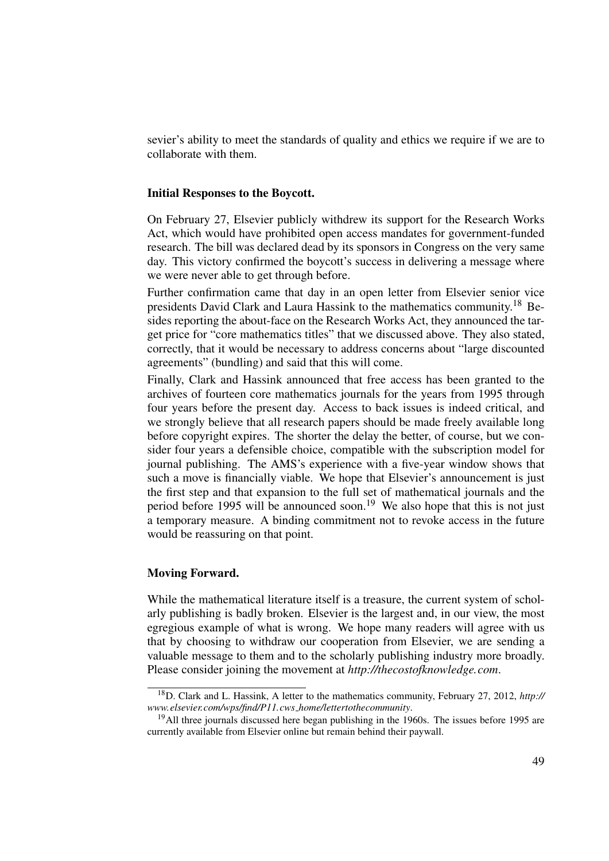sevier's ability to meet the standards of quality and ethics we require if we are to collaborate with them.

### Initial Responses to the Boycott.

On February 27, Elsevier publicly withdrew its support for the Research Works Act, which would have prohibited open access mandates for government-funded research. The bill was declared dead by its sponsors in Congress on the very same day. This victory confirmed the boycott's success in delivering a message where we were never able to get through before.

Further confirmation came that day in an open letter from Elsevier senior vice presidents David Clark and Laura Hassink to the mathematics community.<sup>18</sup> Besides reporting the about-face on the Research Works Act, they announced the target price for "core mathematics titles" that we discussed above. They also stated, correctly, that it would be necessary to address concerns about "large discounted agreements" (bundling) and said that this will come.

Finally, Clark and Hassink announced that free access has been granted to the archives of fourteen core mathematics journals for the years from 1995 through four years before the present day. Access to back issues is indeed critical, and we strongly believe that all research papers should be made freely available long before copyright expires. The shorter the delay the better, of course, but we consider four years a defensible choice, compatible with the subscription model for journal publishing. The AMS's experience with a five-year window shows that such a move is financially viable. We hope that Elsevier's announcement is just the first step and that expansion to the full set of mathematical journals and the period before 1995 will be announced soon.<sup>19</sup> We also hope that this is not just a temporary measure. A binding commitment not to revoke access in the future would be reassuring on that point.

#### Moving Forward.

While the mathematical literature itself is a treasure, the current system of scholarly publishing is badly broken. Elsevier is the largest and, in our view, the most egregious example of what is wrong. We hope many readers will agree with us that by choosing to withdraw our cooperation from Elsevier, we are sending a valuable message to them and to the scholarly publishing industry more broadly. Please consider joining the movement at *http://thecostofknowledge.com*.

<sup>18</sup>D. Clark and L. Hassink, A letter to the mathematics community, February 27, 2012, *http:// www.elsevier.com/wps/find/P11.cws home/lettertothecommunity*.

 $19$ All three journals discussed here began publishing in the 1960s. The issues before 1995 are currently available from Elsevier online but remain behind their paywall.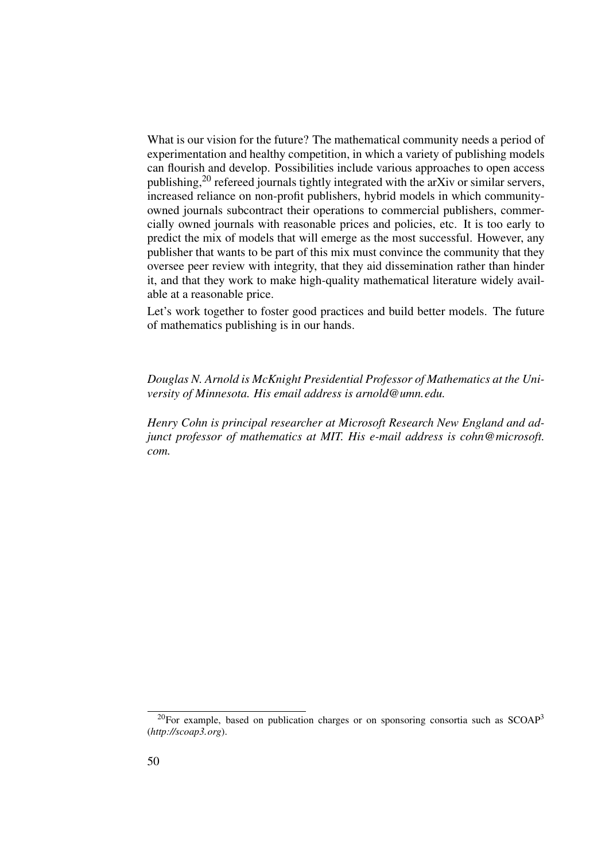What is our vision for the future? The mathematical community needs a period of experimentation and healthy competition, in which a variety of publishing models can flourish and develop. Possibilities include various approaches to open access publishing,<sup>20</sup> refereed journals tightly integrated with the arXiv or similar servers, increased reliance on non-profit publishers, hybrid models in which communityowned journals subcontract their operations to commercial publishers, commercially owned journals with reasonable prices and policies, etc. It is too early to predict the mix of models that will emerge as the most successful. However, any publisher that wants to be part of this mix must convince the community that they oversee peer review with integrity, that they aid dissemination rather than hinder it, and that they work to make high-quality mathematical literature widely available at a reasonable price.

Let's work together to foster good practices and build better models. The future of mathematics publishing is in our hands.

*Douglas N. Arnold is McKnight Presidential Professor of Mathematics at the University of Minnesota. His email address is arnold@umn.edu.*

*Henry Cohn is principal researcher at Microsoft Research New England and adjunct professor of mathematics at MIT. His e-mail address is cohn@microsoft. com.*

 $^{20}$ For example, based on publication charges or on sponsoring consortia such as SCOAP<sup>3</sup> (*http://scoap3.org*).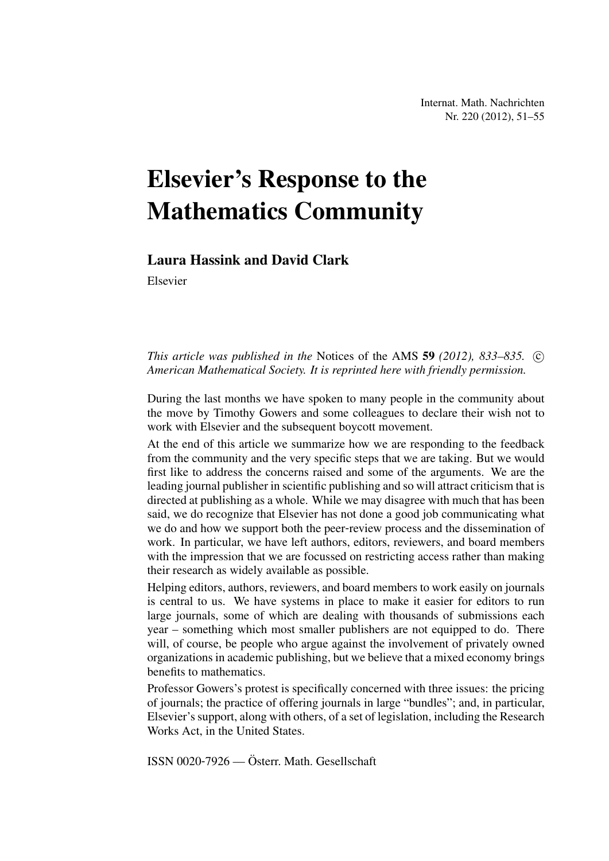# Elsevier's Response to the Mathematics Community

### Laura Hassink and David Clark

Elsevier

*This article was published in the Notices of the AMS 59 (2012), 833–835.* © *American Mathematical Society. It is reprinted here with friendly permission.*

During the last months we have spoken to many people in the community about the move by Timothy Gowers and some colleagues to declare their wish not to work with Elsevier and the subsequent boycott movement.

At the end of this article we summarize how we are responding to the feedback from the community and the very specific steps that we are taking. But we would first like to address the concerns raised and some of the arguments. We are the leading journal publisher in scientific publishing and so will attract criticism that is directed at publishing as a whole. While we may disagree with much that has been said, we do recognize that Elsevier has not done a good job communicating what we do and how we support both the peer-review process and the dissemination of work. In particular, we have left authors, editors, reviewers, and board members with the impression that we are focussed on restricting access rather than making their research as widely available as possible.

Helping editors, authors, reviewers, and board members to work easily on journals is central to us. We have systems in place to make it easier for editors to run large journals, some of which are dealing with thousands of submissions each year – something which most smaller publishers are not equipped to do. There will, of course, be people who argue against the involvement of privately owned organizations in academic publishing, but we believe that a mixed economy brings benefits to mathematics.

Professor Gowers's protest is specifically concerned with three issues: the pricing of journals; the practice of offering journals in large "bundles"; and, in particular, Elsevier's support, along with others, of a set of legislation, including the Research Works Act, in the United States.

ISSN 0020-7926 — Österr. Math. Gesellschaft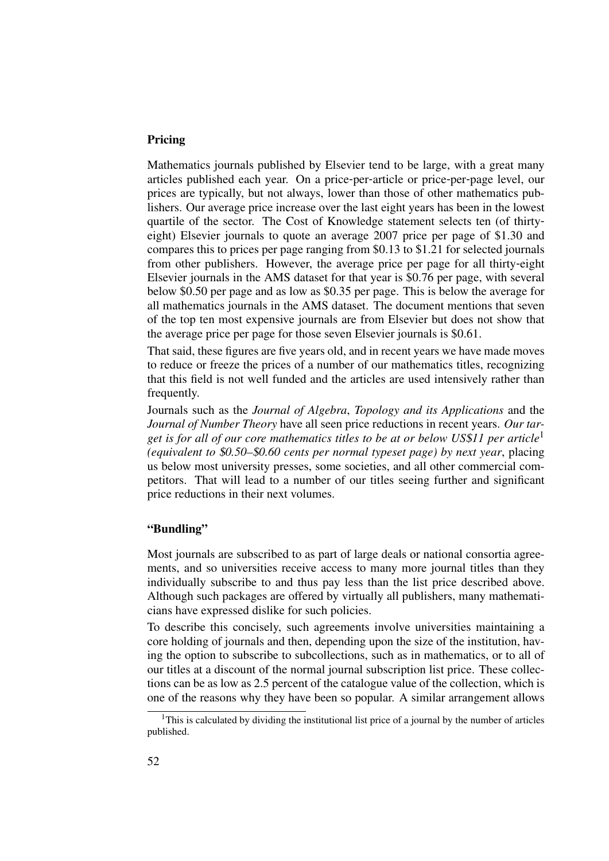### Pricing

Mathematics journals published by Elsevier tend to be large, with a great many articles published each year. On a price-per-article or price-per-page level, our prices are typically, but not always, lower than those of other mathematics publishers. Our average price increase over the last eight years has been in the lowest quartile of the sector. The Cost of Knowledge statement selects ten (of thirtyeight) Elsevier journals to quote an average 2007 price per page of \$1.30 and compares this to prices per page ranging from \$0.13 to \$1.21 for selected journals from other publishers. However, the average price per page for all thirty-eight Elsevier journals in the AMS dataset for that year is \$0.76 per page, with several below \$0.50 per page and as low as \$0.35 per page. This is below the average for all mathematics journals in the AMS dataset. The document mentions that seven of the top ten most expensive journals are from Elsevier but does not show that the average price per page for those seven Elsevier journals is \$0.61.

That said, these figures are five years old, and in recent years we have made moves to reduce or freeze the prices of a number of our mathematics titles, recognizing that this field is not well funded and the articles are used intensively rather than frequently.

Journals such as the *Journal of Algebra*, *Topology and its Applications* and the *Journal of Number Theory* have all seen price reductions in recent years. *Our target is for all of our core mathematics titles to be at or below US*\$*11 per article*<sup>1</sup> *(equivalent to* \$*0.50–*\$*0.60 cents per normal typeset page) by next year*, placing us below most university presses, some societies, and all other commercial competitors. That will lead to a number of our titles seeing further and significant price reductions in their next volumes.

### "Bundling"

Most journals are subscribed to as part of large deals or national consortia agreements, and so universities receive access to many more journal titles than they individually subscribe to and thus pay less than the list price described above. Although such packages are offered by virtually all publishers, many mathematicians have expressed dislike for such policies.

To describe this concisely, such agreements involve universities maintaining a core holding of journals and then, depending upon the size of the institution, having the option to subscribe to subcollections, such as in mathematics, or to all of our titles at a discount of the normal journal subscription list price. These collections can be as low as 2.5 percent of the catalogue value of the collection, which is one of the reasons why they have been so popular. A similar arrangement allows

<sup>&</sup>lt;sup>1</sup>This is calculated by dividing the institutional list price of a journal by the number of articles published.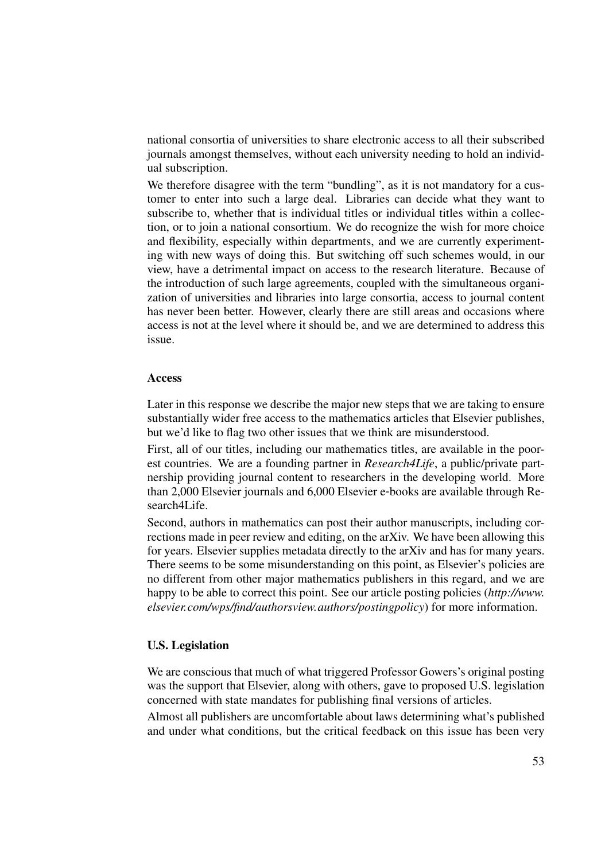national consortia of universities to share electronic access to all their subscribed journals amongst themselves, without each university needing to hold an individual subscription.

We therefore disagree with the term "bundling", as it is not mandatory for a customer to enter into such a large deal. Libraries can decide what they want to subscribe to, whether that is individual titles or individual titles within a collection, or to join a national consortium. We do recognize the wish for more choice and flexibility, especially within departments, and we are currently experimenting with new ways of doing this. But switching off such schemes would, in our view, have a detrimental impact on access to the research literature. Because of the introduction of such large agreements, coupled with the simultaneous organization of universities and libraries into large consortia, access to journal content has never been better. However, clearly there are still areas and occasions where access is not at the level where it should be, and we are determined to address this issue.

### Access

Later in this response we describe the major new steps that we are taking to ensure substantially wider free access to the mathematics articles that Elsevier publishes, but we'd like to flag two other issues that we think are misunderstood.

First, all of our titles, including our mathematics titles, are available in the poorest countries. We are a founding partner in *Research4Life*, a public/private partnership providing journal content to researchers in the developing world. More than 2,000 Elsevier journals and 6,000 Elsevier e-books are available through Research4Life.

Second, authors in mathematics can post their author manuscripts, including corrections made in peer review and editing, on the arXiv. We have been allowing this for years. Elsevier supplies metadata directly to the arXiv and has for many years. There seems to be some misunderstanding on this point, as Elsevier's policies are no different from other major mathematics publishers in this regard, and we are happy to be able to correct this point. See our article posting policies (*http://www. elsevier.com/wps/find/authorsview.authors/postingpolicy*) for more information.

### U.S. Legislation

We are conscious that much of what triggered Professor Gowers's original posting was the support that Elsevier, along with others, gave to proposed U.S. legislation concerned with state mandates for publishing final versions of articles.

Almost all publishers are uncomfortable about laws determining what's published and under what conditions, but the critical feedback on this issue has been very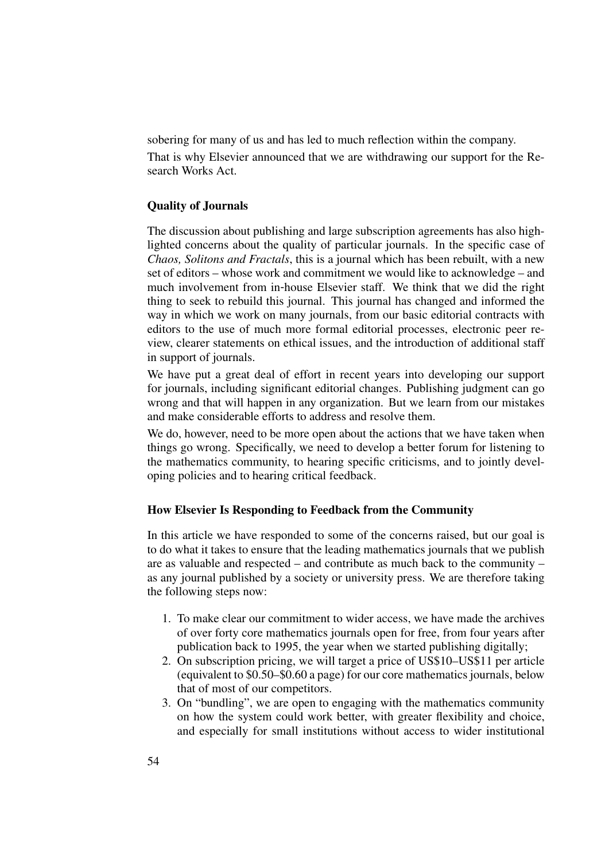sobering for many of us and has led to much reflection within the company.

That is why Elsevier announced that we are withdrawing our support for the Research Works Act.

### Quality of Journals

The discussion about publishing and large subscription agreements has also highlighted concerns about the quality of particular journals. In the specific case of *Chaos, Solitons and Fractals*, this is a journal which has been rebuilt, with a new set of editors – whose work and commitment we would like to acknowledge – and much involvement from in-house Elsevier staff. We think that we did the right thing to seek to rebuild this journal. This journal has changed and informed the way in which we work on many journals, from our basic editorial contracts with editors to the use of much more formal editorial processes, electronic peer review, clearer statements on ethical issues, and the introduction of additional staff in support of journals.

We have put a great deal of effort in recent years into developing our support for journals, including significant editorial changes. Publishing judgment can go wrong and that will happen in any organization. But we learn from our mistakes and make considerable efforts to address and resolve them.

We do, however, need to be more open about the actions that we have taken when things go wrong. Specifically, we need to develop a better forum for listening to the mathematics community, to hearing specific criticisms, and to jointly developing policies and to hearing critical feedback.

### How Elsevier Is Responding to Feedback from the Community

In this article we have responded to some of the concerns raised, but our goal is to do what it takes to ensure that the leading mathematics journals that we publish are as valuable and respected – and contribute as much back to the community – as any journal published by a society or university press. We are therefore taking the following steps now:

- 1. To make clear our commitment to wider access, we have made the archives of over forty core mathematics journals open for free, from four years after publication back to 1995, the year when we started publishing digitally;
- 2. On subscription pricing, we will target a price of US\$10–US\$11 per article (equivalent to \$0.50–\$0.60 a page) for our core mathematics journals, below that of most of our competitors.
- 3. On "bundling", we are open to engaging with the mathematics community on how the system could work better, with greater flexibility and choice, and especially for small institutions without access to wider institutional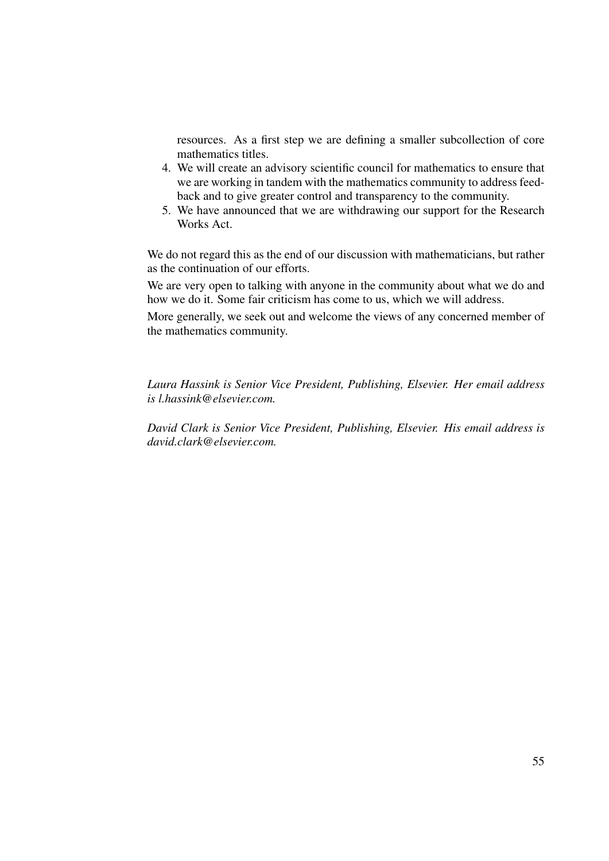resources. As a first step we are defining a smaller subcollection of core mathematics titles.

- 4. We will create an advisory scientific council for mathematics to ensure that we are working in tandem with the mathematics community to address feedback and to give greater control and transparency to the community.
- 5. We have announced that we are withdrawing our support for the Research Works Act.

We do not regard this as the end of our discussion with mathematicians, but rather as the continuation of our efforts.

We are very open to talking with anyone in the community about what we do and how we do it. Some fair criticism has come to us, which we will address.

More generally, we seek out and welcome the views of any concerned member of the mathematics community.

*Laura Hassink is Senior Vice President, Publishing, Elsevier. Her email address is l.hassink@elsevier.com.*

*David Clark is Senior Vice President, Publishing, Elsevier. His email address is david.clark@elsevier.com.*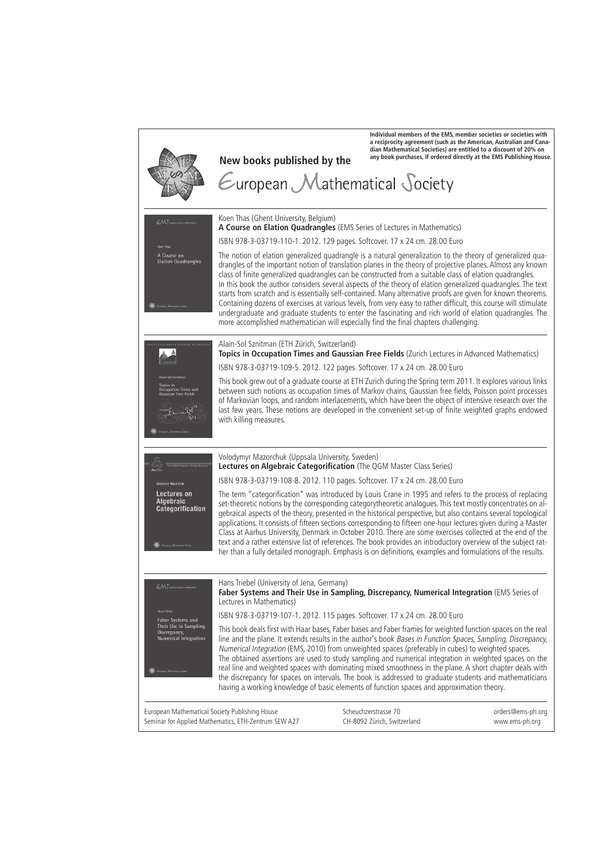|                                                                                                              | New books published by the<br>$\epsilon$ uropean Mathematical Society                                                                                                                                                                                                                                                                                                                                                                                                                                                                                                                                                                                                                                                                                                                                      | Individual members of the EMS, member societies or societies with<br>dian Mathematical Societies) are entitled to a discount of 20% on | a reciprocity agreement (such as the American, Australian and Cana-<br>any book purchases, if ordered directly at the EMS Publishing House. |
|--------------------------------------------------------------------------------------------------------------|------------------------------------------------------------------------------------------------------------------------------------------------------------------------------------------------------------------------------------------------------------------------------------------------------------------------------------------------------------------------------------------------------------------------------------------------------------------------------------------------------------------------------------------------------------------------------------------------------------------------------------------------------------------------------------------------------------------------------------------------------------------------------------------------------------|----------------------------------------------------------------------------------------------------------------------------------------|---------------------------------------------------------------------------------------------------------------------------------------------|
| EMJ.<br>Koen Thas<br>A Course on<br><b>Elation Quadrangles</b>                                               | Koen Thas (Ghent University, Belgium)<br>A Course on Elation Quadrangles (EMS Series of Lectures in Mathematics)<br>ISBN 978-3-03719-110-1. 2012. 129 pages. Softcover. 17 x 24 cm. 28.00 Euro<br>The notion of elation generalized quadrangle is a natural generalization to the theory of generalized qua-                                                                                                                                                                                                                                                                                                                                                                                                                                                                                               |                                                                                                                                        |                                                                                                                                             |
|                                                                                                              | drangles of the important notion of translation planes in the theory of projective planes. Almost any known<br>class of finite generalized quadrangles can be constructed from a suitable class of elation quadrangles.<br>In this book the author considers several aspects of the theory of elation generalized quadrangles. The text<br>starts from scratch and is essentially self-contained. Many alternative proofs are given for known theorems.<br>Containing dozens of exercises at various levels, from very easy to rather difficult, this course will stimulate<br>undergraduate and graduate students to enter the fascinating and rich world of elation quadrangles. The<br>more accomplished mathematician will especially find the final chapters challenging.                             |                                                                                                                                        |                                                                                                                                             |
| ICH LECTURES IN ADVANCED MATHE                                                                               | Alain-Sol Sznitman (ETH Zürich, Switzerland)<br>Topics in Occupation Times and Gaussian Free Fields (Zurich Lectures in Advanced Mathematics)                                                                                                                                                                                                                                                                                                                                                                                                                                                                                                                                                                                                                                                              |                                                                                                                                        |                                                                                                                                             |
| Alain-Sol Sznitman                                                                                           | ISBN 978-3-03719-109-5. 2012. 122 pages. Softcover. 17 x 24 cm. 28.00 Euro                                                                                                                                                                                                                                                                                                                                                                                                                                                                                                                                                                                                                                                                                                                                 |                                                                                                                                        |                                                                                                                                             |
| Topics in<br><b>Occupation Times and</b><br><b>Gaussian Free Fields</b>                                      | This book grew out of a graduate course at ETH Zurich during the Spring term 2011. It explores various links<br>between such notions as occupation times of Markov chains, Gaussian free fields, Poisson point processes<br>of Markovian loops, and random interlacements, which have been the object of intensive research over the<br>last few years. These notions are developed in the convenient set-up of finite weighted graphs endowed<br>with killing measures.                                                                                                                                                                                                                                                                                                                                   |                                                                                                                                        |                                                                                                                                             |
|                                                                                                              | Volodymyr Mazorchuk (Uppsala University, Sweden)                                                                                                                                                                                                                                                                                                                                                                                                                                                                                                                                                                                                                                                                                                                                                           |                                                                                                                                        |                                                                                                                                             |
|                                                                                                              | Lectures on Algebraic Categorification (The QGM Master Class Series)                                                                                                                                                                                                                                                                                                                                                                                                                                                                                                                                                                                                                                                                                                                                       |                                                                                                                                        |                                                                                                                                             |
| Volodymyr Mazorchuk                                                                                          | ISBN 978-3-03719-108-8. 2012. 110 pages. Softcover. 17 x 24 cm. 28.00 Euro                                                                                                                                                                                                                                                                                                                                                                                                                                                                                                                                                                                                                                                                                                                                 |                                                                                                                                        |                                                                                                                                             |
| Lectures on<br>Algebraic<br>Categorification                                                                 | The term "categorification" was introduced by Louis Crane in 1995 and refers to the process of replacing<br>set-theoretic notions by the corresponding categorytheoretic analogues. This text mostly concentrates on al-<br>gebraical aspects of the theory, presented in the historical perspective, but also contains several topological<br>applications. It consists of fifteen sections corresponding to fifteen one-hour lectures given during a Master<br>Class at Aarhus University, Denmark in October 2010. There are some exercises collected at the end of the<br>text and a rather extensive list of references. The book provides an introductory overview of the subject rat-<br>her than a fully detailed monograph. Emphasis is on definitions, examples and formulations of the results. |                                                                                                                                        |                                                                                                                                             |
| EMS Sons of Lectures in Mathematics                                                                          | Hans Triebel (University of Jena, Germany)<br>Faber Systems and Their Use in Sampling, Discrepancy, Numerical Integration (EMS Series of<br>Lectures in Mathematics)                                                                                                                                                                                                                                                                                                                                                                                                                                                                                                                                                                                                                                       |                                                                                                                                        |                                                                                                                                             |
| <b>Hans Trichel</b><br>Faber Systems and                                                                     | ISBN 978-3-03719-107-1. 2012. 115 pages. Softcover. 17 x 24 cm. 28.00 Euro                                                                                                                                                                                                                                                                                                                                                                                                                                                                                                                                                                                                                                                                                                                                 |                                                                                                                                        |                                                                                                                                             |
| Their Use in Sampling,<br>Discrepancy,<br><b>Numerical Integration</b><br><b>Europein Mathematical State</b> | This book deals first with Haar bases, Faber bases and Faber frames for weighted function spaces on the real<br>line and the plane. It extends results in the author's book Bases in Function Spaces, Sampling, Discrepancy,<br>Numerical Integration (EMS, 2010) from unweighted spaces (preferably in cubes) to weighted spaces.<br>The obtained assertions are used to study sampling and numerical integration in weighted spaces on the<br>real line and weighted spaces with dominating mixed smoothness in the plane. A short chapter deals with<br>the discrepancy for spaces on intervals. The book is addressed to graduate students and mathematicians<br>having a working knowledge of basic elements of function spaces and approximation theory.                                             |                                                                                                                                        |                                                                                                                                             |
| European Mathematical Society Publishing House                                                               | Seminar for Applied Mathematics, ETH-Zentrum SEW A27                                                                                                                                                                                                                                                                                                                                                                                                                                                                                                                                                                                                                                                                                                                                                       | Scheuchzerstrasse 70<br>CH-8092 Zürich, Switzerland                                                                                    | orders@ems-ph.org<br>www.ems-ph.org                                                                                                         |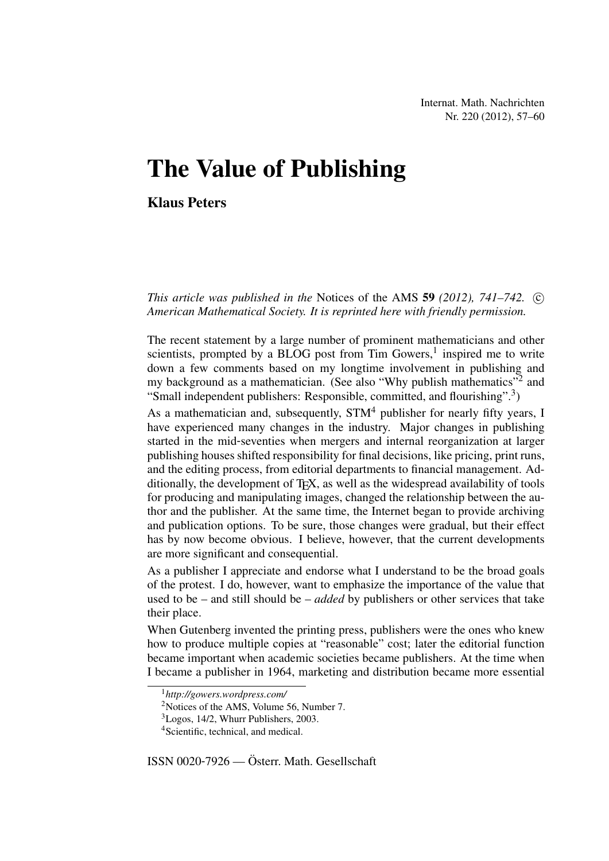Internat. Math. Nachrichten Nr. 220 (2012), 57–60

## The Value of Publishing

Klaus Peters

*This article was published in the Notices of the AMS 59 (2012), 741–742.*  $\odot$ *American Mathematical Society. It is reprinted here with friendly permission.*

The recent statement by a large number of prominent mathematicians and other scientists, prompted by a BLOG post from Tim Gowers,<sup>1</sup> inspired me to write down a few comments based on my longtime involvement in publishing and my background as a mathematician. (See also "Why publish mathematics"<sup>2</sup> and "Small independent publishers: Responsible, committed, and flourishing".<sup>3</sup>)

As a mathematician and, subsequently, STM<sup>4</sup> publisher for nearly fifty years, I have experienced many changes in the industry. Major changes in publishing started in the mid-seventies when mergers and internal reorganization at larger publishing houses shifted responsibility for final decisions, like pricing, print runs, and the editing process, from editorial departments to financial management. Additionally, the development of  $T<sub>F</sub>X$ , as well as the widespread availability of tools for producing and manipulating images, changed the relationship between the author and the publisher. At the same time, the Internet began to provide archiving and publication options. To be sure, those changes were gradual, but their effect has by now become obvious. I believe, however, that the current developments are more significant and consequential.

As a publisher I appreciate and endorse what I understand to be the broad goals of the protest. I do, however, want to emphasize the importance of the value that used to be – and still should be – *added* by publishers or other services that take their place.

When Gutenberg invented the printing press, publishers were the ones who knew how to produce multiple copies at "reasonable" cost; later the editorial function became important when academic societies became publishers. At the time when I became a publisher in 1964, marketing and distribution became more essential

<sup>1</sup>*http://gowers.wordpress.com/*

<sup>&</sup>lt;sup>2</sup>Notices of the AMS, Volume 56, Number 7.

 ${}^{3}$ Logos, 14/2, Whurr Publishers, 2003.

<sup>&</sup>lt;sup>4</sup>Scientific, technical, and medical.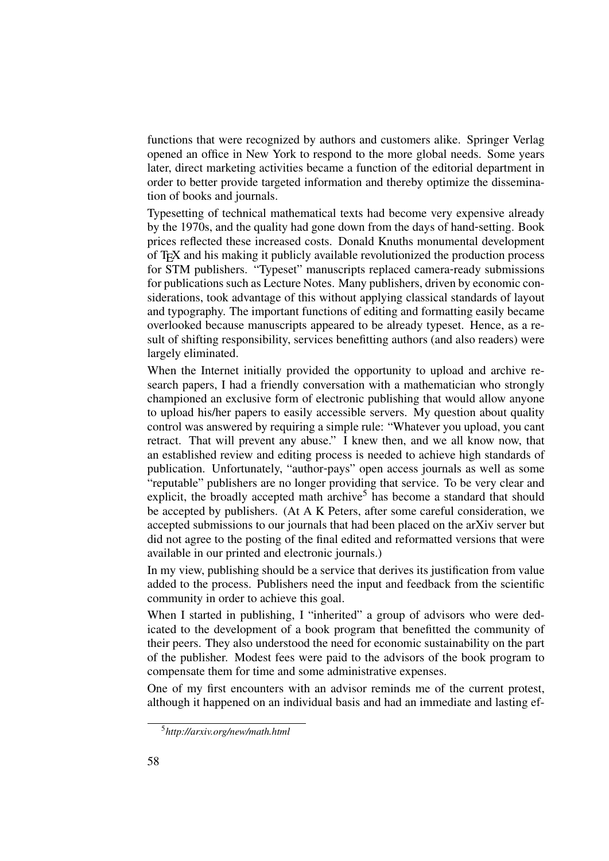functions that were recognized by authors and customers alike. Springer Verlag opened an office in New York to respond to the more global needs. Some years later, direct marketing activities became a function of the editorial department in order to better provide targeted information and thereby optimize the dissemination of books and journals.

Typesetting of technical mathematical texts had become very expensive already by the 1970s, and the quality had gone down from the days of hand-setting. Book prices reflected these increased costs. Donald Knuths monumental development of TEX and his making it publicly available revolutionized the production process for STM publishers. "Typeset" manuscripts replaced camera-ready submissions for publications such as Lecture Notes. Many publishers, driven by economic considerations, took advantage of this without applying classical standards of layout and typography. The important functions of editing and formatting easily became overlooked because manuscripts appeared to be already typeset. Hence, as a result of shifting responsibility, services benefitting authors (and also readers) were largely eliminated.

When the Internet initially provided the opportunity to upload and archive research papers, I had a friendly conversation with a mathematician who strongly championed an exclusive form of electronic publishing that would allow anyone to upload his/her papers to easily accessible servers. My question about quality control was answered by requiring a simple rule: "Whatever you upload, you cant retract. That will prevent any abuse." I knew then, and we all know now, that an established review and editing process is needed to achieve high standards of publication. Unfortunately, "author-pays" open access journals as well as some "reputable" publishers are no longer providing that service. To be very clear and explicit, the broadly accepted math archive<sup>5</sup> has become a standard that should be accepted by publishers. (At A K Peters, after some careful consideration, we accepted submissions to our journals that had been placed on the arXiv server but did not agree to the posting of the final edited and reformatted versions that were available in our printed and electronic journals.)

In my view, publishing should be a service that derives its justification from value added to the process. Publishers need the input and feedback from the scientific community in order to achieve this goal.

When I started in publishing, I "inherited" a group of advisors who were dedicated to the development of a book program that benefitted the community of their peers. They also understood the need for economic sustainability on the part of the publisher. Modest fees were paid to the advisors of the book program to compensate them for time and some administrative expenses.

One of my first encounters with an advisor reminds me of the current protest, although it happened on an individual basis and had an immediate and lasting ef-

<sup>5</sup>*http://arxiv.org/new/math.html*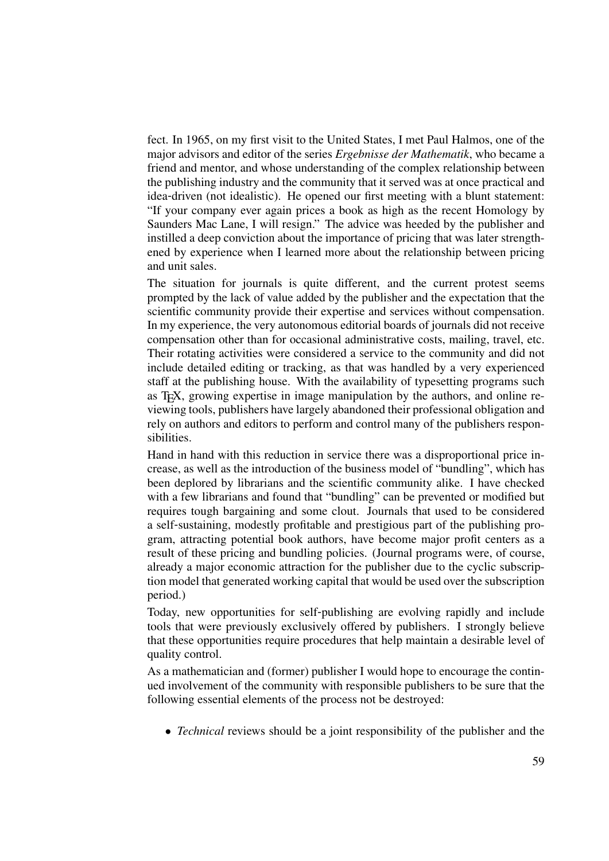fect. In 1965, on my first visit to the United States, I met Paul Halmos, one of the major advisors and editor of the series *Ergebnisse der Mathematik*, who became a friend and mentor, and whose understanding of the complex relationship between the publishing industry and the community that it served was at once practical and idea-driven (not idealistic). He opened our first meeting with a blunt statement: "If your company ever again prices a book as high as the recent Homology by Saunders Mac Lane, I will resign." The advice was heeded by the publisher and instilled a deep conviction about the importance of pricing that was later strengthened by experience when I learned more about the relationship between pricing and unit sales.

The situation for journals is quite different, and the current protest seems prompted by the lack of value added by the publisher and the expectation that the scientific community provide their expertise and services without compensation. In my experience, the very autonomous editorial boards of journals did not receive compensation other than for occasional administrative costs, mailing, travel, etc. Their rotating activities were considered a service to the community and did not include detailed editing or tracking, as that was handled by a very experienced staff at the publishing house. With the availability of typesetting programs such as TEX, growing expertise in image manipulation by the authors, and online reviewing tools, publishers have largely abandoned their professional obligation and rely on authors and editors to perform and control many of the publishers responsibilities.

Hand in hand with this reduction in service there was a disproportional price increase, as well as the introduction of the business model of "bundling", which has been deplored by librarians and the scientific community alike. I have checked with a few librarians and found that "bundling" can be prevented or modified but requires tough bargaining and some clout. Journals that used to be considered a self-sustaining, modestly profitable and prestigious part of the publishing program, attracting potential book authors, have become major profit centers as a result of these pricing and bundling policies. (Journal programs were, of course, already a major economic attraction for the publisher due to the cyclic subscription model that generated working capital that would be used over the subscription period.)

Today, new opportunities for self-publishing are evolving rapidly and include tools that were previously exclusively offered by publishers. I strongly believe that these opportunities require procedures that help maintain a desirable level of quality control.

As a mathematician and (former) publisher I would hope to encourage the continued involvement of the community with responsible publishers to be sure that the following essential elements of the process not be destroyed:

• *Technical* reviews should be a joint responsibility of the publisher and the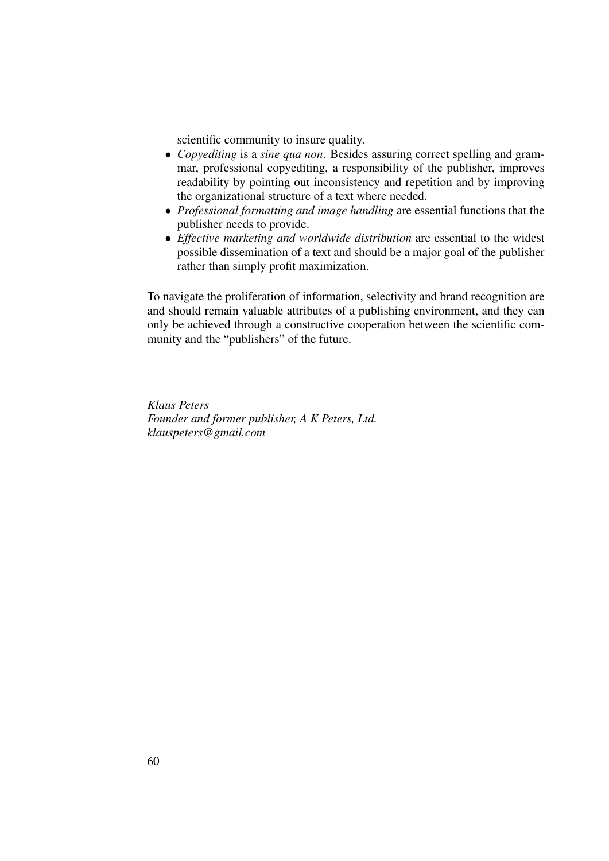scientific community to insure quality.

- *Copyediting* is a *sine qua non*. Besides assuring correct spelling and grammar, professional copyediting, a responsibility of the publisher, improves readability by pointing out inconsistency and repetition and by improving the organizational structure of a text where needed.
- *Professional formatting and image handling* are essential functions that the publisher needs to provide.
- *Effective marketing and worldwide distribution* are essential to the widest possible dissemination of a text and should be a major goal of the publisher rather than simply profit maximization.

To navigate the proliferation of information, selectivity and brand recognition are and should remain valuable attributes of a publishing environment, and they can only be achieved through a constructive cooperation between the scientific community and the "publishers" of the future.

*Klaus Peters Founder and former publisher, A K Peters, Ltd. klauspeters@gmail.com*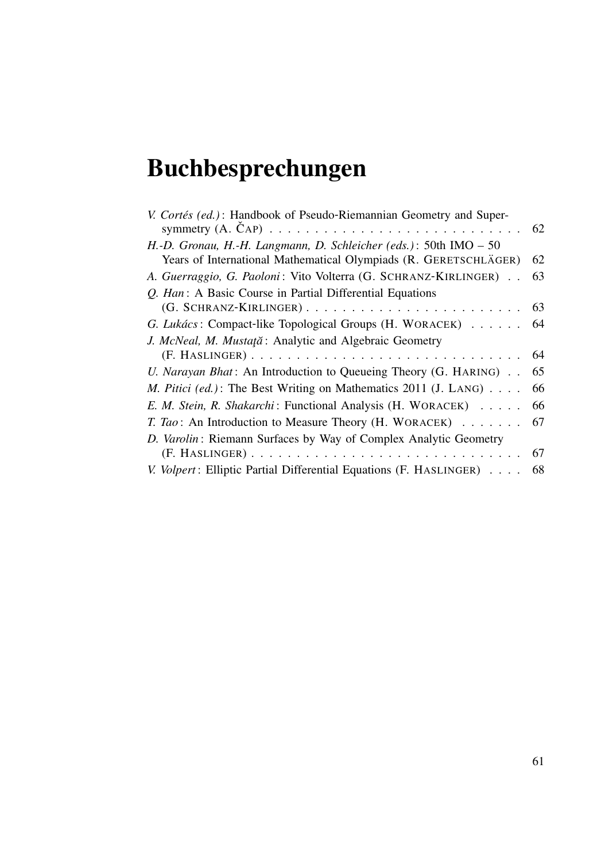# Buchbesprechungen

| V. Cortés (ed.): Handbook of Pseudo-Riemannian Geometry and Super-      |    |
|-------------------------------------------------------------------------|----|
|                                                                         |    |
| H.-D. Gronau, H.-H. Langmann, D. Schleicher (eds.): 50th IMO $-50$      |    |
| Years of International Mathematical Olympiads (R. GERETSCHLÄGER)        | 62 |
| A. Guerraggio, G. Paoloni: Vito Volterra (G. SCHRANZ-KIRLINGER)         | 63 |
| Q. Han: A Basic Course in Partial Differential Equations                |    |
|                                                                         |    |
| G. Lukács: Compact-like Topological Groups (H. WORACEK) 64              |    |
| J. McNeal, M. Mustață: Analytic and Algebraic Geometry                  |    |
|                                                                         |    |
| <i>U. Narayan Bhat</i> : An Introduction to Queueing Theory (G. HARING) | 65 |
| <i>M. Pitici (ed.)</i> : The Best Writing on Mathematics 2011 (J. LANG) | 66 |
| E. M. Stein, R. Shakarchi: Functional Analysis (H. WORACEK) 66          |    |
| T. Tao: An Introduction to Measure Theory (H. WORACEK) 67               |    |
| D. Varolin: Riemann Surfaces by Way of Complex Analytic Geometry        |    |
|                                                                         |    |
| V. Volpert: Elliptic Partial Differential Equations (F. HASLINGER) 68   |    |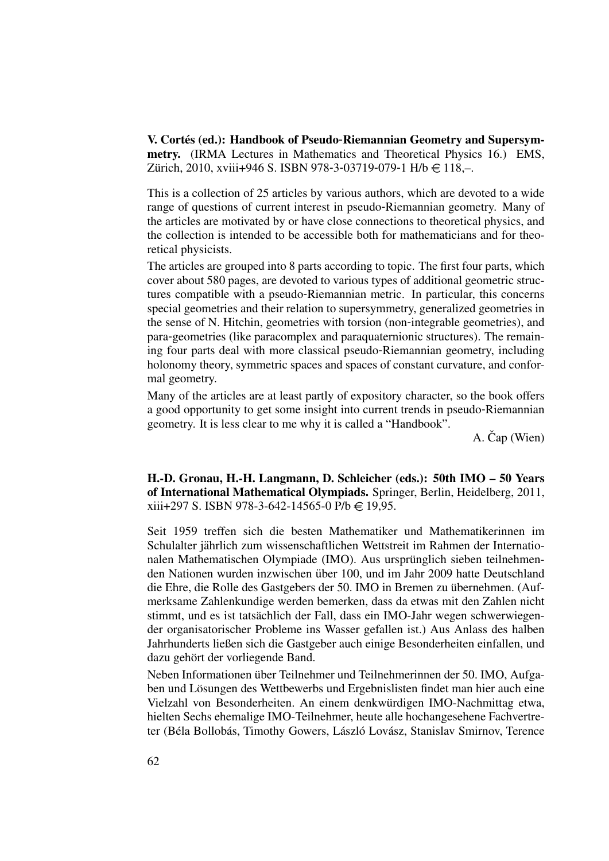V. Cortés (ed.): Handbook of Pseudo-Riemannian Geometry and Supersymmetry. (IRMA Lectures in Mathematics and Theoretical Physics 16.) EMS, Zürich, 2010, xviii+946 S. ISBN 978-3-03719-079-1 H/b  $\in$  118,-.

This is a collection of 25 articles by various authors, which are devoted to a wide range of questions of current interest in pseudo-Riemannian geometry. Many of the articles are motivated by or have close connections to theoretical physics, and the collection is intended to be accessible both for mathematicians and for theoretical physicists.

The articles are grouped into 8 parts according to topic. The first four parts, which cover about 580 pages, are devoted to various types of additional geometric structures compatible with a pseudo-Riemannian metric. In particular, this concerns special geometries and their relation to supersymmetry, generalized geometries in the sense of N. Hitchin, geometries with torsion (non-integrable geometries), and para-geometries (like paracomplex and paraquaternionic structures). The remaining four parts deal with more classical pseudo-Riemannian geometry, including holonomy theory, symmetric spaces and spaces of constant curvature, and conformal geometry.

Many of the articles are at least partly of expository character, so the book offers a good opportunity to get some insight into current trends in pseudo-Riemannian geometry. It is less clear to me why it is called a "Handbook".

 $A.$  Čap (Wien)

H.-D. Gronau, H.-H. Langmann, D. Schleicher (eds.): 50th IMO – 50 Years of International Mathematical Olympiads. Springer, Berlin, Heidelberg, 2011,  $xiii+297$  S. ISBN 978-3-642-14565-0 P/b  $\in$  19,95.

Seit 1959 treffen sich die besten Mathematiker und Mathematikerinnen im Schulalter jahrlich zum wissenschaftlichen Wettstreit im Rahmen der Internatio- ¨ nalen Mathematischen Olympiade (IMO). Aus ursprünglich sieben teilnehmenden Nationen wurden inzwischen über 100, und im Jahr 2009 hatte Deutschland die Ehre, die Rolle des Gastgebers der 50. IMO in Bremen zu übernehmen. (Aufmerksame Zahlenkundige werden bemerken, dass da etwas mit den Zahlen nicht stimmt, und es ist tatsächlich der Fall, dass ein IMO-Jahr wegen schwerwiegender organisatorischer Probleme ins Wasser gefallen ist.) Aus Anlass des halben Jahrhunderts ließen sich die Gastgeber auch einige Besonderheiten einfallen, und dazu gehört der vorliegende Band.

Neben Informationen über Teilnehmer und Teilnehmerinnen der 50. IMO, Aufgaben und Lösungen des Wettbewerbs und Ergebnislisten findet man hier auch eine Vielzahl von Besonderheiten. An einem denkwurdigen IMO-Nachmittag etwa, ¨ hielten Sechs ehemalige IMO-Teilnehmer, heute alle hochangesehene Fachvertreter (Béla Bollobás, Timothy Gowers, László Lovász, Stanislav Smirnov, Terence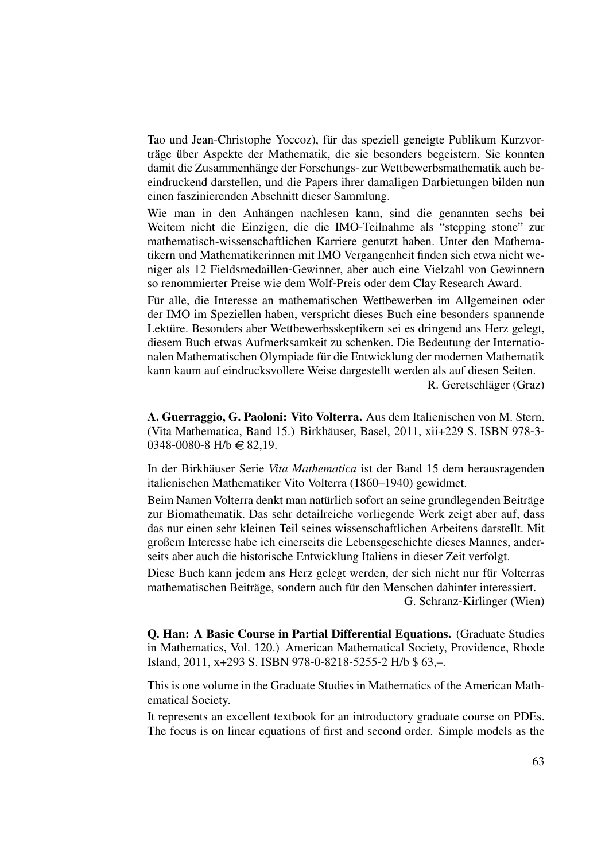Tao und Jean-Christophe Yoccoz), fur das speziell geneigte Publikum Kurzvor- ¨ träge über Aspekte der Mathematik, die sie besonders begeistern. Sie konnten damit die Zusammenhänge der Forschungs- zur Wettbewerbsmathematik auch beeindruckend darstellen, und die Papers ihrer damaligen Darbietungen bilden nun einen faszinierenden Abschnitt dieser Sammlung.

Wie man in den Anhängen nachlesen kann, sind die genannten sechs bei Weitem nicht die Einzigen, die die IMO-Teilnahme als "stepping stone" zur mathematisch-wissenschaftlichen Karriere genutzt haben. Unter den Mathematikern und Mathematikerinnen mit IMO Vergangenheit finden sich etwa nicht weniger als 12 Fieldsmedaillen-Gewinner, aber auch eine Vielzahl von Gewinnern so renommierter Preise wie dem Wolf-Preis oder dem Clay Research Award.

Für alle, die Interesse an mathematischen Wettbewerben im Allgemeinen oder der IMO im Speziellen haben, verspricht dieses Buch eine besonders spannende Lektüre. Besonders aber Wettbewerbsskeptikern sei es dringend ans Herz gelegt, diesem Buch etwas Aufmerksamkeit zu schenken. Die Bedeutung der Internationalen Mathematischen Olympiade für die Entwicklung der modernen Mathematik kann kaum auf eindrucksvollere Weise dargestellt werden als auf diesen Seiten.

R. Geretschläger (Graz)

A. Guerraggio, G. Paoloni: Vito Volterra. Aus dem Italienischen von M. Stern. (Vita Mathematica, Band 15.) Birkhäuser, Basel, 2011, xii+229 S. ISBN 978-3- $0348 - 0080 - 8$  H/b  $\in$  82,19.

In der Birkhäuser Serie Vita Mathematica ist der Band 15 dem herausragenden italienischen Mathematiker Vito Volterra (1860–1940) gewidmet.

Beim Namen Volterra denkt man natürlich sofort an seine grundlegenden Beiträge zur Biomathematik. Das sehr detailreiche vorliegende Werk zeigt aber auf, dass das nur einen sehr kleinen Teil seines wissenschaftlichen Arbeitens darstellt. Mit großem Interesse habe ich einerseits die Lebensgeschichte dieses Mannes, anderseits aber auch die historische Entwicklung Italiens in dieser Zeit verfolgt.

Diese Buch kann jedem ans Herz gelegt werden, der sich nicht nur für Volterras mathematischen Beiträge, sondern auch für den Menschen dahinter interessiert.

G. Schranz-Kirlinger (Wien)

Q. Han: A Basic Course in Partial Differential Equations. (Graduate Studies in Mathematics, Vol. 120.) American Mathematical Society, Providence, Rhode Island, 2011, x+293 S. ISBN 978-0-8218-5255-2 H/b \$ 63,–.

This is one volume in the Graduate Studies in Mathematics of the American Mathematical Society.

It represents an excellent textbook for an introductory graduate course on PDEs. The focus is on linear equations of first and second order. Simple models as the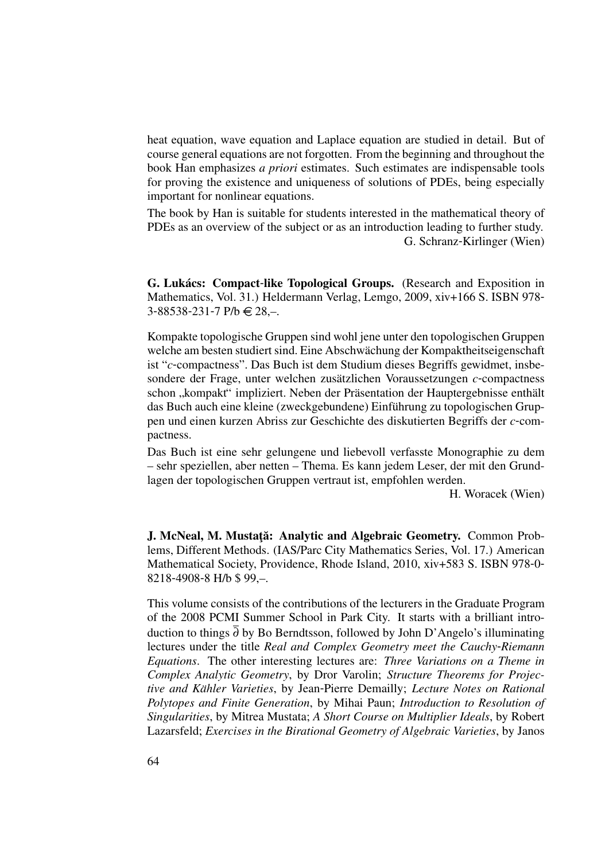heat equation, wave equation and Laplace equation are studied in detail. But of course general equations are not forgotten. From the beginning and throughout the book Han emphasizes *a priori* estimates. Such estimates are indispensable tools for proving the existence and uniqueness of solutions of PDEs, being especially important for nonlinear equations.

The book by Han is suitable for students interested in the mathematical theory of PDEs as an overview of the subject or as an introduction leading to further study. G. Schranz-Kirlinger (Wien)

G. Lukács: Compact-like Topological Groups. (Research and Exposition in Mathematics, Vol. 31.) Heldermann Verlag, Lemgo, 2009, xiv+166 S. ISBN 978-  $3 - 88538 - 231 - 7$  P/b  $\in$  28,-.

Kompakte topologische Gruppen sind wohl jene unter den topologischen Gruppen welche am besten studiert sind. Eine Abschwächung der Kompaktheitseigenschaft ist "*c*-compactness". Das Buch ist dem Studium dieses Begriffs gewidmet, insbesondere der Frage, unter welchen zusätzlichen Voraussetzungen c-compactness schon "kompakt" impliziert. Neben der Präsentation der Hauptergebnisse enthält<br>des Buch auch eine kleine (zweekgebundene) Einführung zu topelegischen Grun das Buch auch eine kleine (zweckgebundene) Einführung zu topologischen Gruppen und einen kurzen Abriss zur Geschichte des diskutierten Begriffs der *c*-compactness.

Das Buch ist eine sehr gelungene und liebevoll verfasste Monographie zu dem – sehr speziellen, aber netten – Thema. Es kann jedem Leser, der mit den Grundlagen der topologischen Gruppen vertraut ist, empfohlen werden.

H. Woracek (Wien)

J. McNeal, M. Mustată: Analytic and Algebraic Geometry. Common Problems, Different Methods. (IAS/Parc City Mathematics Series, Vol. 17.) American Mathematical Society, Providence, Rhode Island, 2010, xiv+583 S. ISBN 978-0- 8218-4908-8 H/b \$ 99,–.

This volume consists of the contributions of the lecturers in the Graduate Program of the 2008 PCMI Summer School in Park City. It starts with a brilliant introduction to things  $\overline{\partial}$  by Bo Berndtsson, followed by John D'Angelo's illuminating lectures under the title *Real and Complex Geometry meet the Cauchy*-*Riemann Equations*. The other interesting lectures are: *Three Variations on a Theme in Complex Analytic Geometry*, by Dror Varolin; *Structure Theorems for Projective and Kähler Varieties, by Jean-Pierre Demailly; Lecture Notes on Rational Polytopes and Finite Generation*, by Mihai Paun; *Introduction to Resolution of Singularities*, by Mitrea Mustata; *A Short Course on Multiplier Ideals*, by Robert Lazarsfeld; *Exercises in the Birational Geometry of Algebraic Varieties*, by Janos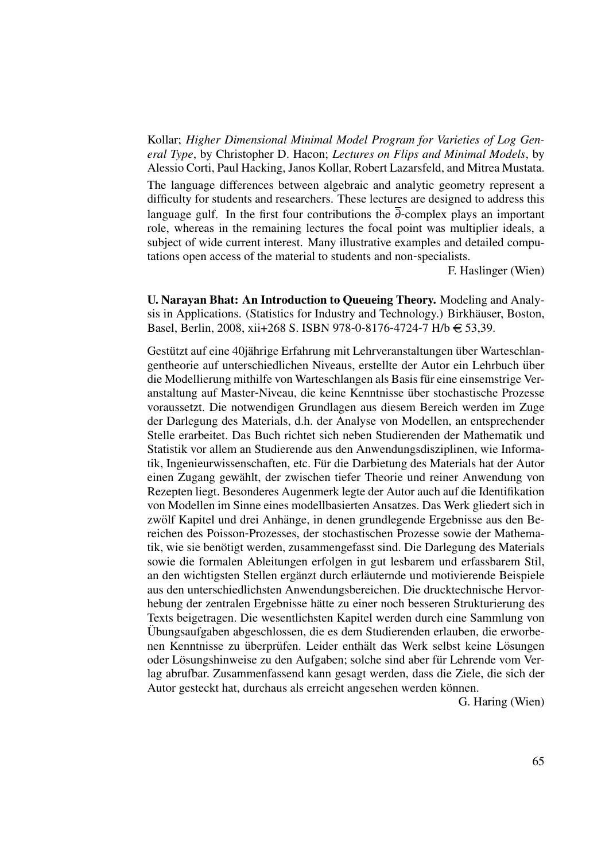Kollar; *Higher Dimensional Minimal Model Program for Varieties of Log General Type*, by Christopher D. Hacon; *Lectures on Flips and Minimal Models*, by Alessio Corti, Paul Hacking, Janos Kollar, Robert Lazarsfeld, and Mitrea Mustata.

The language differences between algebraic and analytic geometry represent a difficulty for students and researchers. These lectures are designed to address this language gulf. In the first four contributions the  $\overline{\partial}$ -complex plays an important role, whereas in the remaining lectures the focal point was multiplier ideals, a subject of wide current interest. Many illustrative examples and detailed computations open access of the material to students and non-specialists.

F. Haslinger (Wien)

U. Narayan Bhat: An Introduction to Queueing Theory. Modeling and Analysis in Applications. (Statistics for Industry and Technology.) Birkhäuser, Boston, Basel, Berlin, 2008, xii+268 S. ISBN 978-0-8176-4724-7 H/b € 53,39.

Gestützt auf eine 40jährige Erfahrung mit Lehrveranstaltungen über Warteschlangentheorie auf unterschiedlichen Niveaus, erstellte der Autor ein Lehrbuch uber ¨ die Modellierung mithilfe von Warteschlangen als Basis fur eine einsemstrige Ver- ¨ anstaltung auf Master-Niveau, die keine Kenntnisse uber stochastische Prozesse ¨ voraussetzt. Die notwendigen Grundlagen aus diesem Bereich werden im Zuge der Darlegung des Materials, d.h. der Analyse von Modellen, an entsprechender Stelle erarbeitet. Das Buch richtet sich neben Studierenden der Mathematik und Statistik vor allem an Studierende aus den Anwendungsdisziplinen, wie Informatik, Ingenieurwissenschaften, etc. Für die Darbietung des Materials hat der Autor einen Zugang gewahlt, der zwischen tiefer Theorie und reiner Anwendung von ¨ Rezepten liegt. Besonderes Augenmerk legte der Autor auch auf die Identifikation von Modellen im Sinne eines modellbasierten Ansatzes. Das Werk gliedert sich in zwölf Kapitel und drei Anhänge, in denen grundlegende Ergebnisse aus den Bereichen des Poisson-Prozesses, der stochastischen Prozesse sowie der Mathematik, wie sie benötigt werden, zusammengefasst sind. Die Darlegung des Materials sowie die formalen Ableitungen erfolgen in gut lesbarem und erfassbarem Stil, an den wichtigsten Stellen ergänzt durch erläuternde und motivierende Beispiele aus den unterschiedlichsten Anwendungsbereichen. Die drucktechnische Hervorhebung der zentralen Ergebnisse hätte zu einer noch besseren Strukturierung des Texts beigetragen. Die wesentlichsten Kapitel werden durch eine Sammlung von Ubungsaufgaben abgeschlossen, die es dem Studierenden erlauben, die erworbe- ¨ nen Kenntnisse zu überprüfen. Leider enthält das Werk selbst keine Lösungen oder Lösungshinweise zu den Aufgaben; solche sind aber für Lehrende vom Verlag abrufbar. Zusammenfassend kann gesagt werden, dass die Ziele, die sich der Autor gesteckt hat, durchaus als erreicht angesehen werden können.

G. Haring (Wien)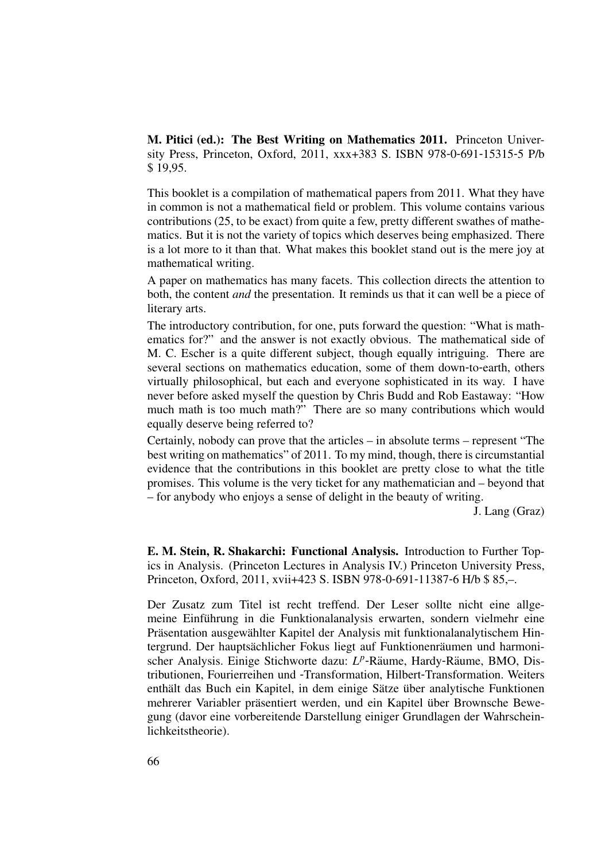M. Pitici (ed.): The Best Writing on Mathematics 2011. Princeton University Press, Princeton, Oxford, 2011, xxx+383 S. ISBN 978-0-691-15315-5 P/b \$ 19,95.

This booklet is a compilation of mathematical papers from 2011. What they have in common is not a mathematical field or problem. This volume contains various contributions (25, to be exact) from quite a few, pretty different swathes of mathematics. But it is not the variety of topics which deserves being emphasized. There is a lot more to it than that. What makes this booklet stand out is the mere joy at mathematical writing.

A paper on mathematics has many facets. This collection directs the attention to both, the content *and* the presentation. It reminds us that it can well be a piece of literary arts.

The introductory contribution, for one, puts forward the question: "What is mathematics for?" and the answer is not exactly obvious. The mathematical side of M. C. Escher is a quite different subject, though equally intriguing. There are several sections on mathematics education, some of them down-to-earth, others virtually philosophical, but each and everyone sophisticated in its way. I have never before asked myself the question by Chris Budd and Rob Eastaway: "How much math is too much math?" There are so many contributions which would equally deserve being referred to?

Certainly, nobody can prove that the articles – in absolute terms – represent "The best writing on mathematics" of 2011. To my mind, though, there is circumstantial evidence that the contributions in this booklet are pretty close to what the title promises. This volume is the very ticket for any mathematician and – beyond that – for anybody who enjoys a sense of delight in the beauty of writing.

J. Lang (Graz)

E. M. Stein, R. Shakarchi: Functional Analysis. Introduction to Further Topics in Analysis. (Princeton Lectures in Analysis IV.) Princeton University Press, Princeton, Oxford, 2011, xvii+423 S. ISBN 978-0-691-11387-6 H/b \$ 85,–.

Der Zusatz zum Titel ist recht treffend. Der Leser sollte nicht eine allgemeine Einführung in die Funktionalanalysis erwarten, sondern vielmehr eine Präsentation ausgewählter Kapitel der Analysis mit funktionalanalytischem Hintergrund. Der hauptsächlicher Fokus liegt auf Funktionenräumen und harmonischer Analysis. Einige Stichworte dazu: L<sup>p</sup>-Räume, Hardy-Räume, BMO, Distributionen, Fourierreihen und -Transformation, Hilbert-Transformation. Weiters enthält das Buch ein Kapitel, in dem einige Sätze über analytische Funktionen mehrerer Variabler präsentiert werden, und ein Kapitel über Brownsche Bewegung (davor eine vorbereitende Darstellung einiger Grundlagen der Wahrscheinlichkeitstheorie).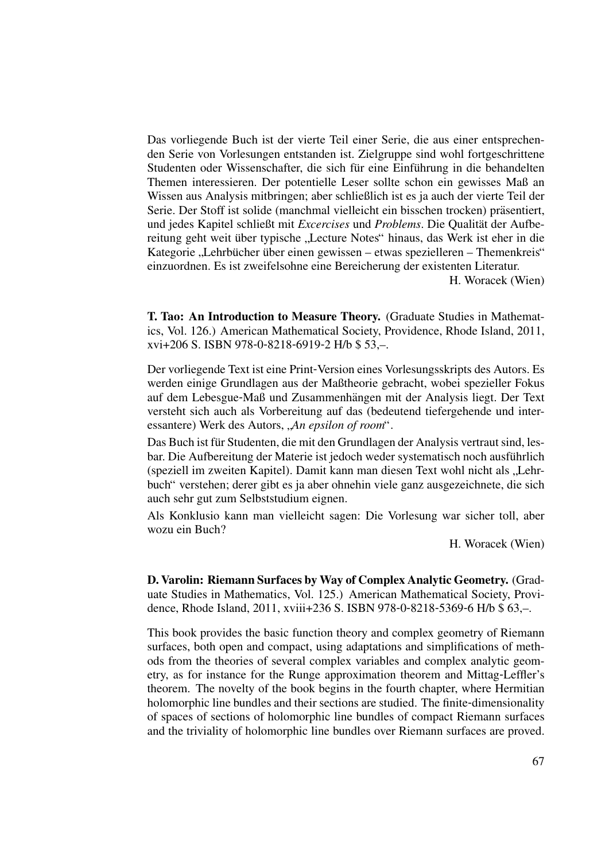Das vorliegende Buch ist der vierte Teil einer Serie, die aus einer entsprechenden Serie von Vorlesungen entstanden ist. Zielgruppe sind wohl fortgeschrittene Studenten oder Wissenschafter, die sich für eine Einführung in die behandelten Themen interessieren. Der potentielle Leser sollte schon ein gewisses Maß an Wissen aus Analysis mitbringen; aber schließlich ist es ja auch der vierte Teil der Serie. Der Stoff ist solide (manchmal vielleicht ein bisschen trocken) präsentiert, und jedes Kapitel schließt mit *Excercises* und *Problems*. Die Qualität der Aufbereitung geht weit über typische "Lecture Notes" hinaus, das Werk ist eher in die Kategorie "Lehrbücher über einen gewissen – etwas spezielleren – Themenkreis"<br>einzugelagen. Es ist zweifelschne eine Bereicherung der existenten Literatur einzuordnen. Es ist zweifelsohne eine Bereicherung der existenten Literatur. H. Woracek (Wien)

T. Tao: An Introduction to Measure Theory. (Graduate Studies in Mathematics, Vol. 126.) American Mathematical Society, Providence, Rhode Island, 2011, xvi+206 S. ISBN 978-0-8218-6919-2 H/b \$ 53,–.

Der vorliegende Text ist eine Print-Version eines Vorlesungsskripts des Autors. Es werden einige Grundlagen aus der Maßtheorie gebracht, wobei spezieller Fokus auf dem Lebesgue-Maß und Zusammenhangen mit der Analysis liegt. Der Text ¨ versteht sich auch als Vorbereitung auf das (bedeutend tiefergehende und interessantere) Werk des Autors, "An epsilon of room".

Das Buch ist für Studenten, die mit den Grundlagen der Analysis vertraut sind, lesbar. Die Aufbereitung der Materie ist jedoch weder systematisch noch ausführlich (speziell im zweiten Kapitel). Damit kann man diesen Text wohl nicht als " Lehrbuch" verstehen; derer gibt es ja aber ohnehin viele ganz ausgezeichnete, die sich auch sehr gut zum Selbststudium eignen.

Als Konklusio kann man vielleicht sagen: Die Vorlesung war sicher toll, aber wozu ein Buch?

H. Woracek (Wien)

D. Varolin: Riemann Surfaces by Way of Complex Analytic Geometry. (Graduate Studies in Mathematics, Vol. 125.) American Mathematical Society, Providence, Rhode Island, 2011, xviii+236 S. ISBN 978-0-8218-5369-6 H/b \$ 63,–.

This book provides the basic function theory and complex geometry of Riemann surfaces, both open and compact, using adaptations and simplifications of methods from the theories of several complex variables and complex analytic geometry, as for instance for the Runge approximation theorem and Mittag-Leffler's theorem. The novelty of the book begins in the fourth chapter, where Hermitian holomorphic line bundles and their sections are studied. The finite-dimensionality of spaces of sections of holomorphic line bundles of compact Riemann surfaces and the triviality of holomorphic line bundles over Riemann surfaces are proved.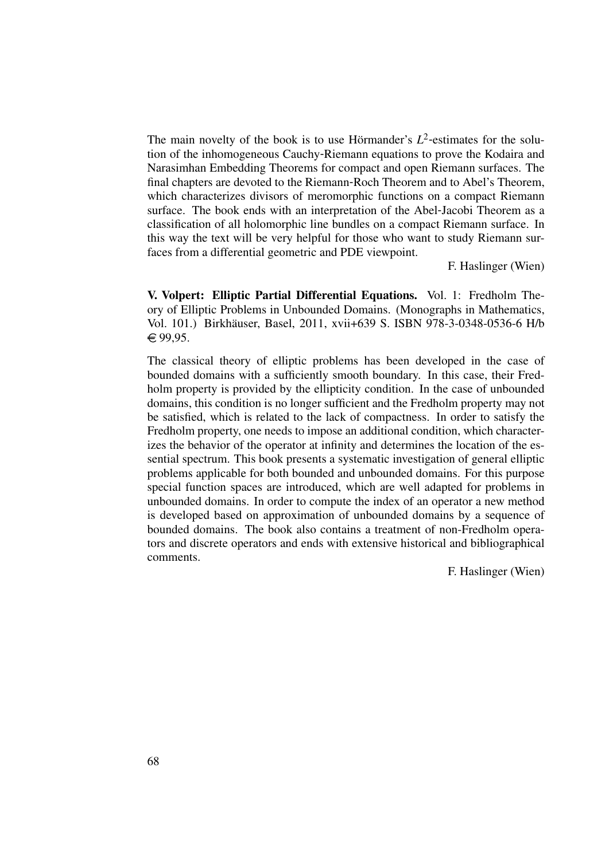The main novelty of the book is to use Hörmander's  $L^2$ -estimates for the solution of the inhomogeneous Cauchy-Riemann equations to prove the Kodaira and Narasimhan Embedding Theorems for compact and open Riemann surfaces. The final chapters are devoted to the Riemann-Roch Theorem and to Abel's Theorem, which characterizes divisors of meromorphic functions on a compact Riemann surface. The book ends with an interpretation of the Abel-Jacobi Theorem as a classification of all holomorphic line bundles on a compact Riemann surface. In this way the text will be very helpful for those who want to study Riemann surfaces from a differential geometric and PDE viewpoint.

F. Haslinger (Wien)

V. Volpert: Elliptic Partial Differential Equations. Vol. 1: Fredholm Theory of Elliptic Problems in Unbounded Domains. (Monographs in Mathematics, Vol. 101.) Birkhauser, Basel, 2011, xvii+639 S. ISBN 978-3-0348-0536-6 H/b ¨  $€99,95.$ 

The classical theory of elliptic problems has been developed in the case of bounded domains with a sufficiently smooth boundary. In this case, their Fredholm property is provided by the ellipticity condition. In the case of unbounded domains, this condition is no longer sufficient and the Fredholm property may not be satisfied, which is related to the lack of compactness. In order to satisfy the Fredholm property, one needs to impose an additional condition, which characterizes the behavior of the operator at infinity and determines the location of the essential spectrum. This book presents a systematic investigation of general elliptic problems applicable for both bounded and unbounded domains. For this purpose special function spaces are introduced, which are well adapted for problems in unbounded domains. In order to compute the index of an operator a new method is developed based on approximation of unbounded domains by a sequence of bounded domains. The book also contains a treatment of non-Fredholm operators and discrete operators and ends with extensive historical and bibliographical comments.

F. Haslinger (Wien)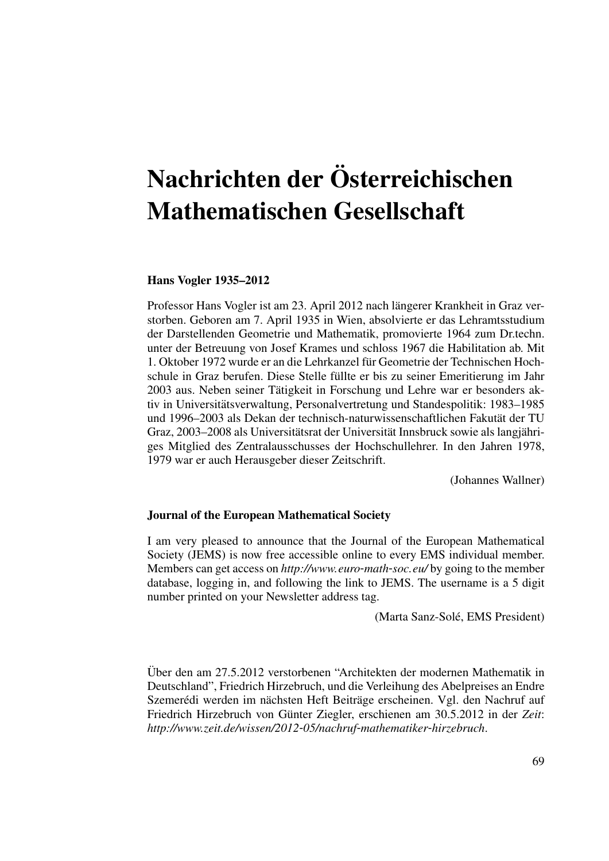## Nachrichten der Osterreichischen ¨ Mathematischen Gesellschaft

## Hans Vogler 1935–2012

Professor Hans Vogler ist am 23. April 2012 nach langerer Krankheit in Graz ver- ¨ storben. Geboren am 7. April 1935 in Wien, absolvierte er das Lehramtsstudium der Darstellenden Geometrie und Mathematik, promovierte 1964 zum Dr.techn. unter der Betreuung von Josef Krames und schloss 1967 die Habilitation ab. Mit 1. Oktober 1972 wurde er an die Lehrkanzel fur Geometrie der Technischen Hoch- ¨ schule in Graz berufen. Diese Stelle fullte er bis zu seiner Emeritierung im Jahr ¨ 2003 aus. Neben seiner Tatigkeit in Forschung und Lehre war er besonders ak- ¨ tiv in Universitatsverwaltung, Personalvertretung und Standespolitik: 1983–1985 ¨ und 1996–2003 als Dekan der technisch-naturwissenschaftlichen Fakutät der TU Graz, 2003–2008 als Universitätsrat der Universität Innsbruck sowie als langjähriges Mitglied des Zentralausschusses der Hochschullehrer. In den Jahren 1978, 1979 war er auch Herausgeber dieser Zeitschrift.

(Johannes Wallner)

## Journal of the European Mathematical Society

I am very pleased to announce that the Journal of the European Mathematical Society (JEMS) is now free accessible online to every EMS individual member. Members can get access on *http://www.euro*-*math*-*soc.eu/* by going to the member database, logging in, and following the link to JEMS. The username is a 5 digit number printed on your Newsletter address tag.

(Marta Sanz-Sole, EMS President) ´

Uber den am 27.5.2012 verstorbenen "Architekten der modernen Mathematik in ¨ Deutschland", Friedrich Hirzebruch, und die Verleihung des Abelpreises an Endre Szemerédi werden im nächsten Heft Beiträge erscheinen. Vgl. den Nachruf auf Friedrich Hirzebruch von Günter Ziegler, erschienen am 30.5.2012 in der Zeit: *http://www.zeit.de/wissen/2012*-*05/nachruf*-*mathematiker*-*hirzebruch*.